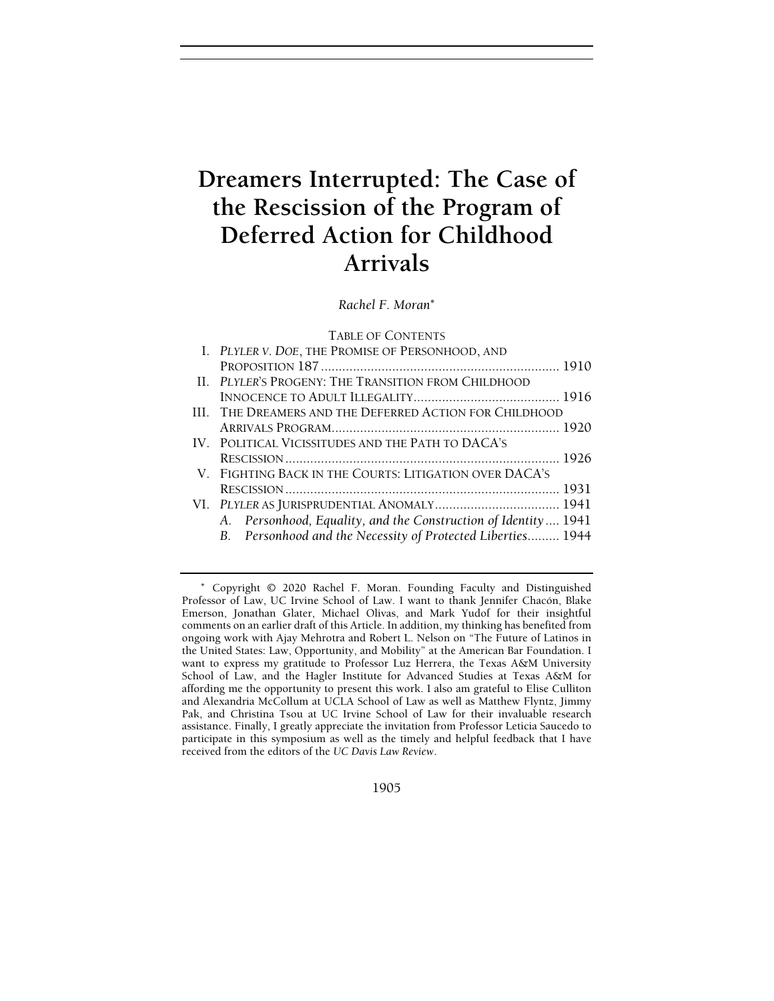# Dreamers Interrupted: The Case of the Rescission of the Program of Deferred Action for Childhood Arrivals

Rachel F. Moran<sup>∗</sup>

## TABLE OF CONTENTS

| I. PLYLER V. DOE, THE PROMISE OF PERSONHOOD, AND               |  |
|----------------------------------------------------------------|--|
|                                                                |  |
| II. PLYLER'S PROGENY: THE TRANSITION FROM CHILDHOOD            |  |
|                                                                |  |
| III. THE DREAMERS AND THE DEFERRED ACTION FOR CHILDHOOD        |  |
|                                                                |  |
| IV. POLITICAL VICISSITUDES AND THE PATH TO DACA'S              |  |
|                                                                |  |
| V. FIGHTING BACK IN THE COURTS: LITIGATION OVER DACA'S         |  |
|                                                                |  |
|                                                                |  |
| A. Personhood, Equality, and the Construction of Identity 1941 |  |
| B. Personhood and the Necessity of Protected Liberties 1944    |  |
|                                                                |  |

1905

<sup>∗</sup> Copyright © 2020 Rachel F. Moran. Founding Faculty and Distinguished Professor of Law, UC Irvine School of Law. I want to thank Jennifer Chacón, Blake Emerson, Jonathan Glater, Michael Olivas, and Mark Yudof for their insightful comments on an earlier draft of this Article. In addition, my thinking has benefited from ongoing work with Ajay Mehrotra and Robert L. Nelson on "The Future of Latinos in the United States: Law, Opportunity, and Mobility" at the American Bar Foundation. I want to express my gratitude to Professor Luz Herrera, the Texas A&M University School of Law, and the Hagler Institute for Advanced Studies at Texas A&M for affording me the opportunity to present this work. I also am grateful to Elise Culliton and Alexandria McCollum at UCLA School of Law as well as Matthew Flyntz, Jimmy Pak, and Christina Tsou at UC Irvine School of Law for their invaluable research assistance. Finally, I greatly appreciate the invitation from Professor Leticia Saucedo to participate in this symposium as well as the timely and helpful feedback that I have received from the editors of the UC Davis Law Review.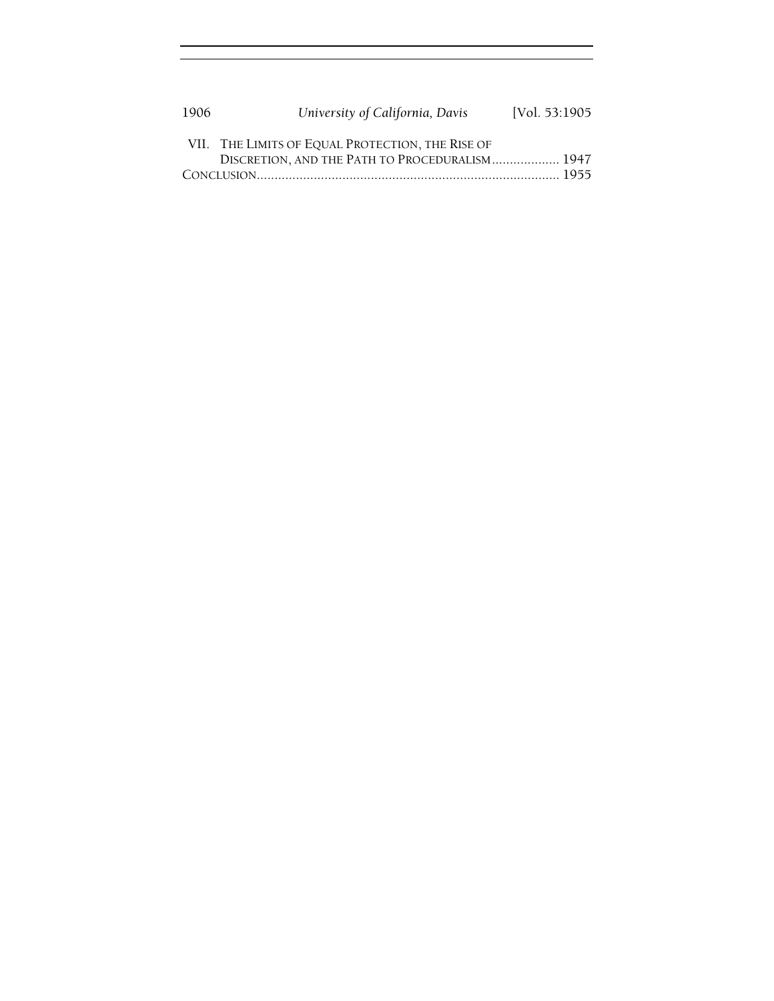| 1906 | University of California, Davis                  | [Vol. 53:1905] |  |
|------|--------------------------------------------------|----------------|--|
|      | VII. THE LIMITS OF EQUAL PROTECTION, THE RISE OF |                |  |
|      | DISCRETION, AND THE PATH TO PROCEDURALISM 1947   |                |  |
|      |                                                  |                |  |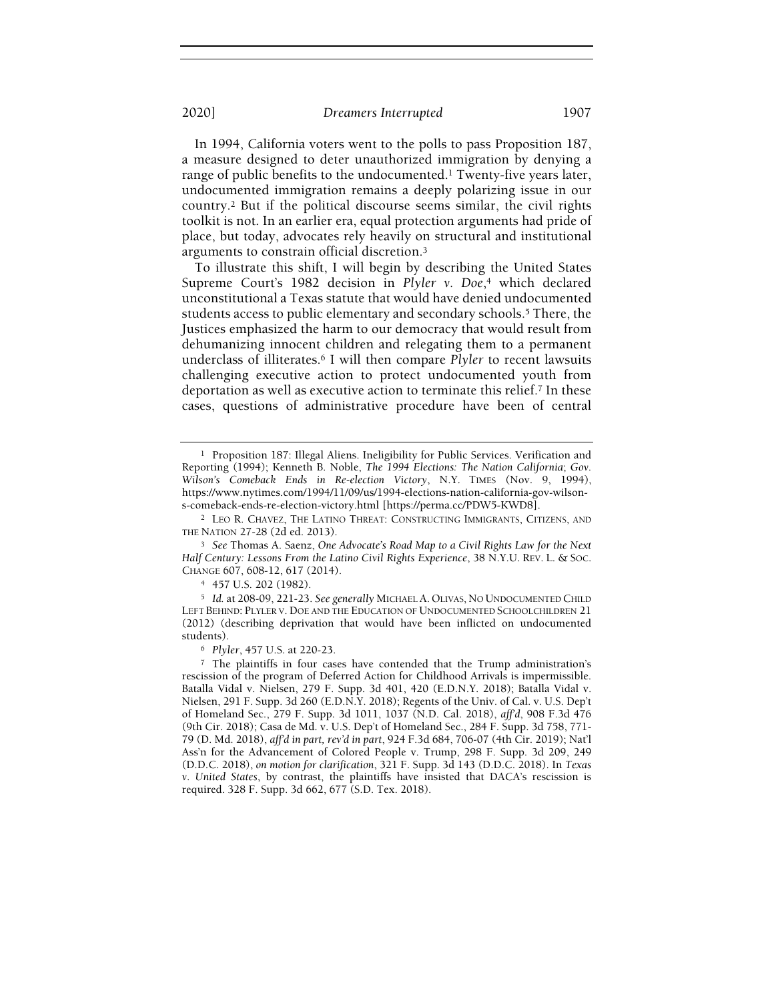In 1994, California voters went to the polls to pass Proposition 187, a measure designed to deter unauthorized immigration by denying a range of public benefits to the undocumented.<sup>1</sup> Twenty-five years later, undocumented immigration remains a deeply polarizing issue in our country.<sup>2</sup> But if the political discourse seems similar, the civil rights toolkit is not. In an earlier era, equal protection arguments had pride of place, but today, advocates rely heavily on structural and institutional arguments to constrain official discretion.<sup>3</sup>

To illustrate this shift, I will begin by describing the United States Supreme Court's 1982 decision in Plyler v. Doe,<sup>4</sup> which declared unconstitutional a Texas statute that would have denied undocumented students access to public elementary and secondary schools.<sup>5</sup> There, the Justices emphasized the harm to our democracy that would result from dehumanizing innocent children and relegating them to a permanent underclass of illiterates.<sup>6</sup> I will then compare Plyler to recent lawsuits challenging executive action to protect undocumented youth from deportation as well as executive action to terminate this relief.<sup>7</sup> In these cases, questions of administrative procedure have been of central

<sup>&</sup>lt;sup>1</sup> Proposition 187: Illegal Aliens. Ineligibility for Public Services. Verification and Reporting (1994); Kenneth B. Noble, The 1994 Elections: The Nation California; Gov. Wilson's Comeback Ends in Re-election Victory, N.Y. TIMES (Nov. 9, 1994), https://www.nytimes.com/1994/11/09/us/1994-elections-nation-california-gov-wilsons-comeback-ends-re-election-victory.html [https://perma.cc/PDW5-KWD8].

<sup>&</sup>lt;sup>2</sup> LEO R. CHAVEZ, THE LATINO THREAT: CONSTRUCTING IMMIGRANTS, CITIZENS, AND THE NATION 27-28 (2d ed. 2013).

<sup>&</sup>lt;sup>3</sup> See Thomas A. Saenz, One Advocate's Road Map to a Civil Rights Law for the Next Half Century: Lessons From the Latino Civil Rights Experience, 38 N.Y.U. REV. L. & SOC. CHANGE 607, 608-12, 617 (2014).

<sup>4</sup> 457 U.S. 202 (1982).

<sup>5</sup> Id. at 208-09, 221-23. See generally MICHAEL A. OLIVAS, NO UNDOCUMENTED CHILD LEFT BEHIND: PLYLER V. DOE AND THE EDUCATION OF UNDOCUMENTED SCHOOLCHILDREN 21 (2012) (describing deprivation that would have been inflicted on undocumented students).

<sup>6</sup> Plyler, 457 U.S. at 220-23.

<sup>7</sup> The plaintiffs in four cases have contended that the Trump administration's rescission of the program of Deferred Action for Childhood Arrivals is impermissible. Batalla Vidal v. Nielsen, 279 F. Supp. 3d 401, 420 (E.D.N.Y. 2018); Batalla Vidal v. Nielsen, 291 F. Supp. 3d 260 (E.D.N.Y. 2018); Regents of the Univ. of Cal. v. U.S. Dep't of Homeland Sec., 279 F. Supp. 3d 1011, 1037 (N.D. Cal. 2018), aff'd, 908 F.3d 476 (9th Cir. 2018); Casa de Md. v. U.S. Dep't of Homeland Sec., 284 F. Supp. 3d 758, 771- 79 (D. Md. 2018), aff'd in part, rev'd in part, 924 F.3d 684, 706-07 (4th Cir. 2019); Nat'l Ass'n for the Advancement of Colored People v. Trump, 298 F. Supp. 3d 209, 249 (D.D.C. 2018), on motion for clarification, 321 F. Supp. 3d 143 (D.D.C. 2018). In Texas v. United States, by contrast, the plaintiffs have insisted that DACA's rescission is required. 328 F. Supp. 3d 662, 677 (S.D. Tex. 2018).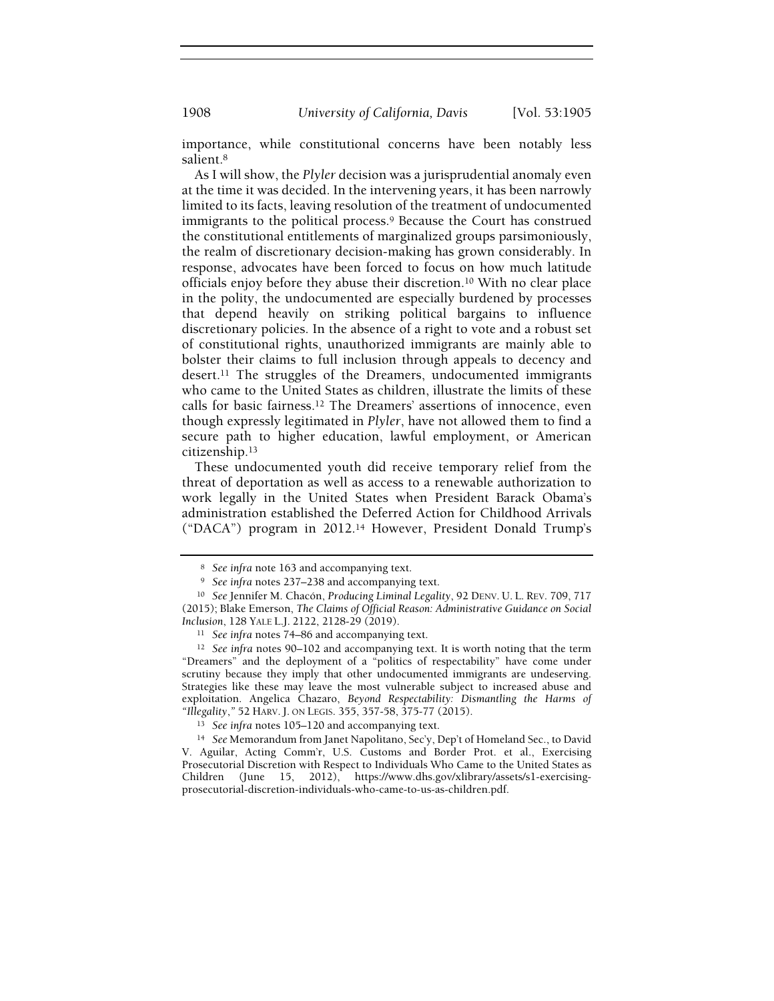1908 *University of California, Davis* [Vol. 53:1905]

importance, while constitutional concerns have been notably less salient.<sup>8</sup>

As I will show, the Plyler decision was a jurisprudential anomaly even at the time it was decided. In the intervening years, it has been narrowly limited to its facts, leaving resolution of the treatment of undocumented immigrants to the political process.<sup>9</sup> Because the Court has construed the constitutional entitlements of marginalized groups parsimoniously, the realm of discretionary decision-making has grown considerably. In response, advocates have been forced to focus on how much latitude officials enjoy before they abuse their discretion.<sup>10</sup> With no clear place in the polity, the undocumented are especially burdened by processes that depend heavily on striking political bargains to influence discretionary policies. In the absence of a right to vote and a robust set of constitutional rights, unauthorized immigrants are mainly able to bolster their claims to full inclusion through appeals to decency and desert.<sup>11</sup> The struggles of the Dreamers, undocumented immigrants who came to the United States as children, illustrate the limits of these calls for basic fairness.<sup>12</sup> The Dreamers' assertions of innocence, even though expressly legitimated in Plyler, have not allowed them to find a secure path to higher education, lawful employment, or American citizenship.<sup>13</sup>

These undocumented youth did receive temporary relief from the threat of deportation as well as access to a renewable authorization to work legally in the United States when President Barack Obama's administration established the Deferred Action for Childhood Arrivals ("DACA") program in 2012.<sup>14</sup> However, President Donald Trump's

<sup>12</sup> See infra notes 90-102 and accompanying text. It is worth noting that the term "Dreamers" and the deployment of a "politics of respectability" have come under scrutiny because they imply that other undocumented immigrants are undeserving. Strategies like these may leave the most vulnerable subject to increased abuse and exploitation. Angelica Chazaro, Beyond Respectability: Dismantling the Harms of "Illegality," 52 HARV. J. ON LEGIS. 355, 357-58, 375-77 (2015).

<sup>13</sup> See infra notes 105–120 and accompanying text.

<sup>14</sup> See Memorandum from Janet Napolitano, Sec'y, Dep't of Homeland Sec., to David V. Aguilar, Acting Comm'r, U.S. Customs and Border Prot. et al., Exercising Prosecutorial Discretion with Respect to Individuals Who Came to the United States as Children (June 15, 2012), https://www.dhs.gov/xlibrary/assets/s1-exercisingprosecutorial-discretion-individuals-who-came-to-us-as-children.pdf.

<sup>8</sup> See infra note 163 and accompanying text.

<sup>9</sup> See infra notes 237–238 and accompanying text.

<sup>10</sup> See Jennifer M. Chacón, Producing Liminal Legality, 92 DENV. U. L. REV. 709, 717 (2015); Blake Emerson, The Claims of Official Reason: Administrative Guidance on Social Inclusion, 128 YALE L.J. 2122, 2128-29 (2019).

<sup>11</sup> See infra notes 74–86 and accompanying text.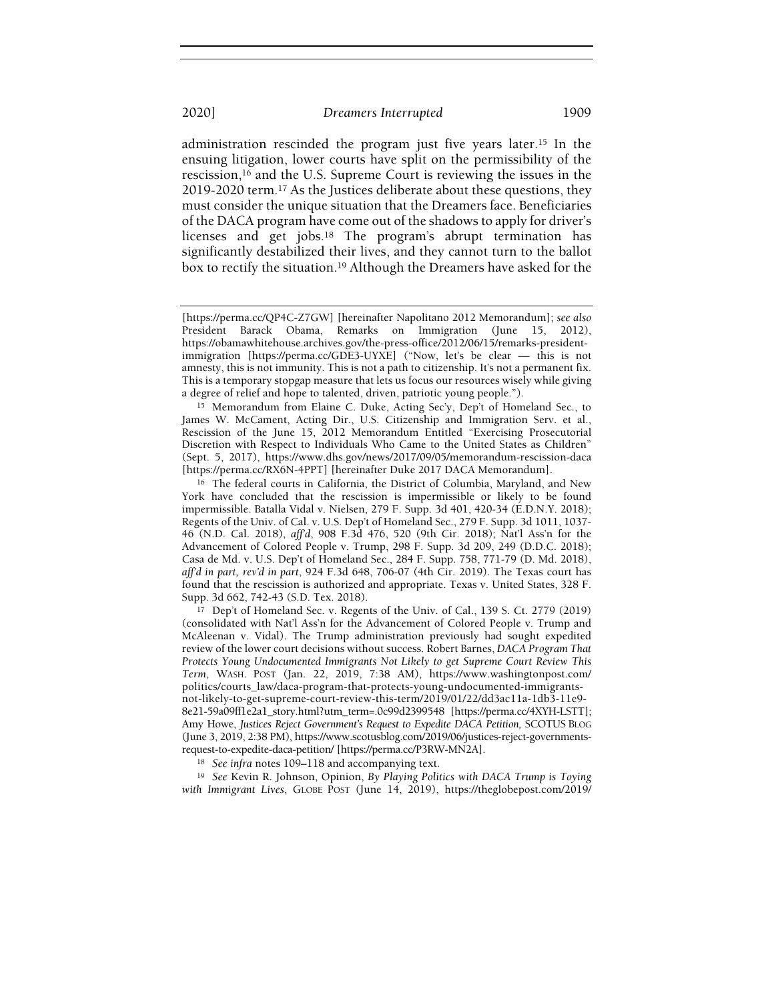administration rescinded the program just five years later.<sup>15</sup> In the ensuing litigation, lower courts have split on the permissibility of the rescission,<sup>16</sup> and the U.S. Supreme Court is reviewing the issues in the 2019-2020 term.<sup>17</sup> As the Justices deliberate about these questions, they must consider the unique situation that the Dreamers face. Beneficiaries of the DACA program have come out of the shadows to apply for driver's licenses and get jobs.<sup>18</sup> The program's abrupt termination has significantly destabilized their lives, and they cannot turn to the ballot box to rectify the situation.<sup>19</sup> Although the Dreamers have asked for the

<sup>16</sup> The federal courts in California, the District of Columbia, Maryland, and New York have concluded that the rescission is impermissible or likely to be found impermissible. Batalla Vidal v. Nielsen, 279 F. Supp. 3d 401, 420-34 (E.D.N.Y. 2018); Regents of the Univ. of Cal. v. U.S. Dep't of Homeland Sec., 279 F. Supp. 3d 1011, 1037- 46 (N.D. Cal. 2018), aff'd, 908 F.3d 476, 520 (9th Cir. 2018); Nat'l Ass'n for the Advancement of Colored People v. Trump, 298 F. Supp. 3d 209, 249 (D.D.C. 2018); Casa de Md. v. U.S. Dep't of Homeland Sec., 284 F. Supp. 758, 771-79 (D. Md. 2018), aff'd in part, rev'd in part, 924 F.3d 648, 706-07 (4th Cir. 2019). The Texas court has found that the rescission is authorized and appropriate. Texas v. United States, 328 F. Supp. 3d 662, 742-43 (S.D. Tex. 2018).

<sup>17</sup> Dep't of Homeland Sec. v. Regents of the Univ. of Cal., 139 S. Ct. 2779 (2019) (consolidated with Nat'l Ass'n for the Advancement of Colored People v. Trump and McAleenan v. Vidal). The Trump administration previously had sought expedited review of the lower court decisions without success. Robert Barnes, DACA Program That Protects Young Undocumented Immigrants Not Likely to get Supreme Court Review This Term, WASH. POST (Jan. 22, 2019, 7:38 AM), https://www.washingtonpost.com/ politics/courts\_law/daca-program-that-protects-young-undocumented-immigrantsnot-likely-to-get-supreme-court-review-this-term/2019/01/22/dd3ac11a-1db3-11e9- 8e21-59a09ff1e2a1\_story.html?utm\_term=.0c99d2399548 [https://perma.cc/4XYH-LSTT]; Amy Howe, Justices Reject Government's Request to Expedite DACA Petition, SCOTUS BLOG (June 3, 2019, 2:38 PM), https://www.scotusblog.com/2019/06/justices-reject-governmentsrequest-to-expedite-daca-petition/ [https://perma.cc/P3RW-MN2A].

<sup>18</sup> See infra notes 109–118 and accompanying text.

<sup>19</sup> See Kevin R. Johnson, Opinion, By Playing Politics with DACA Trump is Toying with Immigrant Lives, GLOBE POST (June 14, 2019), https://theglobepost.com/2019/

<sup>[</sup>https://perma.cc/QP4C-Z7GW] [hereinafter Napolitano 2012 Memorandum]; see also President Barack Obama, Remarks on Immigration (June 15, 2012), https://obamawhitehouse.archives.gov/the-press-office/2012/06/15/remarks-presidentimmigration [https://perma.cc/GDE3-UYXE] ("Now, let's be clear — this is not amnesty, this is not immunity. This is not a path to citizenship. It's not a permanent fix. This is a temporary stopgap measure that lets us focus our resources wisely while giving a degree of relief and hope to talented, driven, patriotic young people.").

<sup>15</sup> Memorandum from Elaine C. Duke, Acting Sec'y, Dep't of Homeland Sec., to James W. McCament, Acting Dir., U.S. Citizenship and Immigration Serv. et al., Rescission of the June 15, 2012 Memorandum Entitled "Exercising Prosecutorial Discretion with Respect to Individuals Who Came to the United States as Children" (Sept. 5, 2017), https://www.dhs.gov/news/2017/09/05/memorandum-rescission-daca [https://perma.cc/RX6N-4PPT] [hereinafter Duke 2017 DACA Memorandum].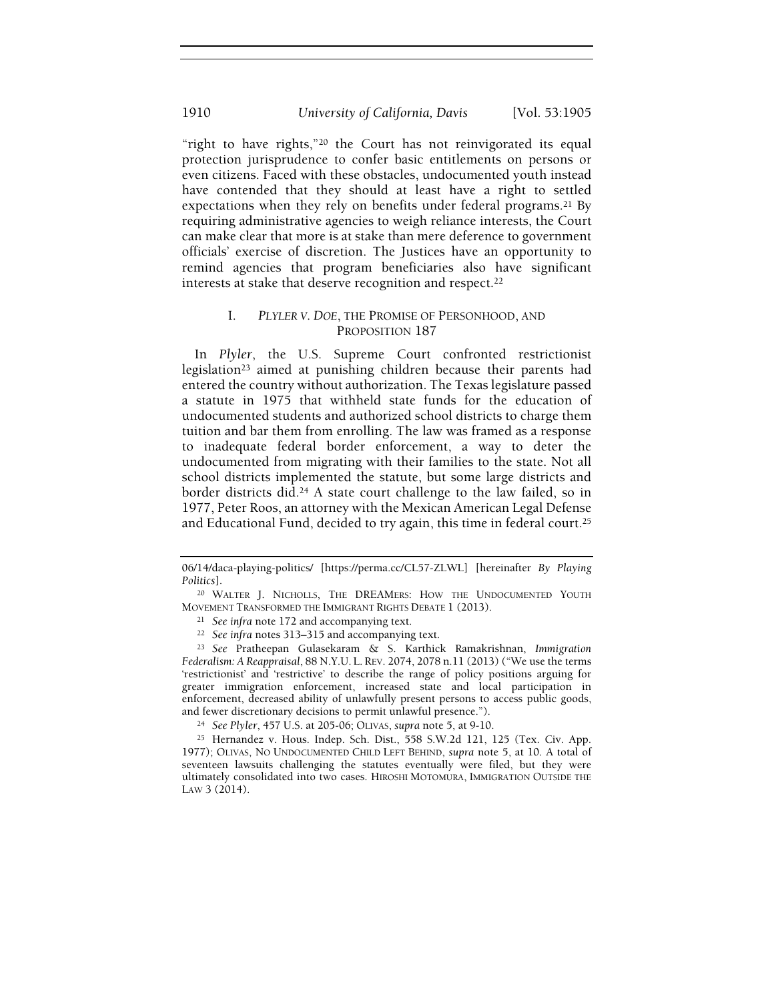"right to have rights,"<sup>20</sup> the Court has not reinvigorated its equal protection jurisprudence to confer basic entitlements on persons or even citizens. Faced with these obstacles, undocumented youth instead have contended that they should at least have a right to settled expectations when they rely on benefits under federal programs.<sup>21</sup> By requiring administrative agencies to weigh reliance interests, the Court can make clear that more is at stake than mere deference to government officials' exercise of discretion. The Justices have an opportunity to remind agencies that program beneficiaries also have significant interests at stake that deserve recognition and respect.<sup>22</sup>

# I. PLYLER V. DOE, THE PROMISE OF PERSONHOOD, AND PROPOSITION 187

In Plyler, the U.S. Supreme Court confronted restrictionist legislation<sup>23</sup> aimed at punishing children because their parents had entered the country without authorization. The Texas legislature passed a statute in 1975 that withheld state funds for the education of undocumented students and authorized school districts to charge them tuition and bar them from enrolling. The law was framed as a response to inadequate federal border enforcement, a way to deter the undocumented from migrating with their families to the state. Not all school districts implemented the statute, but some large districts and border districts did.<sup>24</sup> A state court challenge to the law failed, so in 1977, Peter Roos, an attorney with the Mexican American Legal Defense and Educational Fund, decided to try again, this time in federal court.<sup>25</sup>

<sup>06/14/</sup>daca-playing-politics/ [https://perma.cc/CL57-ZLWL] [hereinafter By Playing Politics].

<sup>20</sup> WALTER J. NICHOLLS, THE DREAMERS: HOW THE UNDOCUMENTED YOUTH MOVEMENT TRANSFORMED THE IMMIGRANT RIGHTS DEBATE 1 (2013).

<sup>21</sup> See infra note 172 and accompanying text.

<sup>22</sup> See infra notes 313–315 and accompanying text.

<sup>23</sup> See Pratheepan Gulasekaram & S. Karthick Ramakrishnan, Immigration Federalism: A Reappraisal, 88 N.Y.U. L. REV. 2074, 2078 n.11 (2013) ("We use the terms 'restrictionist' and 'restrictive' to describe the range of policy positions arguing for greater immigration enforcement, increased state and local participation in enforcement, decreased ability of unlawfully present persons to access public goods, and fewer discretionary decisions to permit unlawful presence.").

<sup>24</sup> See Plyler, 457 U.S. at 205-06; OLIVAS, supra note 5, at 9-10.

<sup>25</sup> Hernandez v. Hous. Indep. Sch. Dist., 558 S.W.2d 121, 125 (Tex. Civ. App. 1977); OLIVAS, NO UNDOCUMENTED CHILD LEFT BEHIND, supra note 5, at 10. A total of seventeen lawsuits challenging the statutes eventually were filed, but they were ultimately consolidated into two cases. HIROSHI MOTOMURA, IMMIGRATION OUTSIDE THE LAW 3 (2014).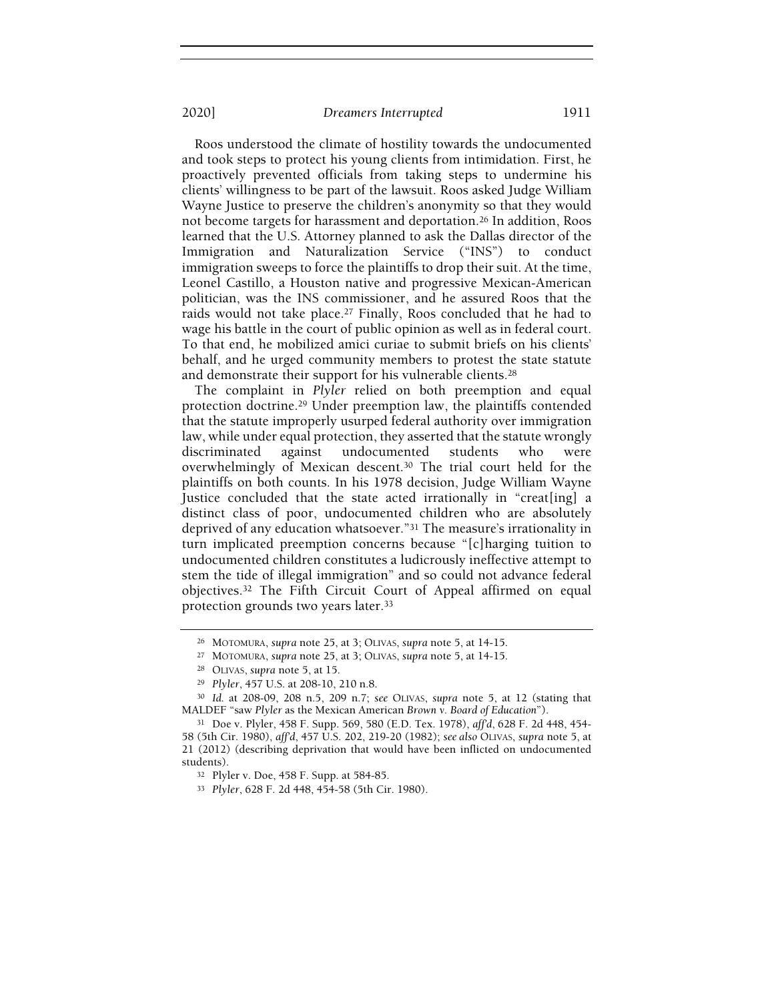Roos understood the climate of hostility towards the undocumented and took steps to protect his young clients from intimidation. First, he proactively prevented officials from taking steps to undermine his clients' willingness to be part of the lawsuit. Roos asked Judge William Wayne Justice to preserve the children's anonymity so that they would not become targets for harassment and deportation.<sup>26</sup> In addition, Roos learned that the U.S. Attorney planned to ask the Dallas director of the Immigration and Naturalization Service ("INS") to conduct immigration sweeps to force the plaintiffs to drop their suit. At the time, Leonel Castillo, a Houston native and progressive Mexican-American politician, was the INS commissioner, and he assured Roos that the raids would not take place.<sup>27</sup> Finally, Roos concluded that he had to wage his battle in the court of public opinion as well as in federal court. To that end, he mobilized amici curiae to submit briefs on his clients' behalf, and he urged community members to protest the state statute and demonstrate their support for his vulnerable clients.<sup>28</sup>

The complaint in Plyler relied on both preemption and equal protection doctrine.<sup>29</sup> Under preemption law, the plaintiffs contended that the statute improperly usurped federal authority over immigration law, while under equal protection, they asserted that the statute wrongly discriminated against undocumented students who were overwhelmingly of Mexican descent.<sup>30</sup> The trial court held for the plaintiffs on both counts. In his 1978 decision, Judge William Wayne Justice concluded that the state acted irrationally in "creat[ing] a distinct class of poor, undocumented children who are absolutely deprived of any education whatsoever."<sup>31</sup> The measure's irrationality in turn implicated preemption concerns because "[c]harging tuition to undocumented children constitutes a ludicrously ineffective attempt to stem the tide of illegal immigration" and so could not advance federal objectives.<sup>32</sup> The Fifth Circuit Court of Appeal affirmed on equal protection grounds two years later.<sup>33</sup>

<sup>30</sup> Id. at 208-09, 208 n.5, 209 n.7; see OLIVAS, supra note 5, at 12 (stating that MALDEF "saw Plyler as the Mexican American Brown v. Board of Education").

<sup>31</sup> Doe v. Plyler, 458 F. Supp. 569, 580 (E.D. Tex. 1978), aff'd, 628 F. 2d 448, 454- 58 (5th Cir. 1980), aff'd, 457 U.S. 202, 219-20 (1982); see also OLIVAS, supra note 5, at 21 (2012) (describing deprivation that would have been inflicted on undocumented students).

<sup>33</sup> Plyler, 628 F. 2d 448, 454-58 (5th Cir. 1980).

<sup>26</sup> MOTOMURA, supra note 25, at 3; OLIVAS, supra note 5, at 14-15.

<sup>27</sup> MOTOMURA, supra note 25, at 3; OLIVAS, supra note 5, at 14-15.

<sup>28</sup> OLIVAS, supra note 5, at 15.

<sup>29</sup> Plyler, 457 U.S. at 208-10, 210 n.8.

<sup>32</sup> Plyler v. Doe, 458 F. Supp. at 584-85.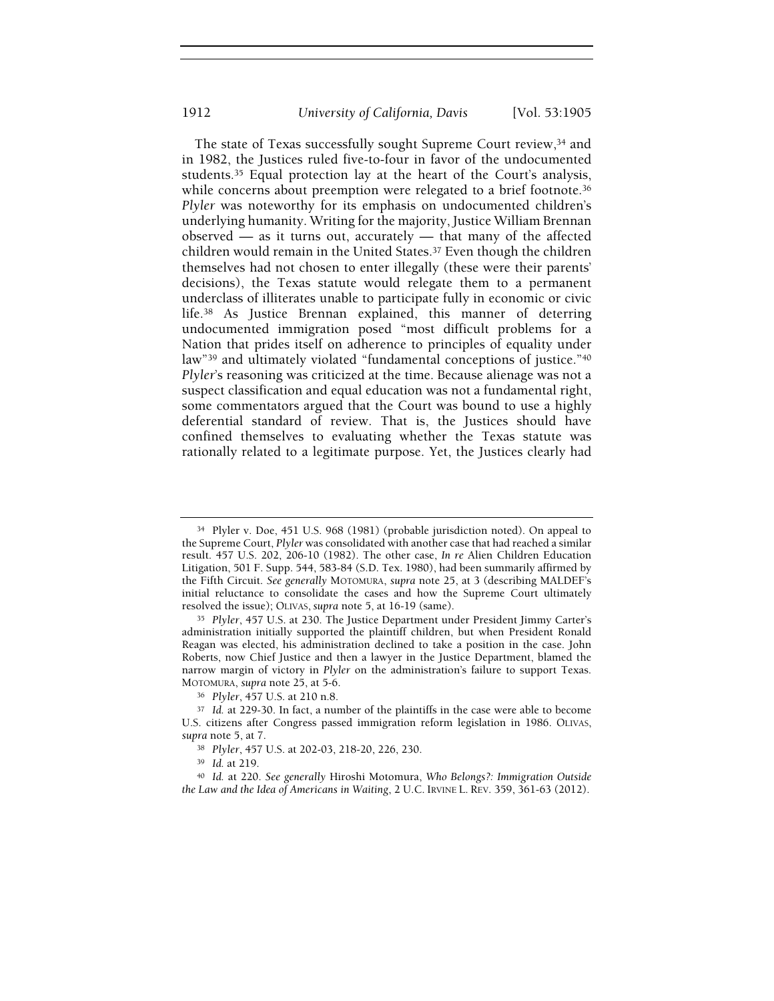The state of Texas successfully sought Supreme Court review,<sup>34</sup> and in 1982, the Justices ruled five-to-four in favor of the undocumented students.<sup>35</sup> Equal protection lay at the heart of the Court's analysis, while concerns about preemption were relegated to a brief footnote.<sup>36</sup> Plyler was noteworthy for its emphasis on undocumented children's underlying humanity. Writing for the majority, Justice William Brennan observed — as it turns out, accurately — that many of the affected children would remain in the United States.<sup>37</sup> Even though the children themselves had not chosen to enter illegally (these were their parents' decisions), the Texas statute would relegate them to a permanent underclass of illiterates unable to participate fully in economic or civic life.<sup>38</sup> As Justice Brennan explained, this manner of deterring undocumented immigration posed "most difficult problems for a Nation that prides itself on adherence to principles of equality under law"<sup>39</sup> and ultimately violated "fundamental conceptions of justice."<sup>40</sup> Plyler's reasoning was criticized at the time. Because alienage was not a suspect classification and equal education was not a fundamental right, some commentators argued that the Court was bound to use a highly deferential standard of review. That is, the Justices should have confined themselves to evaluating whether the Texas statute was rationally related to a legitimate purpose. Yet, the Justices clearly had

<sup>34</sup> Plyler v. Doe, 451 U.S. 968 (1981) (probable jurisdiction noted). On appeal to the Supreme Court, Plyler was consolidated with another case that had reached a similar result. 457 U.S. 202, 206-10 (1982). The other case, In re Alien Children Education Litigation, 501 F. Supp. 544, 583-84 (S.D. Tex. 1980), had been summarily affirmed by the Fifth Circuit. See generally MOTOMURA, supra note 25, at 3 (describing MALDEF's initial reluctance to consolidate the cases and how the Supreme Court ultimately resolved the issue); OLIVAS, supra note 5, at 16-19 (same).

<sup>35</sup> Plyler, 457 U.S. at 230. The Justice Department under President Jimmy Carter's administration initially supported the plaintiff children, but when President Ronald Reagan was elected, his administration declined to take a position in the case. John Roberts, now Chief Justice and then a lawyer in the Justice Department, blamed the narrow margin of victory in Plyler on the administration's failure to support Texas. MOTOMURA, supra note 25, at 5-6.

<sup>36</sup> Plyler, 457 U.S. at 210 n.8.

<sup>37</sup> Id. at 229-30. In fact, a number of the plaintiffs in the case were able to become U.S. citizens after Congress passed immigration reform legislation in 1986. OLIVAS, supra note 5, at 7.

<sup>38</sup> Plyler, 457 U.S. at 202-03, 218-20, 226, 230.

<sup>39</sup> Id. at 219.

<sup>40</sup> Id. at 220. See generally Hiroshi Motomura, Who Belongs?: Immigration Outside the Law and the Idea of Americans in Waiting, 2 U.C. IRVINE L. REV. 359, 361-63 (2012).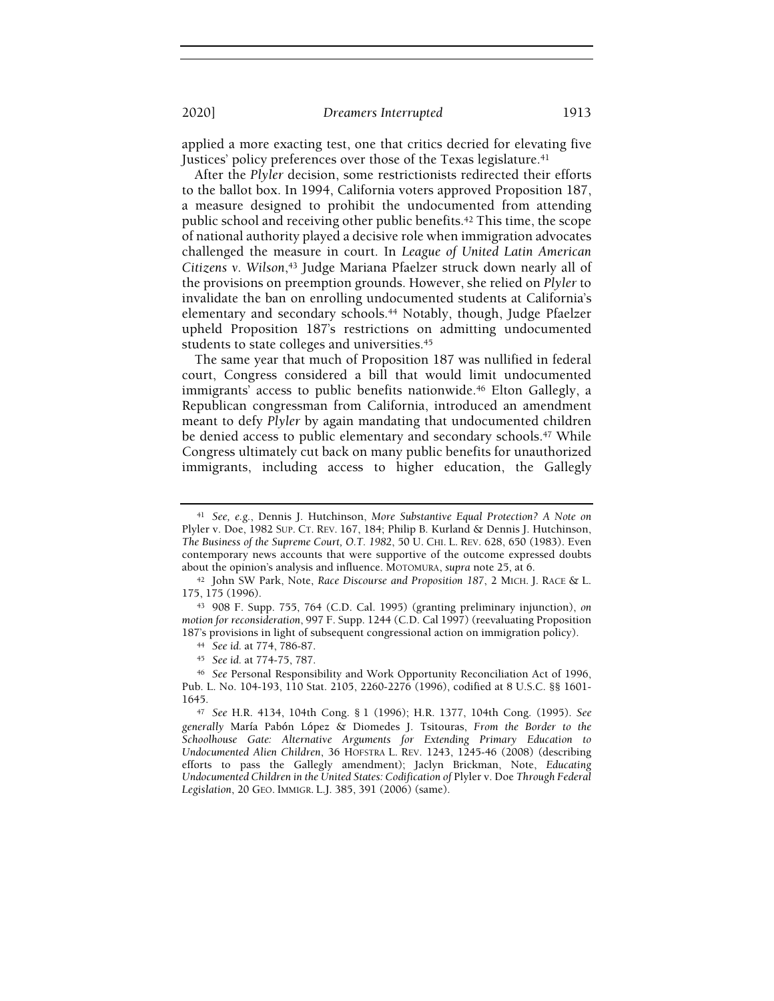applied a more exacting test, one that critics decried for elevating five Justices' policy preferences over those of the Texas legislature.<sup>41</sup>

After the Plyler decision, some restrictionists redirected their efforts to the ballot box. In 1994, California voters approved Proposition 187, a measure designed to prohibit the undocumented from attending public school and receiving other public benefits.<sup>42</sup> This time, the scope of national authority played a decisive role when immigration advocates challenged the measure in court. In League of United Latin American Citizens v. Wilson,<sup>43</sup> Judge Mariana Pfaelzer struck down nearly all of the provisions on preemption grounds. However, she relied on Plyler to invalidate the ban on enrolling undocumented students at California's elementary and secondary schools.<sup>44</sup> Notably, though, Judge Pfaelzer upheld Proposition 187's restrictions on admitting undocumented students to state colleges and universities.<sup>45</sup>

The same year that much of Proposition 187 was nullified in federal court, Congress considered a bill that would limit undocumented immigrants' access to public benefits nationwide.<sup>46</sup> Elton Gallegly, a Republican congressman from California, introduced an amendment meant to defy Plyler by again mandating that undocumented children be denied access to public elementary and secondary schools.<sup>47</sup> While Congress ultimately cut back on many public benefits for unauthorized immigrants, including access to higher education, the Gallegly

<sup>&</sup>lt;sup>41</sup> See, e.g., Dennis J. Hutchinson, More Substantive Equal Protection? A Note on Plyler v. Doe, 1982 SUP. CT. REV. 167, 184; Philip B. Kurland & Dennis J. Hutchinson, The Business of the Supreme Court, O.T. 1982, 50 U. CHI. L. REV. 628, 650 (1983). Even contemporary news accounts that were supportive of the outcome expressed doubts about the opinion's analysis and influence. MOTOMURA, supra note 25, at 6.

<sup>42</sup> John SW Park, Note, Race Discourse and Proposition 187, 2 MICH. J. RACE & L. 175, 175 (1996).

<sup>43</sup> 908 F. Supp. 755, 764 (C.D. Cal. 1995) (granting preliminary injunction), on motion for reconsideration, 997 F. Supp. 1244 (C.D. Cal 1997) (reevaluating Proposition 187's provisions in light of subsequent congressional action on immigration policy).

<sup>44</sup> See id. at 774, 786-87.

<sup>45</sup> See id. at 774-75, 787.

<sup>46</sup> See Personal Responsibility and Work Opportunity Reconciliation Act of 1996, Pub. L. No. 104-193, 110 Stat. 2105, 2260-2276 (1996), codified at 8 U.S.C. §§ 1601- 1645.

<sup>47</sup> See H.R. 4134, 104th Cong. § 1 (1996); H.R. 1377, 104th Cong. (1995). See generally María Pabón López & Diomedes J. Tsitouras, From the Border to the Schoolhouse Gate: Alternative Arguments for Extending Primary Education to Undocumented Alien Children, 36 HOFSTRA L. REV. 1243, 1245-46 (2008) (describing efforts to pass the Gallegly amendment); Jaclyn Brickman, Note, Educating Undocumented Children in the United States: Codification of Plyler v. Doe Through Federal Legislation, 20 GEO. IMMIGR. L.J. 385, 391 (2006) (same).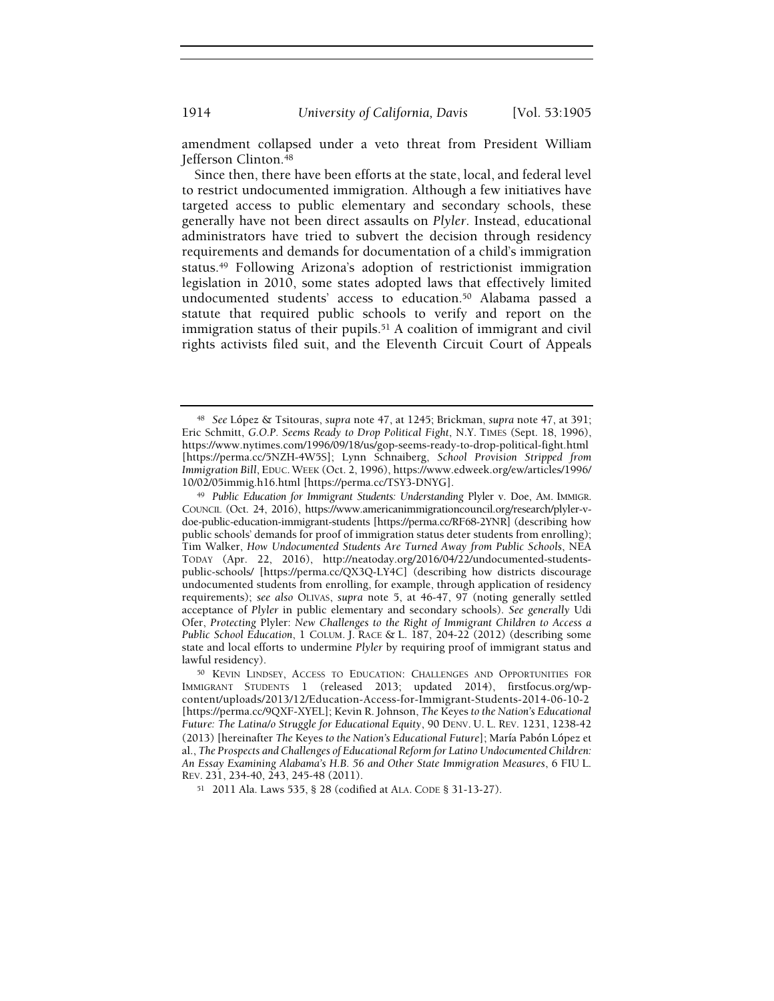amendment collapsed under a veto threat from President William Jefferson Clinton.<sup>48</sup>

Since then, there have been efforts at the state, local, and federal level to restrict undocumented immigration. Although a few initiatives have targeted access to public elementary and secondary schools, these generally have not been direct assaults on Plyler. Instead, educational administrators have tried to subvert the decision through residency requirements and demands for documentation of a child's immigration status.<sup>49</sup> Following Arizona's adoption of restrictionist immigration legislation in 2010, some states adopted laws that effectively limited undocumented students' access to education.<sup>50</sup> Alabama passed a statute that required public schools to verify and report on the immigration status of their pupils.<sup>51</sup> A coalition of immigrant and civil rights activists filed suit, and the Eleventh Circuit Court of Appeals

<sup>51</sup> 2011 Ala. Laws 535, § 28 (codified at ALA. CODE § 31-13-27).

<sup>48</sup> See López & Tsitouras, supra note 47, at 1245; Brickman, supra note 47, at 391; Eric Schmitt, G.O.P. Seems Ready to Drop Political Fight, N.Y. TIMES (Sept. 18, 1996), https://www.nytimes.com/1996/09/18/us/gop-seems-ready-to-drop-political-fight.html [https://perma.cc/5NZH-4W5S]; Lynn Schnaiberg, School Provision Stripped from Immigration Bill, EDUC. WEEK (Oct. 2, 1996), https://www.edweek.org/ew/articles/1996/ 10/02/05immig.h16.html [https://perma.cc/TSY3-DNYG].

<sup>49</sup> Public Education for Immigrant Students: Understanding Plyler v. Doe, AM. IMMIGR. COUNCIL (Oct. 24, 2016), https://www.americanimmigrationcouncil.org/research/plyler-vdoe-public-education-immigrant-students [https://perma.cc/RF68-2YNR] (describing how public schools' demands for proof of immigration status deter students from enrolling); Tim Walker, How Undocumented Students Are Turned Away from Public Schools, NEA TODAY (Apr. 22, 2016), http://neatoday.org/2016/04/22/undocumented-studentspublic-schools/ [https://perma.cc/QX3Q-LY4C] (describing how districts discourage undocumented students from enrolling, for example, through application of residency requirements); see also OLIVAS, supra note 5, at 46-47, 97 (noting generally settled acceptance of Plyler in public elementary and secondary schools). See generally Udi Ofer, Protecting Plyler: New Challenges to the Right of Immigrant Children to Access a Public School Education, 1 COLUM. J. RACE & L. 187, 204-22 (2012) (describing some state and local efforts to undermine Plyler by requiring proof of immigrant status and lawful residency).

<sup>50</sup> KEVIN LINDSEY, ACCESS TO EDUCATION: CHALLENGES AND OPPORTUNITIES FOR IMMIGRANT STUDENTS 1 (released 2013; updated 2014), firstfocus.org/wpcontent/uploads/2013/12/Education-Access-for-Immigrant-Students-2014-06-10-2 [https://perma.cc/9QXF-XYEL]; Kevin R. Johnson, The Keyes to the Nation's Educational Future: The Latina/o Struggle for Educational Equity, 90 DENV. U. L. REV. 1231, 1238-42 (2013) [hereinafter The Keyes to the Nation's Educational Future]; María Pabón López et al., The Prospects and Challenges of Educational Reform for Latino Undocumented Children: An Essay Examining Alabama's H.B. 56 and Other State Immigration Measures, 6 FIU L. REV. 231, 234-40, 243, 245-48 (2011).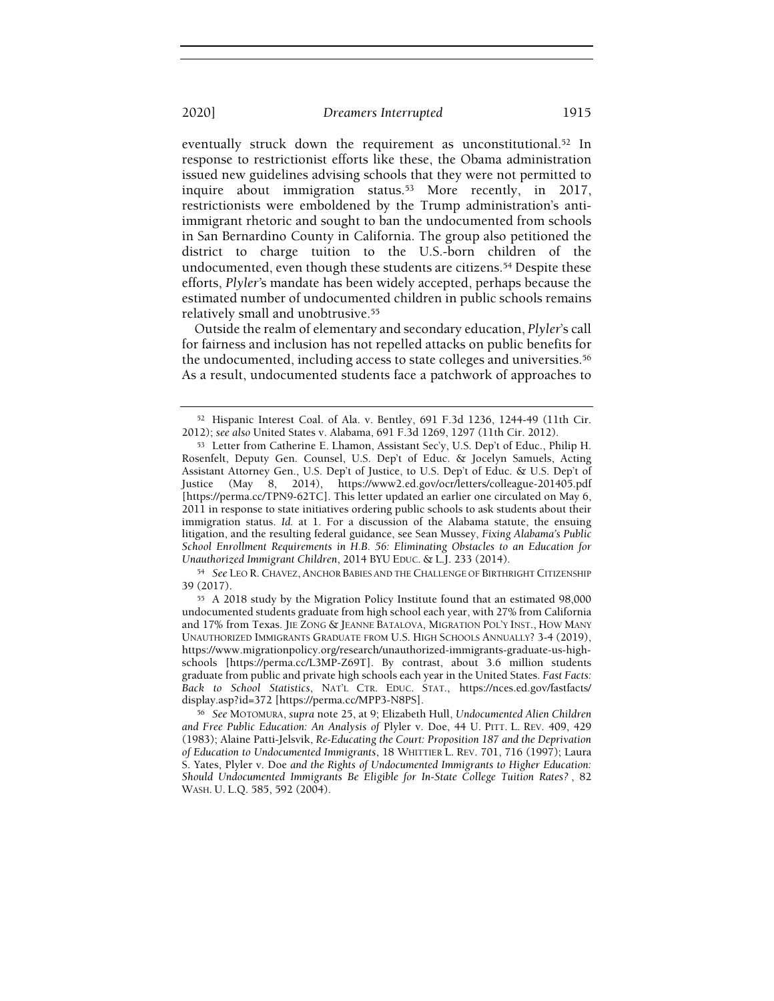eventually struck down the requirement as unconstitutional.<sup>52</sup> In response to restrictionist efforts like these, the Obama administration issued new guidelines advising schools that they were not permitted to inquire about immigration status.<sup>53</sup> More recently, in 2017, restrictionists were emboldened by the Trump administration's antiimmigrant rhetoric and sought to ban the undocumented from schools in San Bernardino County in California. The group also petitioned the district to charge tuition to the U.S.-born children of the undocumented, even though these students are citizens.<sup>54</sup> Despite these efforts, Plyler's mandate has been widely accepted, perhaps because the estimated number of undocumented children in public schools remains relatively small and unobtrusive.<sup>55</sup>

Outside the realm of elementary and secondary education, Plyler's call for fairness and inclusion has not repelled attacks on public benefits for the undocumented, including access to state colleges and universities.<sup>56</sup> As a result, undocumented students face a patchwork of approaches to

<sup>54</sup> See LEO R.CHAVEZ, ANCHOR BABIES AND THE CHALLENGE OF BIRTHRIGHT CITIZENSHIP 39 (2017).

<sup>52</sup> Hispanic Interest Coal. of Ala. v. Bentley, 691 F.3d 1236, 1244-49 (11th Cir. 2012); see also United States v. Alabama, 691 F.3d 1269, 1297 (11th Cir. 2012).

<sup>53</sup> Letter from Catherine E. Lhamon, Assistant Sec'y, U.S. Dep't of Educ., Philip H. Rosenfelt, Deputy Gen. Counsel, U.S. Dep't of Educ. & Jocelyn Samuels, Acting Assistant Attorney Gen., U.S. Dep't of Justice, to U.S. Dep't of Educ. & U.S. Dep't of Justice (May 8, 2014), https://www2.ed.gov/ocr/letters/colleague-201405.pdf [https://perma.cc/TPN9-62TC]. This letter updated an earlier one circulated on May 6, 2011 in response to state initiatives ordering public schools to ask students about their immigration status. Id. at 1. For a discussion of the Alabama statute, the ensuing litigation, and the resulting federal guidance, see Sean Mussey, Fixing Alabama's Public School Enrollment Requirements in H.B. 56: Eliminating Obstacles to an Education for Unauthorized Immigrant Children, 2014 BYU EDUC. & L.J. 233 (2014).

<sup>55</sup> A 2018 study by the Migration Policy Institute found that an estimated 98,000 undocumented students graduate from high school each year, with 27% from California and 17% from Texas. JIE ZONG & JEANNE BATALOVA, MIGRATION POL'Y INST., HOW MANY UNAUTHORIZED IMMIGRANTS GRADUATE FROM U.S. HIGH SCHOOLS ANNUALLY? 3-4 (2019), https://www.migrationpolicy.org/research/unauthorized-immigrants-graduate-us-highschools [https://perma.cc/L3MP-Z69T]. By contrast, about 3.6 million students graduate from public and private high schools each year in the United States. Fast Facts: Back to School Statistics, NAT'L CTR. EDUC. STAT., https://nces.ed.gov/fastfacts/ display.asp?id=372 [https://perma.cc/MPP3-N8PS].

<sup>56</sup> See MOTOMURA, supra note 25, at 9; Elizabeth Hull, Undocumented Alien Children and Free Public Education: An Analysis of Plyler v. Doe, 44 U. PITT. L. REV. 409, 429 (1983); Alaine Patti-Jelsvik, Re-Educating the Court: Proposition 187 and the Deprivation of Education to Undocumented Immigrants, 18 WHITTIER L. REV. 701, 716 (1997); Laura S. Yates, Plyler v. Doe and the Rights of Undocumented Immigrants to Higher Education: Should Undocumented Immigrants Be Eligible for In-State College Tuition Rates? , 82 WASH. U. L.Q. 585, 592 (2004).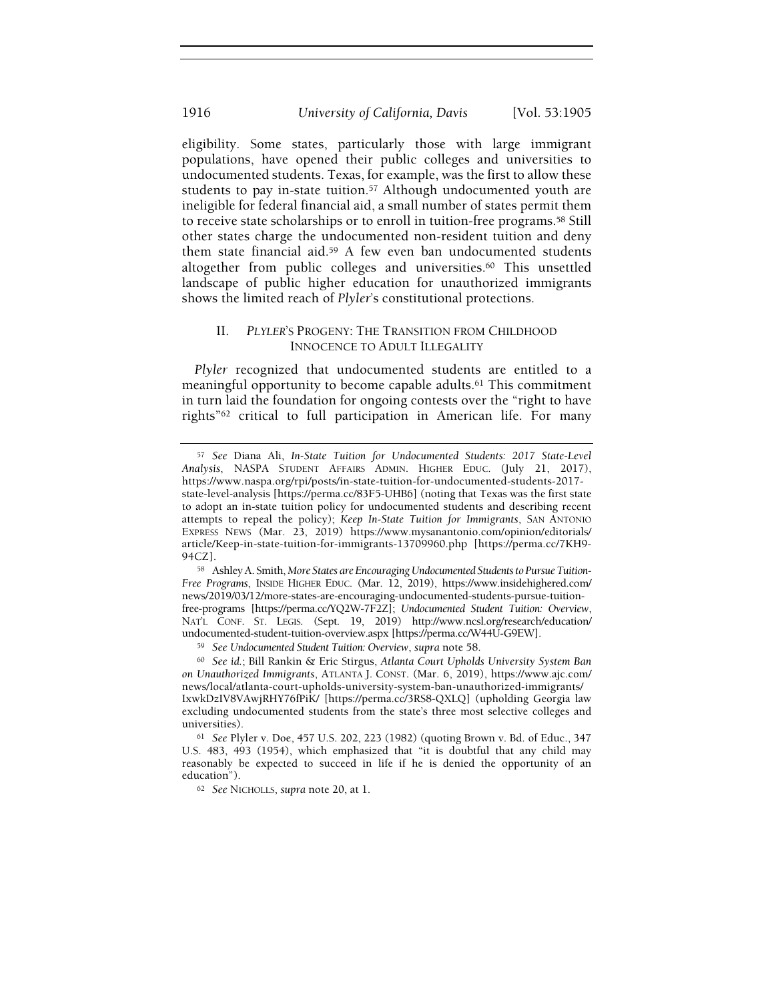eligibility. Some states, particularly those with large immigrant populations, have opened their public colleges and universities to undocumented students. Texas, for example, was the first to allow these students to pay in-state tuition.<sup>57</sup> Although undocumented youth are ineligible for federal financial aid, a small number of states permit them to receive state scholarships or to enroll in tuition-free programs.<sup>58</sup> Still other states charge the undocumented non-resident tuition and deny them state financial aid.<sup>59</sup> A few even ban undocumented students altogether from public colleges and universities.<sup>60</sup> This unsettled landscape of public higher education for unauthorized immigrants shows the limited reach of Plyler's constitutional protections.

# II. PLYLER'S PROGENY: THE TRANSITION FROM CHILDHOOD INNOCENCE TO ADULT ILLEGALITY

Plyler recognized that undocumented students are entitled to a meaningful opportunity to become capable adults.<sup>61</sup> This commitment in turn laid the foundation for ongoing contests over the "right to have rights"<sup>62</sup> critical to full participation in American life. For many

<sup>57</sup> See Diana Ali, In-State Tuition for Undocumented Students: 2017 State-Level Analysis, NASPA STUDENT AFFAIRS ADMIN. HIGHER EDUC. (July 21, 2017), https://www.naspa.org/rpi/posts/in-state-tuition-for-undocumented-students-2017 state-level-analysis [https://perma.cc/83F5-UHB6] (noting that Texas was the first state to adopt an in-state tuition policy for undocumented students and describing recent attempts to repeal the policy); Keep In-State Tuition for Immigrants, SAN ANTONIO EXPRESS NEWS (Mar. 23, 2019) https://www.mysanantonio.com/opinion/editorials/ article/Keep-in-state-tuition-for-immigrants-13709960.php [https://perma.cc/7KH9- 94CZ].

<sup>58</sup> Ashley A. Smith, More States are Encouraging Undocumented Students to Pursue Tuition-Free Programs, INSIDE HIGHER EDUC. (Mar. 12, 2019), https://www.insidehighered.com/ news/2019/03/12/more-states-are-encouraging-undocumented-students-pursue-tuitionfree-programs [https://perma.cc/YQ2W-7F2Z]; Undocumented Student Tuition: Overview, NAT'L CONF. ST. LEGIS. (Sept. 19, 2019) http://www.ncsl.org/research/education/ undocumented-student-tuition-overview.aspx [https://perma.cc/W44U-G9EW].

<sup>59</sup> See Undocumented Student Tuition: Overview, supra note 58.

<sup>60</sup> See id.; Bill Rankin & Eric Stirgus, Atlanta Court Upholds University System Ban on Unauthorized Immigrants, ATLANTA J. CONST. (Mar. 6, 2019), https://www.ajc.com/ news/local/atlanta-court-upholds-university-system-ban-unauthorized-immigrants/ IxwkDzIV8VAwjRHY76fPiK/ [https://perma.cc/3RS8-QXLQ] (upholding Georgia law excluding undocumented students from the state's three most selective colleges and universities).

<sup>61</sup> See Plyler v. Doe, 457 U.S. 202, 223 (1982) (quoting Brown v. Bd. of Educ., 347 U.S. 483, 493 (1954), which emphasized that "it is doubtful that any child may reasonably be expected to succeed in life if he is denied the opportunity of an education").

<sup>62</sup> See NICHOLLS, supra note 20, at 1.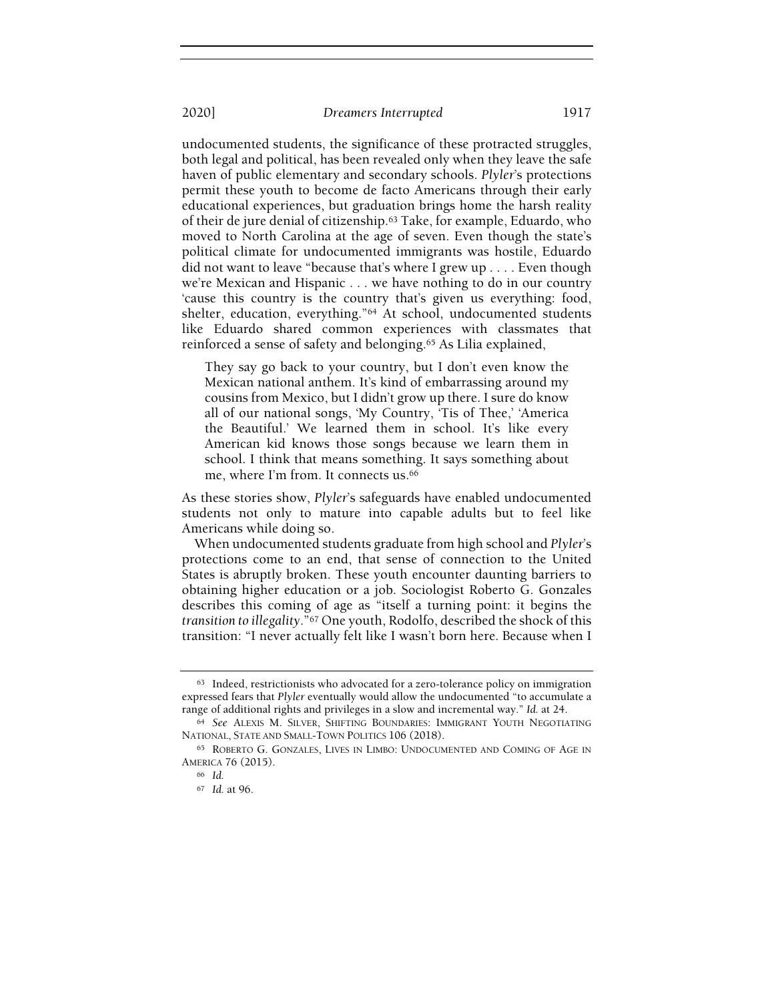undocumented students, the significance of these protracted struggles, both legal and political, has been revealed only when they leave the safe haven of public elementary and secondary schools. Plyler's protections permit these youth to become de facto Americans through their early educational experiences, but graduation brings home the harsh reality of their de jure denial of citizenship.<sup>63</sup> Take, for example, Eduardo, who moved to North Carolina at the age of seven. Even though the state's political climate for undocumented immigrants was hostile, Eduardo did not want to leave "because that's where I grew up . . . . Even though we're Mexican and Hispanic . . . we have nothing to do in our country 'cause this country is the country that's given us everything: food, shelter, education, everything."<sup>64</sup> At school, undocumented students like Eduardo shared common experiences with classmates that reinforced a sense of safety and belonging.<sup>65</sup> As Lilia explained,

They say go back to your country, but I don't even know the Mexican national anthem. It's kind of embarrassing around my cousins from Mexico, but I didn't grow up there. I sure do know all of our national songs, 'My Country, 'Tis of Thee,' 'America the Beautiful.' We learned them in school. It's like every American kid knows those songs because we learn them in school. I think that means something. It says something about me, where I'm from. It connects us.<sup>66</sup>

As these stories show, Plyler's safeguards have enabled undocumented students not only to mature into capable adults but to feel like Americans while doing so.

When undocumented students graduate from high school and Plyler's protections come to an end, that sense of connection to the United States is abruptly broken. These youth encounter daunting barriers to obtaining higher education or a job. Sociologist Roberto G. Gonzales describes this coming of age as "itself a turning point: it begins the transition to illegality."<sup>67</sup> One youth, Rodolfo, described the shock of this transition: "I never actually felt like I wasn't born here. Because when I

<sup>63</sup> Indeed, restrictionists who advocated for a zero-tolerance policy on immigration expressed fears that Plyler eventually would allow the undocumented "to accumulate a range of additional rights and privileges in a slow and incremental way." Id. at 24.

<sup>64</sup> See ALEXIS M. SILVER, SHIFTING BOUNDARIES: IMMIGRANT YOUTH NEGOTIATING NATIONAL, STATE AND SMALL-TOWN POLITICS 106 (2018).

<sup>65</sup> ROBERTO G. GONZALES, LIVES IN LIMBO: UNDOCUMENTED AND COMING OF AGE IN AMERICA 76 (2015).

<sup>66</sup> Id.

<sup>67</sup> Id. at 96.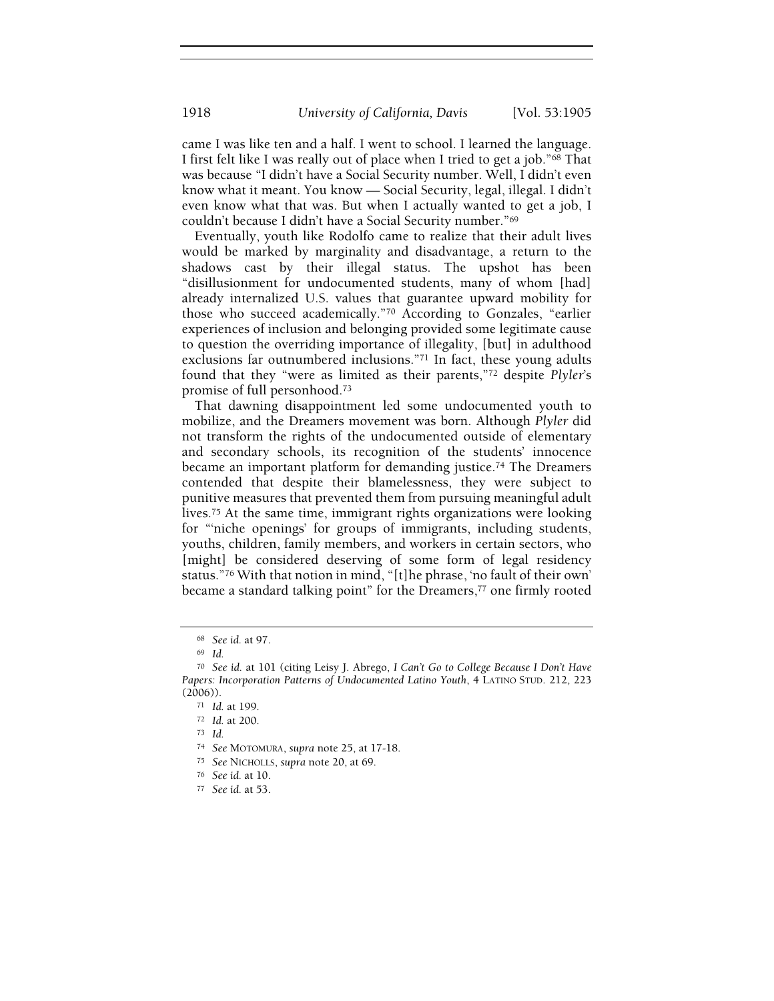came I was like ten and a half. I went to school. I learned the language. I first felt like I was really out of place when I tried to get a job."<sup>68</sup> That was because "I didn't have a Social Security number. Well, I didn't even know what it meant. You know — Social Security, legal, illegal. I didn't even know what that was. But when I actually wanted to get a job, I couldn't because I didn't have a Social Security number."<sup>69</sup>

Eventually, youth like Rodolfo came to realize that their adult lives would be marked by marginality and disadvantage, a return to the shadows cast by their illegal status. The upshot has been "disillusionment for undocumented students, many of whom [had] already internalized U.S. values that guarantee upward mobility for those who succeed academically."<sup>70</sup> According to Gonzales, "earlier experiences of inclusion and belonging provided some legitimate cause to question the overriding importance of illegality, [but] in adulthood exclusions far outnumbered inclusions."<sup>71</sup> In fact, these young adults found that they "were as limited as their parents,"<sup>72</sup> despite Plyler's promise of full personhood.<sup>73</sup>

That dawning disappointment led some undocumented youth to mobilize, and the Dreamers movement was born. Although Plyler did not transform the rights of the undocumented outside of elementary and secondary schools, its recognition of the students' innocence became an important platform for demanding justice.<sup>74</sup> The Dreamers contended that despite their blamelessness, they were subject to punitive measures that prevented them from pursuing meaningful adult lives.<sup>75</sup> At the same time, immigrant rights organizations were looking for "'niche openings' for groups of immigrants, including students, youths, children, family members, and workers in certain sectors, who [might] be considered deserving of some form of legal residency status."<sup>76</sup> With that notion in mind, "[t]he phrase, 'no fault of their own' became a standard talking point" for the Dreamers,<sup>77</sup> one firmly rooted

<sup>68</sup> See id. at 97.

<sup>69</sup> Id.

<sup>70</sup> See id. at 101 (citing Leisy J. Abrego, I Can't Go to College Because I Don't Have Papers: Incorporation Patterns of Undocumented Latino Youth, 4 LATINO STUD. 212, 223 (2006)).

<sup>71</sup> Id. at 199.

<sup>72</sup> Id. at 200.

<sup>73</sup> Id.

<sup>74</sup> See MOTOMURA, supra note 25, at 17-18.

<sup>75</sup> See NICHOLLS, supra note 20, at 69.

<sup>76</sup> See id. at 10.

<sup>77</sup> See id. at 53.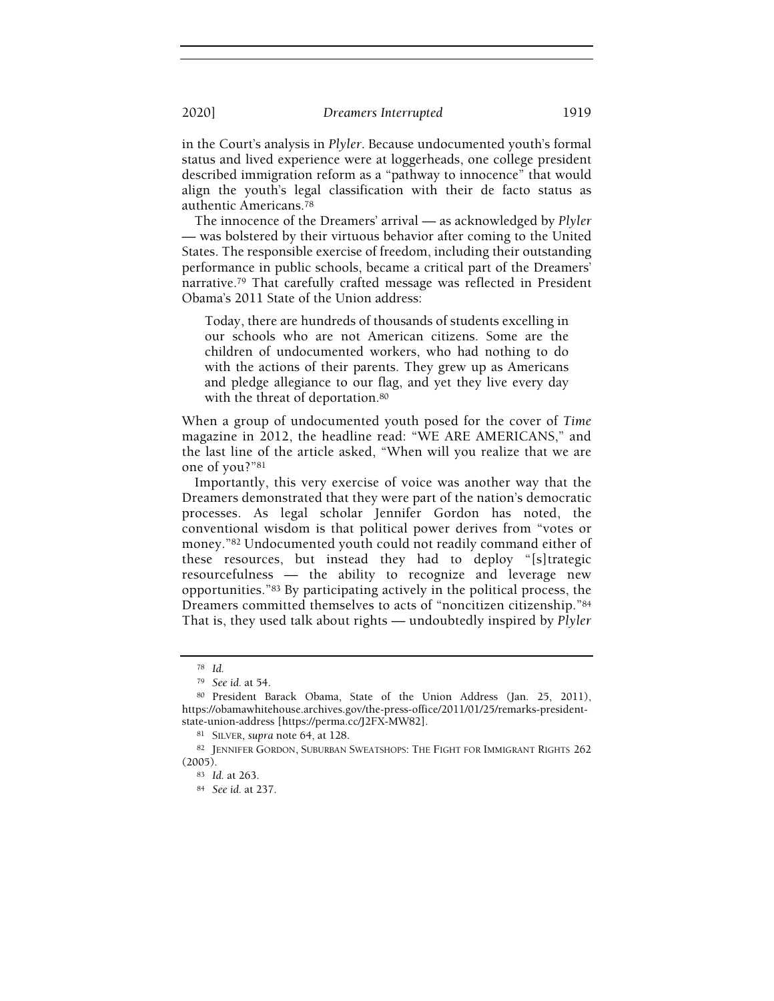in the Court's analysis in Plyler. Because undocumented youth's formal status and lived experience were at loggerheads, one college president described immigration reform as a "pathway to innocence" that would align the youth's legal classification with their de facto status as authentic Americans.<sup>78</sup>

The innocence of the Dreamers' arrival — as acknowledged by Plyler — was bolstered by their virtuous behavior after coming to the United States. The responsible exercise of freedom, including their outstanding performance in public schools, became a critical part of the Dreamers' narrative.<sup>79</sup> That carefully crafted message was reflected in President Obama's 2011 State of the Union address:

Today, there are hundreds of thousands of students excelling in our schools who are not American citizens. Some are the children of undocumented workers, who had nothing to do with the actions of their parents. They grew up as Americans and pledge allegiance to our flag, and yet they live every day with the threat of deportation.<sup>80</sup>

When a group of undocumented youth posed for the cover of Time magazine in 2012, the headline read: "WE ARE AMERICANS," and the last line of the article asked, "When will you realize that we are one of you?"<sup>81</sup>

Importantly, this very exercise of voice was another way that the Dreamers demonstrated that they were part of the nation's democratic processes. As legal scholar Jennifer Gordon has noted, the conventional wisdom is that political power derives from "votes or money."<sup>82</sup> Undocumented youth could not readily command either of these resources, but instead they had to deploy "[s]trategic resourcefulness — the ability to recognize and leverage new opportunities."<sup>83</sup> By participating actively in the political process, the Dreamers committed themselves to acts of "noncitizen citizenship."<sup>84</sup> That is, they used talk about rights — undoubtedly inspired by Plyler

<sup>78</sup> Id.

<sup>79</sup> See id. at 54.

<sup>80</sup> President Barack Obama, State of the Union Address (Jan. 25, 2011), https://obamawhitehouse.archives.gov/the-press-office/2011/01/25/remarks-presidentstate-union-address [https://perma.cc/J2FX-MW82].

<sup>81</sup> SILVER, supra note 64, at 128.

<sup>82</sup> JENNIFER GORDON, SUBURBAN SWEATSHOPS: THE FIGHT FOR IMMIGRANT RIGHTS 262 (2005).

<sup>83</sup> Id. at 263.

<sup>84</sup> See id. at 237.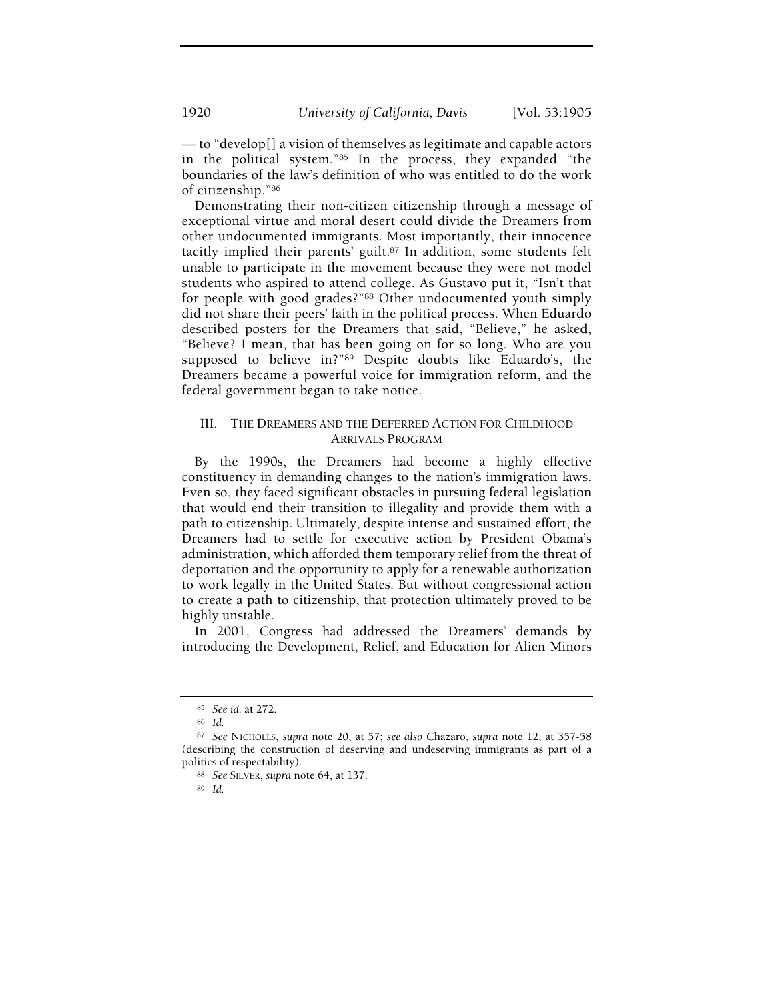— to "develop[] a vision of themselves as legitimate and capable actors in the political system."<sup>85</sup> In the process, they expanded "the boundaries of the law's definition of who was entitled to do the work of citizenship."<sup>86</sup>

Demonstrating their non-citizen citizenship through a message of exceptional virtue and moral desert could divide the Dreamers from other undocumented immigrants. Most importantly, their innocence tacitly implied their parents' guilt.<sup>87</sup> In addition, some students felt unable to participate in the movement because they were not model students who aspired to attend college. As Gustavo put it, "Isn't that for people with good grades?"<sup>88</sup> Other undocumented youth simply did not share their peers' faith in the political process. When Eduardo described posters for the Dreamers that said, "Believe," he asked, "Believe? I mean, that has been going on for so long. Who are you supposed to believe in?"<sup>89</sup> Despite doubts like Eduardo's, the Dreamers became a powerful voice for immigration reform, and the federal government began to take notice.

# III. THE DREAMERS AND THE DEFERRED ACTION FOR CHILDHOOD ARRIVALS PROGRAM

By the 1990s, the Dreamers had become a highly effective constituency in demanding changes to the nation's immigration laws. Even so, they faced significant obstacles in pursuing federal legislation that would end their transition to illegality and provide them with a path to citizenship. Ultimately, despite intense and sustained effort, the Dreamers had to settle for executive action by President Obama's administration, which afforded them temporary relief from the threat of deportation and the opportunity to apply for a renewable authorization to work legally in the United States. But without congressional action to create a path to citizenship, that protection ultimately proved to be highly unstable.

In 2001, Congress had addressed the Dreamers' demands by introducing the Development, Relief, and Education for Alien Minors

<sup>89</sup> Id.

<sup>85</sup> See id. at 272.

<sup>86</sup> Id.

<sup>87</sup> See NICHOLLS, supra note 20, at 57; see also Chazaro, supra note 12, at 357-58 (describing the construction of deserving and undeserving immigrants as part of a politics of respectability).

<sup>88</sup> See SILVER, supra note 64, at 137.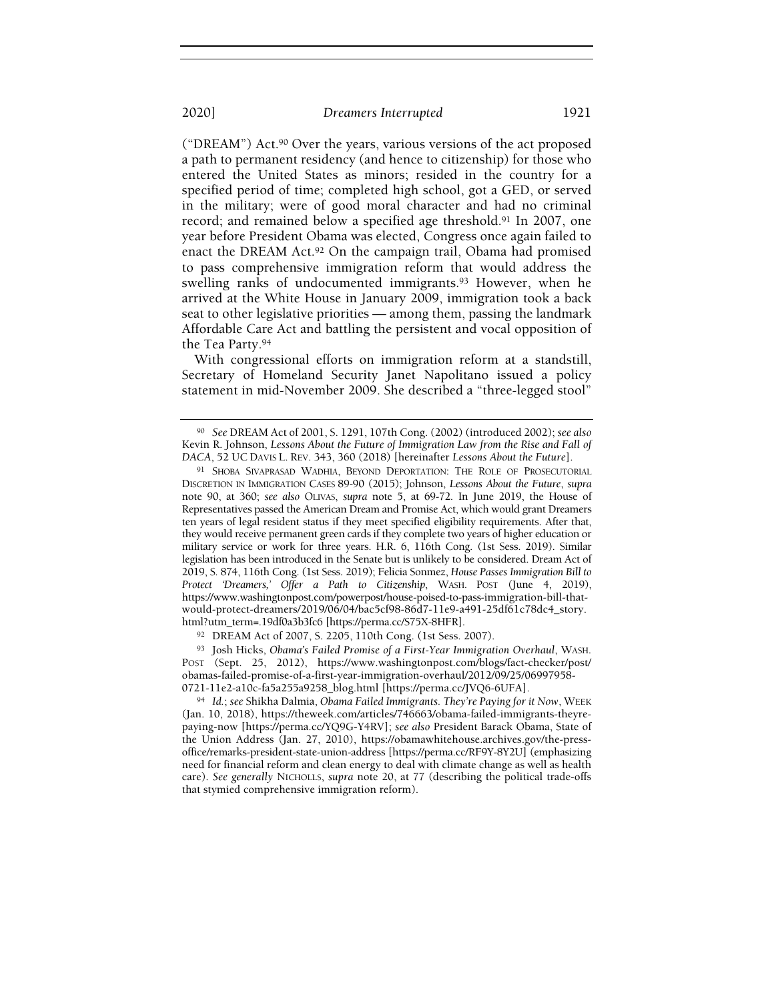("DREAM") Act.<sup>90</sup> Over the years, various versions of the act proposed a path to permanent residency (and hence to citizenship) for those who entered the United States as minors; resided in the country for a specified period of time; completed high school, got a GED, or served in the military; were of good moral character and had no criminal record; and remained below a specified age threshold.<sup>91</sup> In 2007, one year before President Obama was elected, Congress once again failed to enact the DREAM Act.<sup>92</sup> On the campaign trail, Obama had promised to pass comprehensive immigration reform that would address the swelling ranks of undocumented immigrants.<sup>93</sup> However, when he arrived at the White House in January 2009, immigration took a back seat to other legislative priorities — among them, passing the landmark Affordable Care Act and battling the persistent and vocal opposition of the Tea Party.<sup>94</sup>

With congressional efforts on immigration reform at a standstill, Secretary of Homeland Security Janet Napolitano issued a policy statement in mid-November 2009. She described a "three-legged stool"

<sup>92</sup> DREAM Act of 2007, S. 2205, 110th Cong. (1st Sess. 2007).

<sup>93</sup> Josh Hicks, Obama's Failed Promise of a First-Year Immigration Overhaul, WASH. POST (Sept. 25, 2012), https://www.washingtonpost.com/blogs/fact-checker/post/ obamas-failed-promise-of-a-first-year-immigration-overhaul/2012/09/25/06997958- 0721-11e2-a10c-fa5a255a9258\_blog.html [https://perma.cc/JVQ6-6UFA].

94 Id.; see Shikha Dalmia, Obama Failed Immigrants. They're Paying for it Now, WEEK (Jan. 10, 2018), https://theweek.com/articles/746663/obama-failed-immigrants-theyrepaying-now [https://perma.cc/YQ9G-Y4RV]; see also President Barack Obama, State of the Union Address (Jan. 27, 2010), https://obamawhitehouse.archives.gov/the-pressoffice/remarks-president-state-union-address [https://perma.cc/RF9Y-8Y2U] (emphasizing need for financial reform and clean energy to deal with climate change as well as health care). See generally NICHOLLS, supra note 20, at 77 (describing the political trade-offs that stymied comprehensive immigration reform).

<sup>90</sup> See DREAM Act of 2001, S. 1291, 107th Cong. (2002) (introduced 2002); see also Kevin R. Johnson, Lessons About the Future of Immigration Law from the Rise and Fall of DACA, 52 UC DAVIS L. REV. 343, 360 (2018) [hereinafter Lessons About the Future].

<sup>91</sup> SHOBA SIVAPRASAD WADHIA, BEYOND DEPORTATION: THE ROLE OF PROSECUTORIAL DISCRETION IN IMMIGRATION CASES 89-90 (2015); Johnson, Lessons About the Future, supra note 90, at 360; see also OLIVAS, supra note 5, at 69-72. In June 2019, the House of Representatives passed the American Dream and Promise Act, which would grant Dreamers ten years of legal resident status if they meet specified eligibility requirements. After that, they would receive permanent green cards if they complete two years of higher education or military service or work for three years. H.R. 6, 116th Cong. (1st Sess. 2019). Similar legislation has been introduced in the Senate but is unlikely to be considered. Dream Act of 2019, S. 874, 116th Cong. (1st Sess. 2019); Felicia Sonmez, House Passes Immigration Bill to Protect 'Dreamers,' Offer a Path to Citizenship, WASH. POST (June 4, 2019), https://www.washingtonpost.com/powerpost/house-poised-to-pass-immigration-bill-thatwould-protect-dreamers/2019/06/04/bac5cf98-86d7-11e9-a491-25df61c78dc4\_story. html?utm\_term=.19df0a3b3fc6 [https://perma.cc/S75X-8HFR].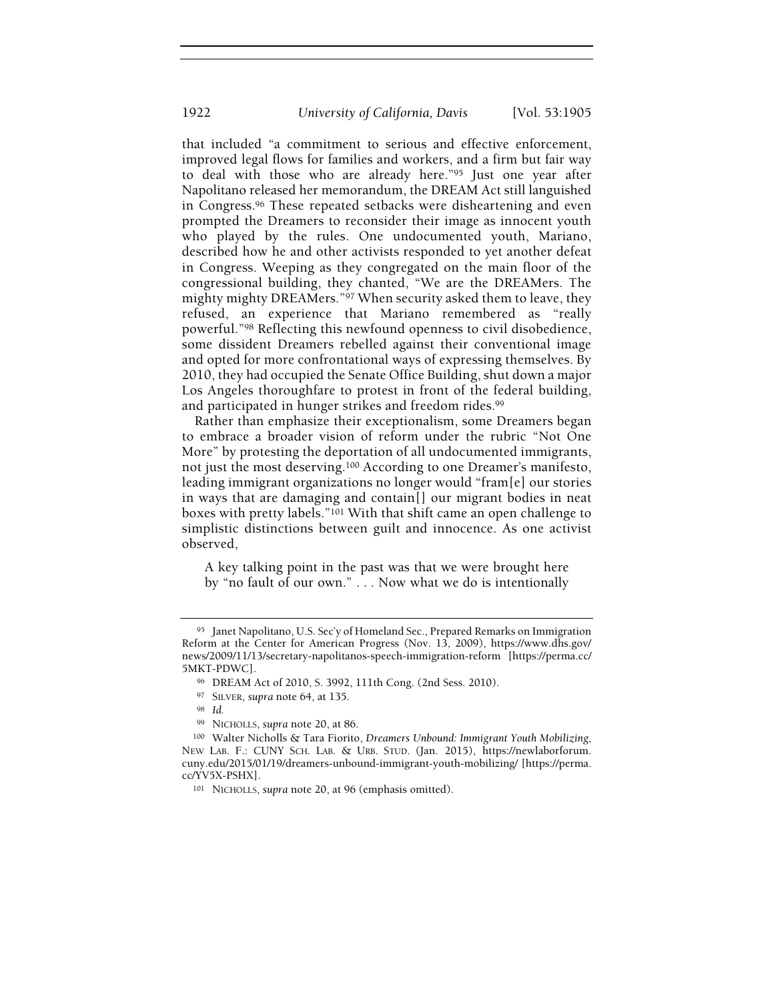that included "a commitment to serious and effective enforcement, improved legal flows for families and workers, and a firm but fair way to deal with those who are already here."<sup>95</sup> Just one year after Napolitano released her memorandum, the DREAM Act still languished in Congress.<sup>96</sup> These repeated setbacks were disheartening and even prompted the Dreamers to reconsider their image as innocent youth who played by the rules. One undocumented youth, Mariano, described how he and other activists responded to yet another defeat in Congress. Weeping as they congregated on the main floor of the congressional building, they chanted, "We are the DREAMers. The mighty mighty DREAMers."<sup>97</sup> When security asked them to leave, they refused, an experience that Mariano remembered as "really powerful."<sup>98</sup> Reflecting this newfound openness to civil disobedience, some dissident Dreamers rebelled against their conventional image and opted for more confrontational ways of expressing themselves. By 2010, they had occupied the Senate Office Building, shut down a major Los Angeles thoroughfare to protest in front of the federal building, and participated in hunger strikes and freedom rides.<sup>99</sup>

Rather than emphasize their exceptionalism, some Dreamers began to embrace a broader vision of reform under the rubric "Not One More" by protesting the deportation of all undocumented immigrants, not just the most deserving.<sup>100</sup> According to one Dreamer's manifesto, leading immigrant organizations no longer would "fram[e] our stories in ways that are damaging and contain[] our migrant bodies in neat boxes with pretty labels."<sup>101</sup> With that shift came an open challenge to simplistic distinctions between guilt and innocence. As one activist observed,

A key talking point in the past was that we were brought here by "no fault of our own." . . . Now what we do is intentionally

<sup>95</sup> Janet Napolitano, U.S. Sec'y of Homeland Sec., Prepared Remarks on Immigration Reform at the Center for American Progress (Nov. 13, 2009), https://www.dhs.gov/ news/2009/11/13/secretary-napolitanos-speech-immigration-reform [https://perma.cc/ 5MKT-PDWC].

<sup>96</sup> DREAM Act of 2010, S. 3992, 111th Cong. (2nd Sess. 2010).

<sup>97</sup> SILVER, supra note 64, at 135.

<sup>98</sup> Id.

<sup>99</sup> NICHOLLS, supra note 20, at 86.

<sup>100</sup> Walter Nicholls & Tara Fiorito, Dreamers Unbound: Immigrant Youth Mobilizing, NEW LAB. F.: CUNY SCH. LAB. & URB. STUD. (Jan. 2015), https://newlaborforum. cuny.edu/2015/01/19/dreamers-unbound-immigrant-youth-mobilizing/ [https://perma. cc/YV5X-PSHX].

<sup>101</sup> NICHOLLS, supra note 20, at 96 (emphasis omitted).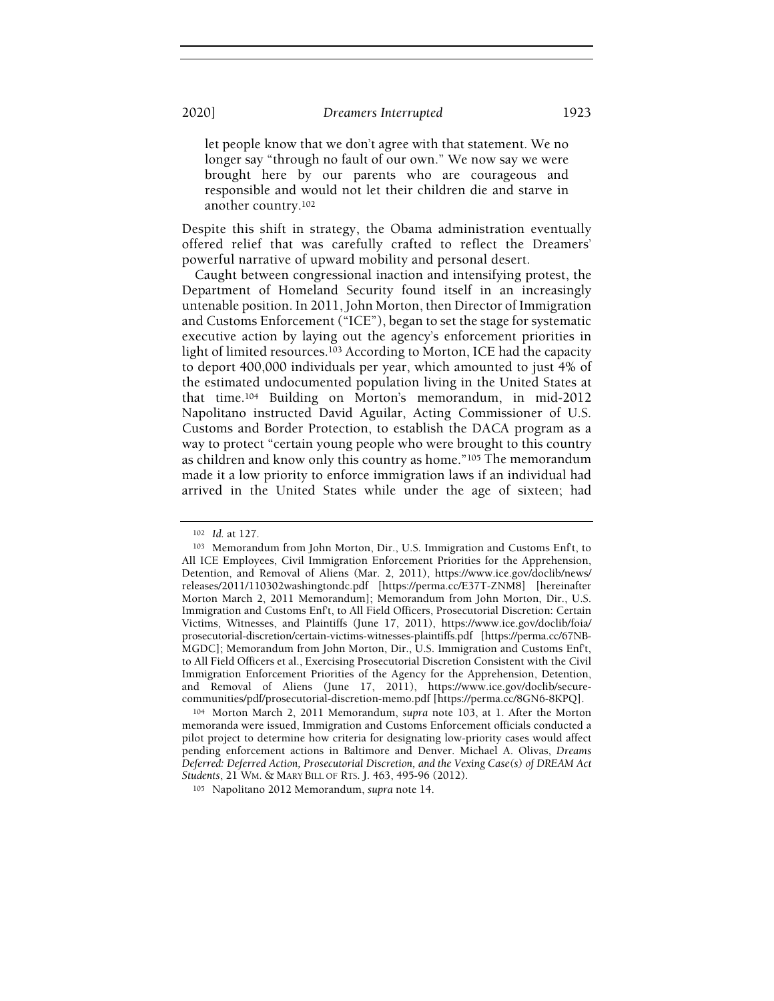let people know that we don't agree with that statement. We no longer say "through no fault of our own." We now say we were brought here by our parents who are courageous and responsible and would not let their children die and starve in another country.<sup>102</sup>

Despite this shift in strategy, the Obama administration eventually offered relief that was carefully crafted to reflect the Dreamers' powerful narrative of upward mobility and personal desert.

Caught between congressional inaction and intensifying protest, the Department of Homeland Security found itself in an increasingly untenable position. In 2011, John Morton, then Director of Immigration and Customs Enforcement ("ICE"), began to set the stage for systematic executive action by laying out the agency's enforcement priorities in light of limited resources.<sup>103</sup> According to Morton, ICE had the capacity to deport 400,000 individuals per year, which amounted to just 4% of the estimated undocumented population living in the United States at that time.<sup>104</sup> Building on Morton's memorandum, in mid-2012 Napolitano instructed David Aguilar, Acting Commissioner of U.S. Customs and Border Protection, to establish the DACA program as a way to protect "certain young people who were brought to this country as children and know only this country as home."<sup>105</sup> The memorandum made it a low priority to enforce immigration laws if an individual had arrived in the United States while under the age of sixteen; had

<sup>102</sup> Id. at 127.

<sup>103</sup> Memorandum from John Morton, Dir., U.S. Immigration and Customs Enf't, to All ICE Employees, Civil Immigration Enforcement Priorities for the Apprehension, Detention, and Removal of Aliens (Mar. 2, 2011), https://www.ice.gov/doclib/news/ releases/2011/110302washingtondc.pdf [https://perma.cc/E37T-ZNM8] [hereinafter Morton March 2, 2011 Memorandum]; Memorandum from John Morton, Dir., U.S. Immigration and Customs Enf't, to All Field Officers, Prosecutorial Discretion: Certain Victims, Witnesses, and Plaintiffs (June 17, 2011), https://www.ice.gov/doclib/foia/ prosecutorial-discretion/certain-victims-witnesses-plaintiffs.pdf [https://perma.cc/67NB-MGDC]; Memorandum from John Morton, Dir., U.S. Immigration and Customs Enf't, to All Field Officers et al., Exercising Prosecutorial Discretion Consistent with the Civil Immigration Enforcement Priorities of the Agency for the Apprehension, Detention, and Removal of Aliens (June 17, 2011), https://www.ice.gov/doclib/securecommunities/pdf/prosecutorial-discretion-memo.pdf [https://perma.cc/8GN6-8KPQ].

<sup>104</sup> Morton March 2, 2011 Memorandum, supra note 103, at 1. After the Morton memoranda were issued, Immigration and Customs Enforcement officials conducted a pilot project to determine how criteria for designating low-priority cases would affect pending enforcement actions in Baltimore and Denver. Michael A. Olivas, Dreams Deferred: Deferred Action, Prosecutorial Discretion, and the Vexing Case(s) of DREAM Act Students, 21 WM. & MARY BILL OF RTS. J. 463, 495-96 (2012).

<sup>105</sup> Napolitano 2012 Memorandum, supra note 14.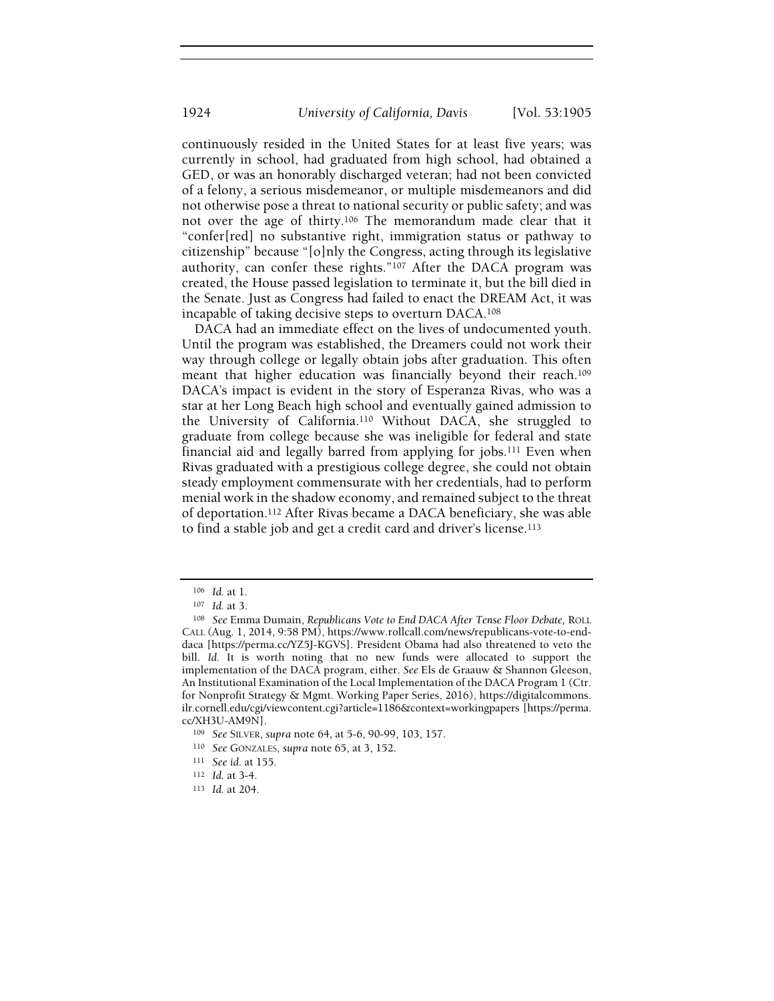continuously resided in the United States for at least five years; was currently in school, had graduated from high school, had obtained a GED, or was an honorably discharged veteran; had not been convicted of a felony, a serious misdemeanor, or multiple misdemeanors and did not otherwise pose a threat to national security or public safety; and was not over the age of thirty.<sup>106</sup> The memorandum made clear that it "confer[red] no substantive right, immigration status or pathway to citizenship" because "[o]nly the Congress, acting through its legislative authority, can confer these rights."<sup>107</sup> After the DACA program was created, the House passed legislation to terminate it, but the bill died in the Senate. Just as Congress had failed to enact the DREAM Act, it was incapable of taking decisive steps to overturn DACA.<sup>108</sup>

DACA had an immediate effect on the lives of undocumented youth. Until the program was established, the Dreamers could not work their way through college or legally obtain jobs after graduation. This often meant that higher education was financially beyond their reach.<sup>109</sup> DACA's impact is evident in the story of Esperanza Rivas, who was a star at her Long Beach high school and eventually gained admission to the University of California.<sup>110</sup> Without DACA, she struggled to graduate from college because she was ineligible for federal and state financial aid and legally barred from applying for jobs.<sup>111</sup> Even when Rivas graduated with a prestigious college degree, she could not obtain steady employment commensurate with her credentials, had to perform menial work in the shadow economy, and remained subject to the threat of deportation.<sup>112</sup> After Rivas became a DACA beneficiary, she was able to find a stable job and get a credit card and driver's license.<sup>113</sup>

<sup>106</sup> Id. at 1.

<sup>107</sup> Id. at 3.

<sup>&</sup>lt;sup>108</sup> See Emma Dumain, Republicans Vote to End DACA After Tense Floor Debate, ROLL CALL (Aug. 1, 2014, 9:58 PM), https://www.rollcall.com/news/republicans-vote-to-enddaca [https://perma.cc/YZ5J-KGVS]. President Obama had also threatened to veto the bill. Id. It is worth noting that no new funds were allocated to support the implementation of the DACA program, either. See Els de Graauw & Shannon Gleeson, An Institutional Examination of the Local Implementation of the DACA Program 1 (Ctr. for Nonprofit Strategy & Mgmt. Working Paper Series, 2016), https://digitalcommons. ilr.cornell.edu/cgi/viewcontent.cgi?article=1186&context=workingpapers [https://perma. cc/XH3U-AM9N].

<sup>109</sup> See SILVER, supra note 64, at 5-6, 90-99, 103, 157.

<sup>110</sup> See GONZALES, supra note 65, at 3, 152.

<sup>111</sup> See id. at 155.

<sup>112</sup> Id. at 3-4.

<sup>113</sup> Id. at 204.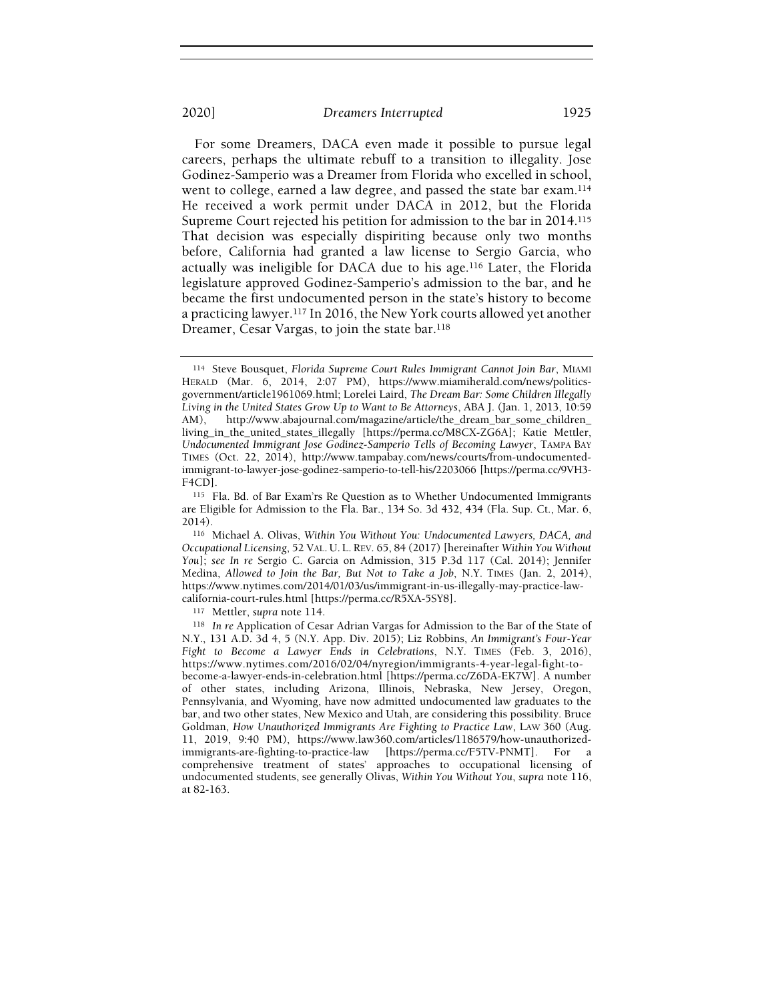For some Dreamers, DACA even made it possible to pursue legal careers, perhaps the ultimate rebuff to a transition to illegality. Jose Godinez-Samperio was a Dreamer from Florida who excelled in school, went to college, earned a law degree, and passed the state bar exam.<sup>114</sup> He received a work permit under DACA in 2012, but the Florida Supreme Court rejected his petition for admission to the bar in 2014.<sup>115</sup> That decision was especially dispiriting because only two months before, California had granted a law license to Sergio Garcia, who actually was ineligible for DACA due to his age.<sup>116</sup> Later, the Florida legislature approved Godinez-Samperio's admission to the bar, and he became the first undocumented person in the state's history to become a practicing lawyer.<sup>117</sup> In 2016, the New York courts allowed yet another Dreamer, Cesar Vargas, to join the state bar.<sup>118</sup>

<sup>117</sup> Mettler, supra note 114.

<sup>114</sup> Steve Bousquet, Florida Supreme Court Rules Immigrant Cannot Join Bar, MIAMI HERALD (Mar. 6, 2014, 2:07 PM), https://www.miamiherald.com/news/politicsgovernment/article1961069.html; Lorelei Laird, The Dream Bar: Some Children Illegally Living in the United States Grow Up to Want to Be Attorneys, ABA J. (Jan. 1, 2013, 10:59 AM), http://www.abajournal.com/magazine/article/the\_dream\_bar\_some\_children http://www.abajournal.com/magazine/article/the\_dream\_bar\_some\_children\_ living\_in\_the\_united\_states\_illegally [https://perma.cc/M8CX-ZG6A]; Katie Mettler, Undocumented Immigrant Jose Godinez-Samperio Tells of Becoming Lawyer, TAMPA BAY TIMES (Oct. 22, 2014), http://www.tampabay.com/news/courts/from-undocumentedimmigrant-to-lawyer-jose-godinez-samperio-to-tell-his/2203066 [https://perma.cc/9VH3- F4CD].

<sup>115</sup> Fla. Bd. of Bar Exam'rs Re Question as to Whether Undocumented Immigrants are Eligible for Admission to the Fla. Bar., 134 So. 3d 432, 434 (Fla. Sup. Ct., Mar. 6, 2014).

<sup>116</sup> Michael A. Olivas, Within You Without You: Undocumented Lawyers, DACA, and Occupational Licensing, 52 VAL. U. L. REV. 65, 84 (2017) [hereinafter Within You Without You]; see In re Sergio C. Garcia on Admission, 315 P.3d 117 (Cal. 2014); Jennifer Medina, Allowed to Join the Bar, But Not to Take a Job, N.Y. TIMES (Jan. 2, 2014), https://www.nytimes.com/2014/01/03/us/immigrant-in-us-illegally-may-practice-lawcalifornia-court-rules.html [https://perma.cc/R5XA-5SY8].

<sup>118</sup> In re Application of Cesar Adrian Vargas for Admission to the Bar of the State of N.Y., 131 A.D. 3d 4, 5 (N.Y. App. Div. 2015); Liz Robbins, An Immigrant's Four-Year Fight to Become a Lawyer Ends in Celebrations, N.Y. TIMES (Feb. 3, 2016), https://www.nytimes.com/2016/02/04/nyregion/immigrants-4-year-legal-fight-tobecome-a-lawyer-ends-in-celebration.html [https://perma.cc/Z6DA-EK7W]. A number of other states, including Arizona, Illinois, Nebraska, New Jersey, Oregon, Pennsylvania, and Wyoming, have now admitted undocumented law graduates to the bar, and two other states, New Mexico and Utah, are considering this possibility. Bruce Goldman, How Unauthorized Immigrants Are Fighting to Practice Law, LAW 360 (Aug. 11, 2019, 9:40 PM), https://www.law360.com/articles/1186579/how-unauthorizedimmigrants-are-fighting-to-practice-law [https://perma.cc/F5TV-PNMT]. For a comprehensive treatment of states' approaches to occupational licensing of undocumented students, see generally Olivas, Within You Without You, supra note 116, at 82-163.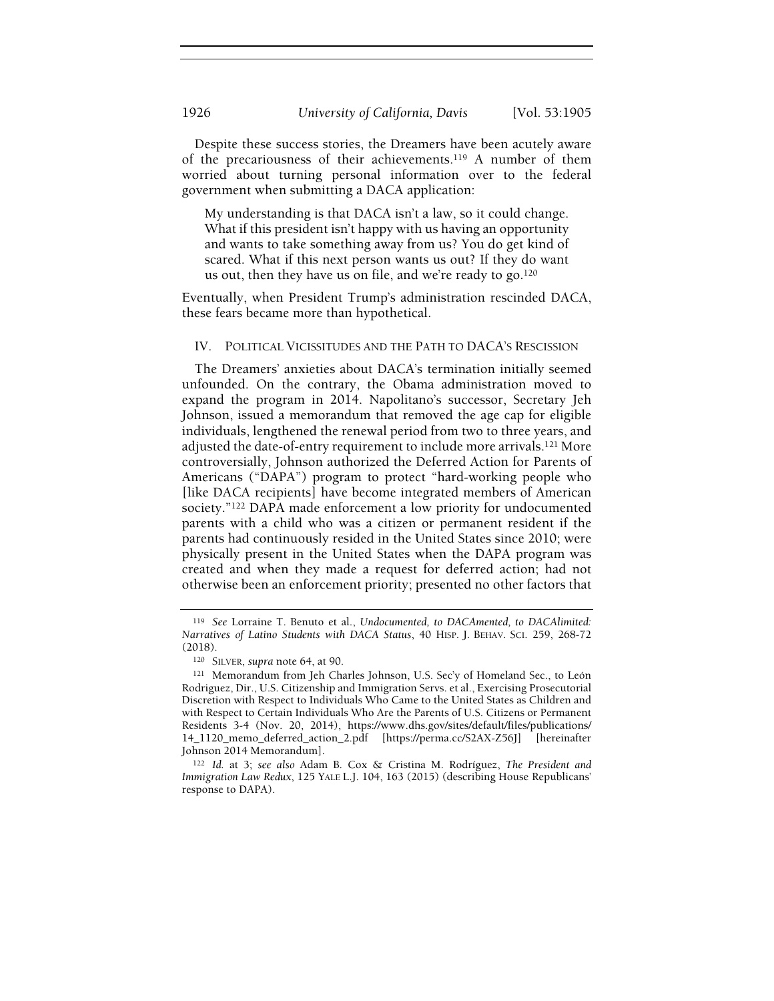Despite these success stories, the Dreamers have been acutely aware of the precariousness of their achievements.<sup>119</sup> A number of them worried about turning personal information over to the federal government when submitting a DACA application:

My understanding is that DACA isn't a law, so it could change. What if this president isn't happy with us having an opportunity and wants to take something away from us? You do get kind of scared. What if this next person wants us out? If they do want us out, then they have us on file, and we're ready to go.<sup>120</sup>

Eventually, when President Trump's administration rescinded DACA, these fears became more than hypothetical.

#### IV. POLITICAL VICISSITUDES AND THE PATH TO DACA'S RESCISSION

The Dreamers' anxieties about DACA's termination initially seemed unfounded. On the contrary, the Obama administration moved to expand the program in 2014. Napolitano's successor, Secretary Jeh Johnson, issued a memorandum that removed the age cap for eligible individuals, lengthened the renewal period from two to three years, and adjusted the date-of-entry requirement to include more arrivals.<sup>121</sup> More controversially, Johnson authorized the Deferred Action for Parents of Americans ("DAPA") program to protect "hard-working people who [like DACA recipients] have become integrated members of American society."<sup>122</sup> DAPA made enforcement a low priority for undocumented parents with a child who was a citizen or permanent resident if the parents had continuously resided in the United States since 2010; were physically present in the United States when the DAPA program was created and when they made a request for deferred action; had not otherwise been an enforcement priority; presented no other factors that

<sup>119</sup> See Lorraine T. Benuto et al., Undocumented, to DACAmented, to DACAlimited: Narratives of Latino Students with DACA Status, 40 HISP. J. BEHAV. SCI. 259, 268-72 (2018).

<sup>120</sup> SILVER, supra note 64, at 90.

<sup>121</sup> Memorandum from Jeh Charles Johnson, U.S. Sec'y of Homeland Sec., to León Rodriguez, Dir., U.S. Citizenship and Immigration Servs. et al., Exercising Prosecutorial Discretion with Respect to Individuals Who Came to the United States as Children and with Respect to Certain Individuals Who Are the Parents of U.S. Citizens or Permanent Residents 3-4 (Nov. 20, 2014), https://www.dhs.gov/sites/default/files/publications/ 14\_1120\_memo\_deferred\_action\_2.pdf [https://perma.cc/S2AX-Z56J] [hereinafter Johnson 2014 Memorandum].

<sup>122</sup> Id. at 3; see also Adam B. Cox & Cristina M. Rodríguez, The President and Immigration Law Redux, 125 YALE L.J. 104, 163 (2015) (describing House Republicans' response to DAPA).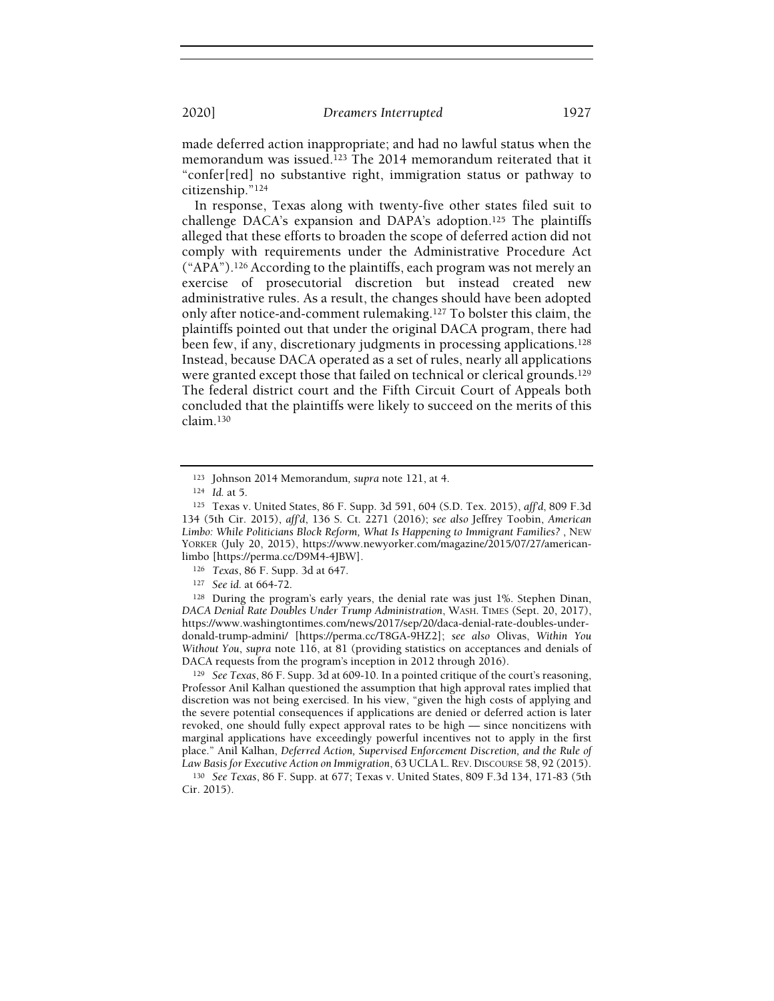made deferred action inappropriate; and had no lawful status when the memorandum was issued.<sup>123</sup> The 2014 memorandum reiterated that it "confer[red] no substantive right, immigration status or pathway to citizenship."<sup>124</sup>

In response, Texas along with twenty-five other states filed suit to challenge DACA's expansion and DAPA's adoption.<sup>125</sup> The plaintiffs alleged that these efforts to broaden the scope of deferred action did not comply with requirements under the Administrative Procedure Act ("APA").<sup>126</sup> According to the plaintiffs, each program was not merely an exercise of prosecutorial discretion but instead created new administrative rules. As a result, the changes should have been adopted only after notice-and-comment rulemaking.<sup>127</sup> To bolster this claim, the plaintiffs pointed out that under the original DACA program, there had been few, if any, discretionary judgments in processing applications.<sup>128</sup> Instead, because DACA operated as a set of rules, nearly all applications were granted except those that failed on technical or clerical grounds.<sup>129</sup> The federal district court and the Fifth Circuit Court of Appeals both concluded that the plaintiffs were likely to succeed on the merits of this claim.<sup>130</sup>

<sup>123</sup> Johnson 2014 Memorandum, supra note 121, at 4.

<sup>124</sup> Id. at 5.

<sup>125</sup> Texas v. United States, 86 F. Supp. 3d 591, 604 (S.D. Tex. 2015), aff'd, 809 F.3d 134 (5th Cir. 2015), aff'd, 136 S. Ct. 2271 (2016); see also Jeffrey Toobin, American Limbo: While Politicians Block Reform, What Is Happening to Immigrant Families? , NEW YORKER (July 20, 2015), https://www.newyorker.com/magazine/2015/07/27/americanlimbo [https://perma.cc/D9M4-4JBW].

<sup>126</sup> Texas, 86 F. Supp. 3d at 647.

<sup>127</sup> See id. at 664-72.

<sup>128</sup> During the program's early years, the denial rate was just 1%. Stephen Dinan, DACA Denial Rate Doubles Under Trump Administration, WASH. TIMES (Sept. 20, 2017), https://www.washingtontimes.com/news/2017/sep/20/daca-denial-rate-doubles-underdonald-trump-admini/ [https://perma.cc/T8GA-9HZ2]; see also Olivas, Within You Without You, supra note 116, at 81 (providing statistics on acceptances and denials of DACA requests from the program's inception in 2012 through 2016).

<sup>129</sup> See Texas, 86 F. Supp. 3d at 609-10. In a pointed critique of the court's reasoning, Professor Anil Kalhan questioned the assumption that high approval rates implied that discretion was not being exercised. In his view, "given the high costs of applying and the severe potential consequences if applications are denied or deferred action is later revoked, one should fully expect approval rates to be high — since noncitizens with marginal applications have exceedingly powerful incentives not to apply in the first place." Anil Kalhan, Deferred Action, Supervised Enforcement Discretion, and the Rule of Law Basis for Executive Action on Immigration, 63 UCLAL. REV. DISCOURSE 58, 92 (2015).

<sup>130</sup> See Texas, 86 F. Supp. at 677; Texas v. United States, 809 F.3d 134, 171-83 (5th Cir. 2015).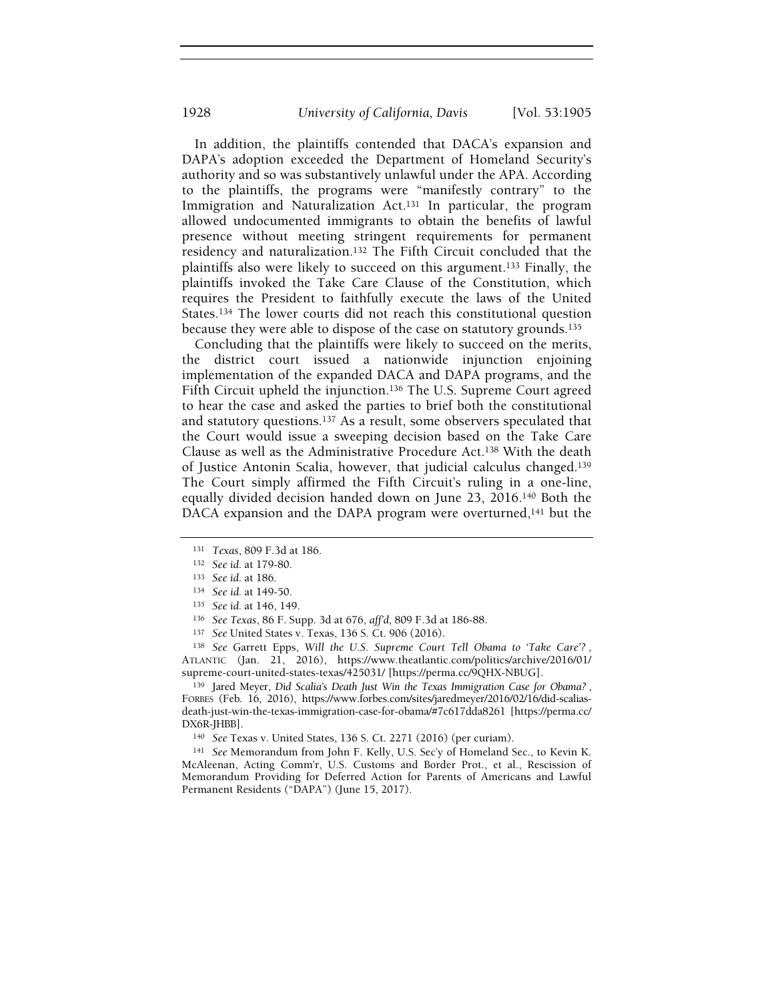In addition, the plaintiffs contended that DACA's expansion and DAPA's adoption exceeded the Department of Homeland Security's authority and so was substantively unlawful under the APA. According to the plaintiffs, the programs were "manifestly contrary" to the Immigration and Naturalization Act.<sup>131</sup> In particular, the program allowed undocumented immigrants to obtain the benefits of lawful presence without meeting stringent requirements for permanent residency and naturalization.<sup>132</sup> The Fifth Circuit concluded that the plaintiffs also were likely to succeed on this argument.<sup>133</sup> Finally, the plaintiffs invoked the Take Care Clause of the Constitution, which requires the President to faithfully execute the laws of the United States.<sup>134</sup> The lower courts did not reach this constitutional question because they were able to dispose of the case on statutory grounds.<sup>135</sup>

Concluding that the plaintiffs were likely to succeed on the merits, the district court issued a nationwide injunction enjoining implementation of the expanded DACA and DAPA programs, and the Fifth Circuit upheld the injunction.<sup>136</sup> The U.S. Supreme Court agreed to hear the case and asked the parties to brief both the constitutional and statutory questions.<sup>137</sup> As a result, some observers speculated that the Court would issue a sweeping decision based on the Take Care Clause as well as the Administrative Procedure Act.<sup>138</sup> With the death of Justice Antonin Scalia, however, that judicial calculus changed.<sup>139</sup> The Court simply affirmed the Fifth Circuit's ruling in a one-line, equally divided decision handed down on June 23, 2016.<sup>140</sup> Both the DACA expansion and the DAPA program were overturned,<sup>141</sup> but the

138 See Garrett Epps, Will the U.S. Supreme Court Tell Obama to 'Take Care'? ATLANTIC (Jan. 21, 2016), https://www.theatlantic.com/politics/archive/2016/01/ supreme-court-united-states-texas/425031/ [https://perma.cc/9QHX-NBUG].

139 Jared Meyer, Did Scalia's Death Just Win the Texas Immigration Case for Obama?, FORBES (Feb. 16, 2016), https://www.forbes.com/sites/jaredmeyer/2016/02/16/did-scaliasdeath-just-win-the-texas-immigration-case-for-obama/#7c617dda8261 [https://perma.cc/ DX6R-JHBB].

<sup>140</sup> See Texas v. United States, 136 S. Ct. 2271 (2016) (per curiam).

<sup>141</sup> See Memorandum from John F. Kelly, U.S. Sec'y of Homeland Sec., to Kevin K. McAleenan, Acting Comm'r, U.S. Customs and Border Prot., et al., Rescission of Memorandum Providing for Deferred Action for Parents of Americans and Lawful Permanent Residents ("DAPA") (June 15, 2017).

<sup>131</sup> Texas, 809 F.3d at 186.

<sup>132</sup> See id. at 179-80.

<sup>133</sup> See id. at 186.

<sup>134</sup> See id. at 149-50.

<sup>135</sup> See id. at 146, 149.

<sup>136</sup> See Texas, 86 F. Supp. 3d at 676, aff'd, 809 F.3d at 186-88.

<sup>137</sup> See United States v. Texas, 136 S. Ct. 906 (2016).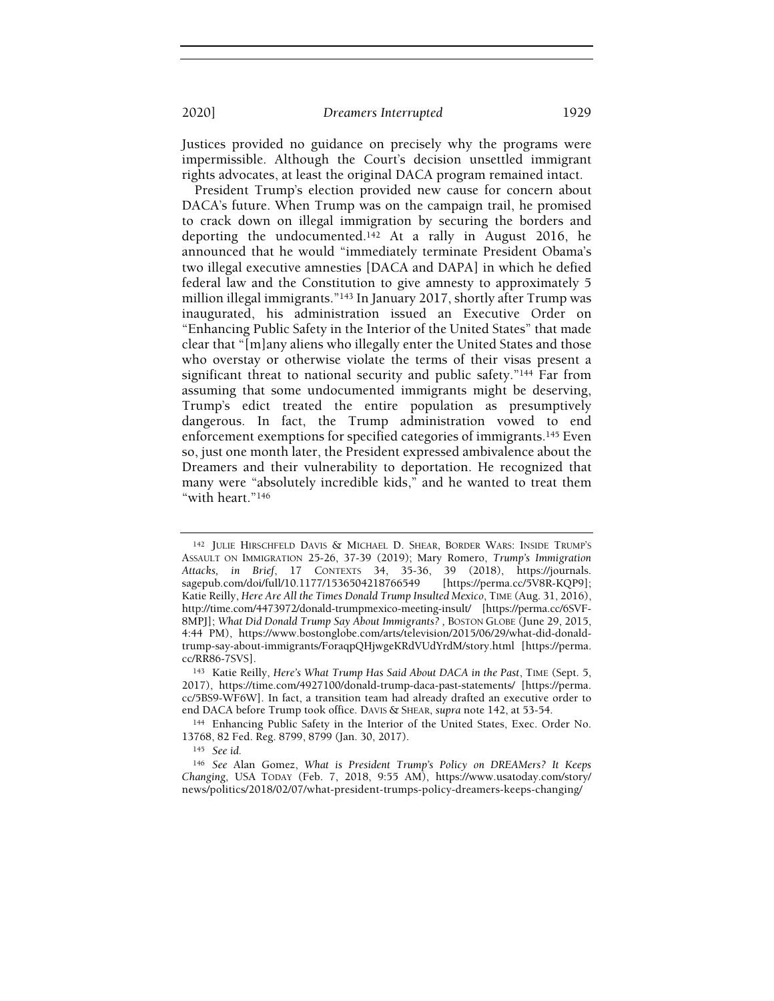Justices provided no guidance on precisely why the programs were impermissible. Although the Court's decision unsettled immigrant rights advocates, at least the original DACA program remained intact.

President Trump's election provided new cause for concern about DACA's future. When Trump was on the campaign trail, he promised to crack down on illegal immigration by securing the borders and deporting the undocumented.<sup>142</sup> At a rally in August 2016, he announced that he would "immediately terminate President Obama's two illegal executive amnesties [DACA and DAPA] in which he defied federal law and the Constitution to give amnesty to approximately 5 million illegal immigrants."<sup>143</sup> In January 2017, shortly after Trump was inaugurated, his administration issued an Executive Order on "Enhancing Public Safety in the Interior of the United States" that made clear that "[m]any aliens who illegally enter the United States and those who overstay or otherwise violate the terms of their visas present a significant threat to national security and public safety."144 Far from assuming that some undocumented immigrants might be deserving, Trump's edict treated the entire population as presumptively dangerous. In fact, the Trump administration vowed to end enforcement exemptions for specified categories of immigrants.<sup>145</sup> Even so, just one month later, the President expressed ambivalence about the Dreamers and their vulnerability to deportation. He recognized that many were "absolutely incredible kids," and he wanted to treat them "with heart."<sup>146</sup>

<sup>142</sup> JULIE HIRSCHFELD DAVIS & MICHAEL D. SHEAR, BORDER WARS: INSIDE TRUMP'<sup>S</sup> ASSAULT ON IMMIGRATION 25-26, 37-39 (2019); Mary Romero, Trump's Immigration Attacks, in Brief, 17 CONTEXTS 34, 35-36, 39 (2018), https://journals.<br>sagepub.com/doi/full/10.1177/1536504218766549 [https://perma.cc/5V8R-KQP9]; sagepub.com/doi/full/10.1177/1536504218766549 Katie Reilly, Here Are All the Times Donald Trump Insulted Mexico, TIME (Aug. 31, 2016), http://time.com/4473972/donald-trumpmexico-meeting-insult/ [https://perma.cc/6SVF-8MPJ]; What Did Donald Trump Say About Immigrants? , BOSTON GLOBE (June 29, 2015, 4:44 PM), https://www.bostonglobe.com/arts/television/2015/06/29/what-did-donaldtrump-say-about-immigrants/ForaqpQHjwgeKRdVUdYrdM/story.html [https://perma. cc/RR86-7SVS].

<sup>&</sup>lt;sup>143</sup> Katie Reilly, Here's What Trump Has Said About DACA in the Past, TIME (Sept. 5, 2017), https://time.com/4927100/donald-trump-daca-past-statements/ [https://perma. cc/5BS9-WF6W]. In fact, a transition team had already drafted an executive order to end DACA before Trump took office. DAVIS & SHEAR, supra note 142, at 53-54.

<sup>144</sup> Enhancing Public Safety in the Interior of the United States, Exec. Order No. 13768, 82 Fed. Reg. 8799, 8799 (Jan. 30, 2017).

<sup>145</sup> See id.

<sup>146</sup> See Alan Gomez, What is President Trump's Policy on DREAMers? It Keeps Changing, USA TODAY (Feb. 7, 2018, 9:55 AM), https://www.usatoday.com/story/ news/politics/2018/02/07/what-president-trumps-policy-dreamers-keeps-changing/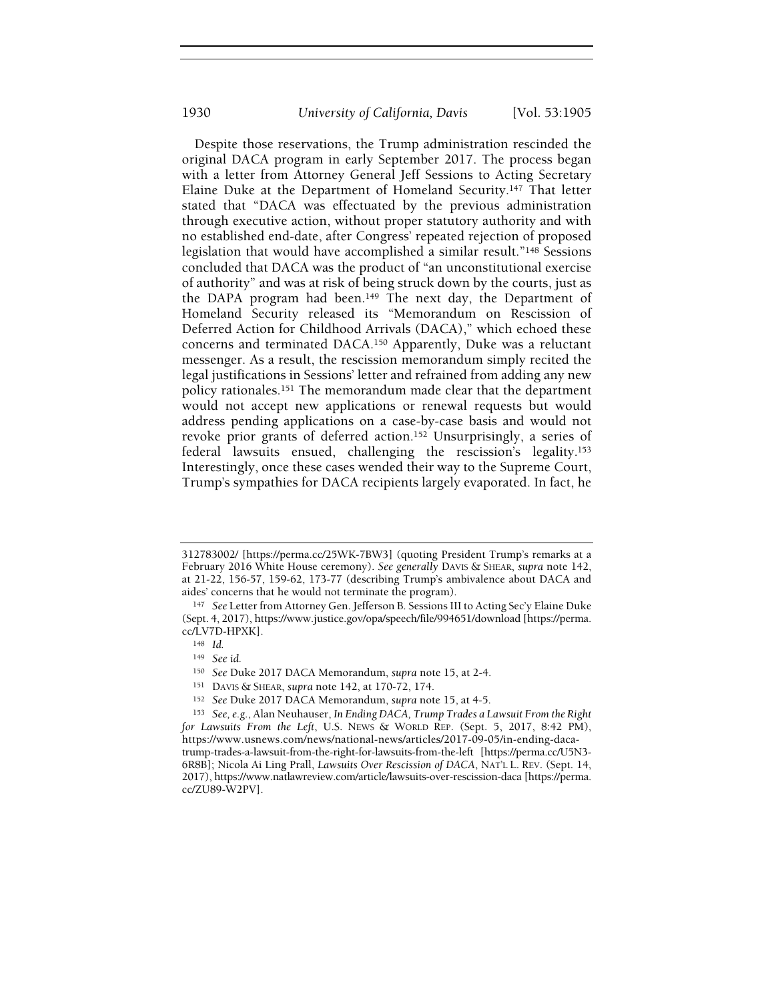Despite those reservations, the Trump administration rescinded the original DACA program in early September 2017. The process began with a letter from Attorney General Jeff Sessions to Acting Secretary Elaine Duke at the Department of Homeland Security.<sup>147</sup> That letter stated that "DACA was effectuated by the previous administration through executive action, without proper statutory authority and with no established end-date, after Congress' repeated rejection of proposed legislation that would have accomplished a similar result."<sup>148</sup> Sessions concluded that DACA was the product of "an unconstitutional exercise of authority" and was at risk of being struck down by the courts, just as the DAPA program had been.<sup>149</sup> The next day, the Department of Homeland Security released its "Memorandum on Rescission of Deferred Action for Childhood Arrivals (DACA)," which echoed these concerns and terminated DACA.<sup>150</sup> Apparently, Duke was a reluctant messenger. As a result, the rescission memorandum simply recited the legal justifications in Sessions' letter and refrained from adding any new policy rationales.<sup>151</sup> The memorandum made clear that the department would not accept new applications or renewal requests but would address pending applications on a case-by-case basis and would not revoke prior grants of deferred action.<sup>152</sup> Unsurprisingly, a series of federal lawsuits ensued, challenging the rescission's legality.<sup>153</sup> Interestingly, once these cases wended their way to the Supreme Court, Trump's sympathies for DACA recipients largely evaporated. In fact, he

<sup>312783002/ [</sup>https://perma.cc/25WK-7BW3] (quoting President Trump's remarks at a February 2016 White House ceremony). See generally DAVIS & SHEAR, supra note 142, at 21-22, 156-57, 159-62, 173-77 (describing Trump's ambivalence about DACA and aides' concerns that he would not terminate the program).

<sup>147</sup> See Letter from Attorney Gen. Jefferson B. Sessions III to Acting Sec'y Elaine Duke (Sept. 4, 2017), https://www.justice.gov/opa/speech/file/994651/download [https://perma. cc/LV7D-HPXK].

<sup>148</sup> Id.

<sup>149</sup> See id.

<sup>150</sup> See Duke 2017 DACA Memorandum, supra note 15, at 2-4.

<sup>151</sup> DAVIS & SHEAR, supra note 142, at 170-72, 174.

<sup>152</sup> See Duke 2017 DACA Memorandum, supra note 15, at 4-5.

<sup>153</sup> See, e.g., Alan Neuhauser, In Ending DACA, Trump Trades a Lawsuit From the Right for Lawsuits From the Left, U.S. News & WORLD REP. (Sept. 5, 2017, 8:42 PM), https://www.usnews.com/news/national-news/articles/2017-09-05/in-ending-dacatrump-trades-a-lawsuit-from-the-right-for-lawsuits-from-the-left [https://perma.cc/U5N3- 6R8B]; Nicola Ai Ling Prall, Lawsuits Over Rescission of DACA, NAT'L L. REV. (Sept. 14,

<sup>2017),</sup> https://www.natlawreview.com/article/lawsuits-over-rescission-daca [https://perma. cc/ZU89-W2PV].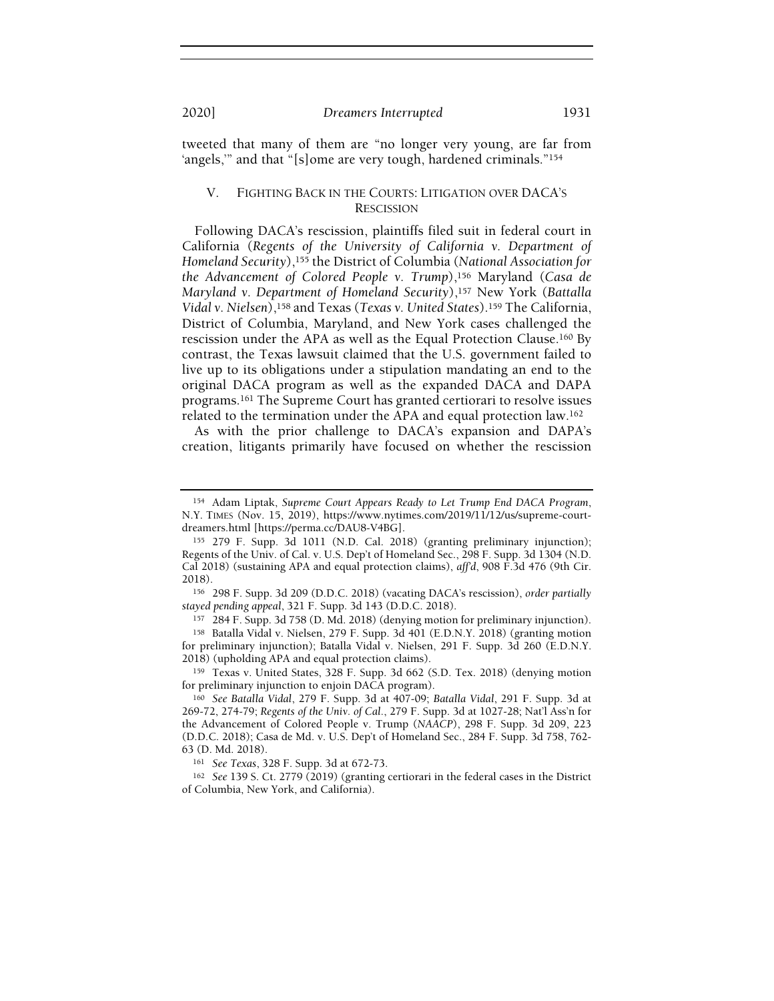tweeted that many of them are "no longer very young, are far from 'angels,'" and that "[s]ome are very tough, hardened criminals."<sup>154</sup>

# V. FIGHTING BACK IN THE COURTS: LITIGATION OVER DACA'S RESCISSION

Following DACA's rescission, plaintiffs filed suit in federal court in California (Regents of the University of California v. Department of Homeland Security),<sup>155</sup> the District of Columbia (National Association for the Advancement of Colored People v. Trump),<sup>156</sup> Maryland (Casa de Maryland v. Department of Homeland Security),<sup>157</sup> New York (Battalla Vidal v. Nielsen),<sup>158</sup> and Texas (Texas v. United States).<sup>159</sup> The California, District of Columbia, Maryland, and New York cases challenged the rescission under the APA as well as the Equal Protection Clause.<sup>160</sup> By contrast, the Texas lawsuit claimed that the U.S. government failed to live up to its obligations under a stipulation mandating an end to the original DACA program as well as the expanded DACA and DAPA programs.<sup>161</sup> The Supreme Court has granted certiorari to resolve issues related to the termination under the APA and equal protection law.<sup>162</sup>

As with the prior challenge to DACA's expansion and DAPA's creation, litigants primarily have focused on whether the rescission

<sup>157</sup> 284 F. Supp. 3d 758 (D. Md. 2018) (denying motion for preliminary injunction).

<sup>158</sup> Batalla Vidal v. Nielsen, 279 F. Supp. 3d 401 (E.D.N.Y. 2018) (granting motion for preliminary injunction); Batalla Vidal v. Nielsen, 291 F. Supp. 3d 260 (E.D.N.Y. 2018) (upholding APA and equal protection claims).

<sup>161</sup> See Texas, 328 F. Supp. 3d at 672-73.

<sup>162</sup> See 139 S. Ct. 2779 (2019) (granting certiorari in the federal cases in the District of Columbia, New York, and California).

<sup>154</sup> Adam Liptak, Supreme Court Appears Ready to Let Trump End DACA Program, N.Y. TIMES (Nov. 15, 2019), https://www.nytimes.com/2019/11/12/us/supreme-courtdreamers.html [https://perma.cc/DAU8-V4BG].

<sup>155</sup> 279 F. Supp. 3d 1011 (N.D. Cal. 2018) (granting preliminary injunction); Regents of the Univ. of Cal. v. U.S. Dep't of Homeland Sec., 298 F. Supp. 3d 1304 (N.D. Cal 2018) (sustaining APA and equal protection claims), aff'd, 908 F.3d 476 (9th Cir. 2018).

<sup>156</sup> 298 F. Supp. 3d 209 (D.D.C. 2018) (vacating DACA's rescission), order partially stayed pending appeal, 321 F. Supp. 3d 143 (D.D.C. 2018).

<sup>159</sup> Texas v. United States, 328 F. Supp. 3d 662 (S.D. Tex. 2018) (denying motion for preliminary injunction to enjoin DACA program).

<sup>160</sup> See Batalla Vidal, 279 F. Supp. 3d at 407-09; Batalla Vidal, 291 F. Supp. 3d at 269-72, 274-79; Regents of the Univ. of Cal., 279 F. Supp. 3d at 1027-28; Nat'l Ass'n for the Advancement of Colored People v. Trump (NAACP), 298 F. Supp. 3d 209, 223 (D.D.C. 2018); Casa de Md. v. U.S. Dep't of Homeland Sec., 284 F. Supp. 3d 758, 762- 63 (D. Md. 2018).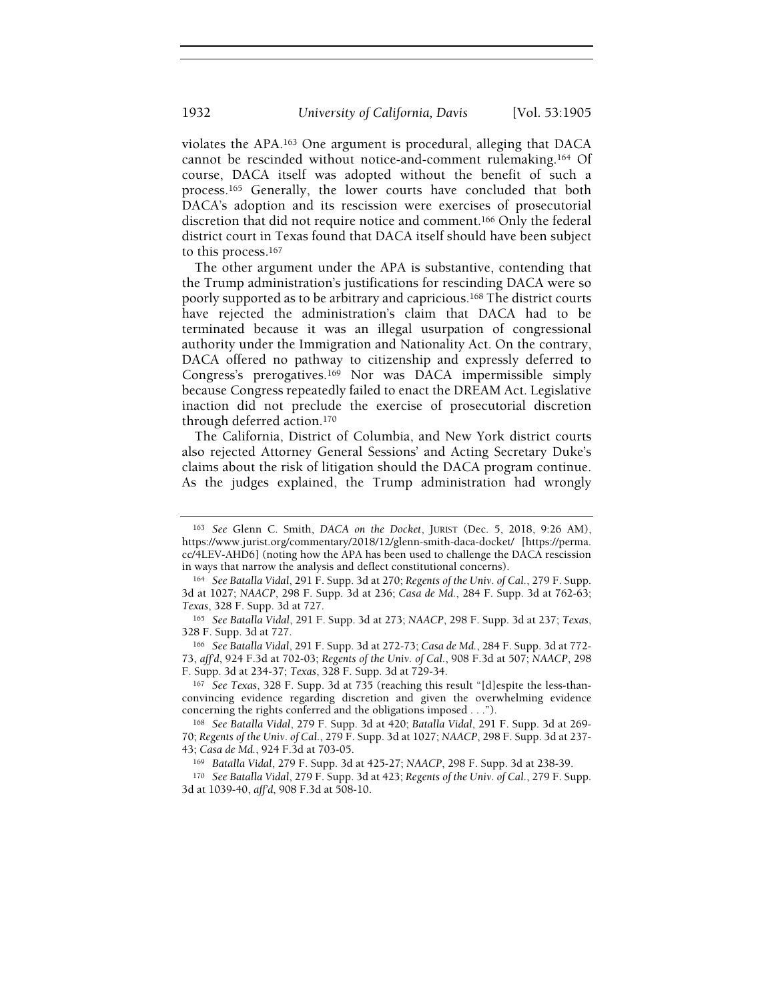violates the APA.<sup>163</sup> One argument is procedural, alleging that DACA cannot be rescinded without notice-and-comment rulemaking.<sup>164</sup> Of course, DACA itself was adopted without the benefit of such a process.<sup>165</sup> Generally, the lower courts have concluded that both DACA's adoption and its rescission were exercises of prosecutorial discretion that did not require notice and comment.<sup>166</sup> Only the federal district court in Texas found that DACA itself should have been subject to this process.<sup>167</sup>

The other argument under the APA is substantive, contending that the Trump administration's justifications for rescinding DACA were so poorly supported as to be arbitrary and capricious.<sup>168</sup> The district courts have rejected the administration's claim that DACA had to be terminated because it was an illegal usurpation of congressional authority under the Immigration and Nationality Act. On the contrary, DACA offered no pathway to citizenship and expressly deferred to Congress's prerogatives.<sup>169</sup> Nor was DACA impermissible simply because Congress repeatedly failed to enact the DREAM Act. Legislative inaction did not preclude the exercise of prosecutorial discretion through deferred action.<sup>170</sup>

The California, District of Columbia, and New York district courts also rejected Attorney General Sessions' and Acting Secretary Duke's claims about the risk of litigation should the DACA program continue. As the judges explained, the Trump administration had wrongly

<sup>167</sup> See Texas, 328 F. Supp. 3d at 735 (reaching this result "[d]espite the less-thanconvincing evidence regarding discretion and given the overwhelming evidence concerning the rights conferred and the obligations imposed . . .").

<sup>169</sup> Batalla Vidal, 279 F. Supp. 3d at 425-27; NAACP, 298 F. Supp. 3d at 238-39.

<sup>163</sup> See Glenn C. Smith, DACA on the Docket, JURIST (Dec. 5, 2018, 9:26 AM), https://www.jurist.org/commentary/2018/12/glenn-smith-daca-docket/ [https://perma. cc/4LEV-AHD6] (noting how the APA has been used to challenge the DACA rescission in ways that narrow the analysis and deflect constitutional concerns).

<sup>164</sup> See Batalla Vidal, 291 F. Supp. 3d at 270; Regents of the Univ. of Cal., 279 F. Supp. 3d at 1027; NAACP, 298 F. Supp. 3d at 236; Casa de Md., 284 F. Supp. 3d at 762-63; Texas, 328 F. Supp. 3d at 727.

<sup>165</sup> See Batalla Vidal, 291 F. Supp. 3d at 273; NAACP, 298 F. Supp. 3d at 237; Texas, 328 F. Supp. 3d at 727.

<sup>166</sup> See Batalla Vidal, 291 F. Supp. 3d at 272-73; Casa de Md., 284 F. Supp. 3d at 772- 73, aff'd, 924 F.3d at 702-03; Regents of the Univ. of Cal., 908 F.3d at 507; NAACP, 298 F. Supp. 3d at 234-37; Texas, 328 F. Supp. 3d at 729-34.

<sup>168</sup> See Batalla Vidal, 279 F. Supp. 3d at 420; Batalla Vidal, 291 F. Supp. 3d at 269- 70; Regents of the Univ. of Cal., 279 F. Supp. 3d at 1027; NAACP, 298 F. Supp. 3d at 237- 43; Casa de Md., 924 F.3d at 703-05.

<sup>170</sup> See Batalla Vidal, 279 F. Supp. 3d at 423; Regents of the Univ. of Cal., 279 F. Supp. 3d at 1039-40, aff'd, 908 F.3d at 508-10.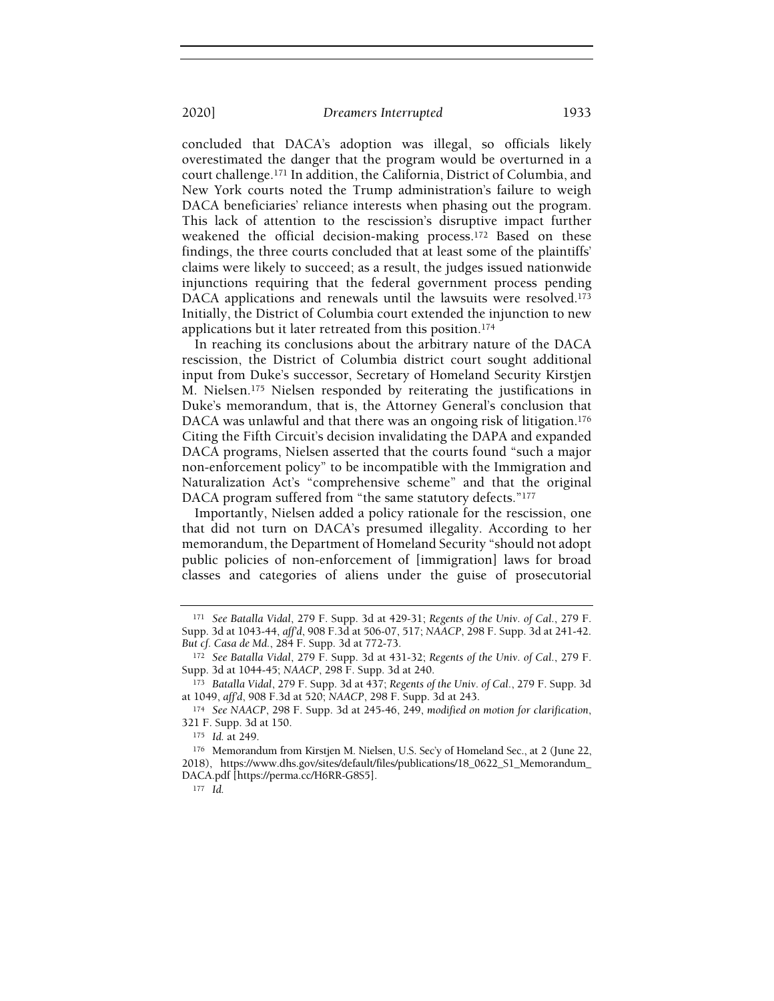concluded that DACA's adoption was illegal, so officials likely overestimated the danger that the program would be overturned in a court challenge.<sup>171</sup> In addition, the California, District of Columbia, and New York courts noted the Trump administration's failure to weigh DACA beneficiaries' reliance interests when phasing out the program. This lack of attention to the rescission's disruptive impact further weakened the official decision-making process.<sup>172</sup> Based on these findings, the three courts concluded that at least some of the plaintiffs' claims were likely to succeed; as a result, the judges issued nationwide injunctions requiring that the federal government process pending DACA applications and renewals until the lawsuits were resolved.<sup>173</sup> Initially, the District of Columbia court extended the injunction to new applications but it later retreated from this position.<sup>174</sup>

In reaching its conclusions about the arbitrary nature of the DACA rescission, the District of Columbia district court sought additional input from Duke's successor, Secretary of Homeland Security Kirstjen M. Nielsen.<sup>175</sup> Nielsen responded by reiterating the justifications in Duke's memorandum, that is, the Attorney General's conclusion that DACA was unlawful and that there was an ongoing risk of litigation.<sup>176</sup> Citing the Fifth Circuit's decision invalidating the DAPA and expanded DACA programs, Nielsen asserted that the courts found "such a major non-enforcement policy" to be incompatible with the Immigration and Naturalization Act's "comprehensive scheme" and that the original DACA program suffered from "the same statutory defects."<sup>177</sup>

Importantly, Nielsen added a policy rationale for the rescission, one that did not turn on DACA's presumed illegality. According to her memorandum, the Department of Homeland Security "should not adopt public policies of non-enforcement of [immigration] laws for broad classes and categories of aliens under the guise of prosecutorial

<sup>171</sup> See Batalla Vidal, 279 F. Supp. 3d at 429-31; Regents of the Univ. of Cal., 279 F. Supp. 3d at 1043-44, aff'd, 908 F.3d at 506-07, 517; NAACP, 298 F. Supp. 3d at 241-42. But cf. Casa de Md., 284 F. Supp. 3d at 772-73.

<sup>172</sup> See Batalla Vidal, 279 F. Supp. 3d at 431-32; Regents of the Univ. of Cal., 279 F. Supp. 3d at 1044-45; NAACP, 298 F. Supp. 3d at 240.

<sup>173</sup> Batalla Vidal, 279 F. Supp. 3d at 437; Regents of the Univ. of Cal., 279 F. Supp. 3d at 1049, aff'd, 908 F.3d at 520; NAACP, 298 F. Supp. 3d at 243.

<sup>174</sup> See NAACP, 298 F. Supp. 3d at 245-46, 249, modified on motion for clarification, 321 F. Supp. 3d at 150.

<sup>175</sup> Id. at 249.

<sup>176</sup> Memorandum from Kirstjen M. Nielsen, U.S. Sec'y of Homeland Sec., at 2 (June 22, 2018), https://www.dhs.gov/sites/default/files/publications/18\_0622\_S1\_Memorandum\_ DACA.pdf [https://perma.cc/H6RR-G8S5].

 $177$  Id.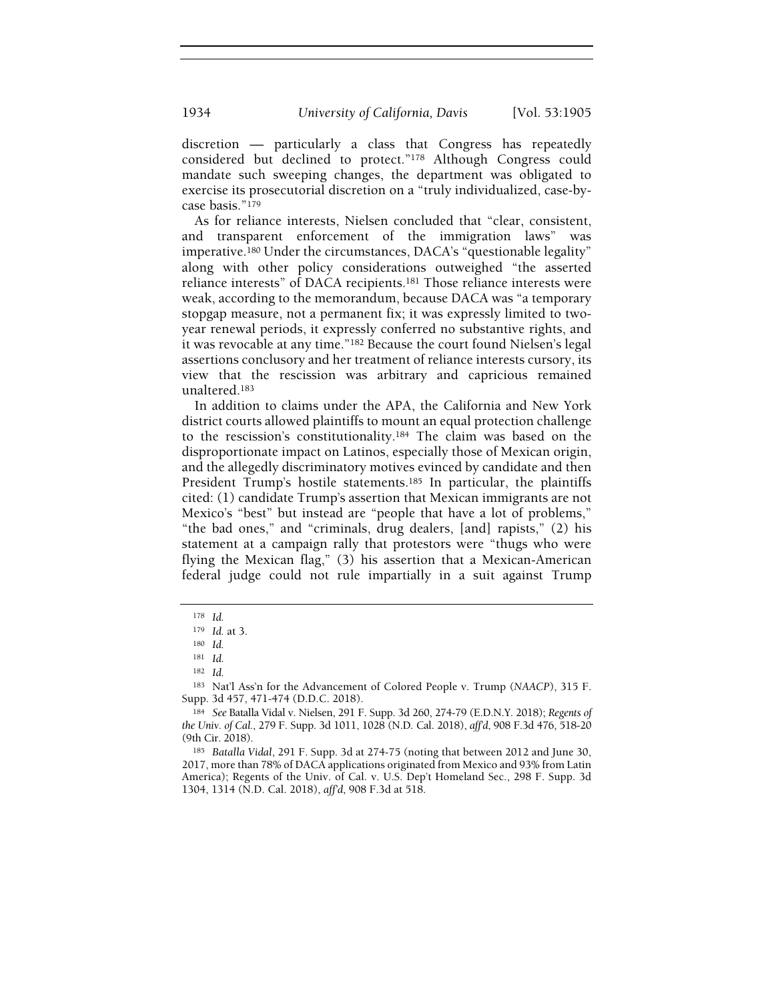discretion — particularly a class that Congress has repeatedly considered but declined to protect."<sup>178</sup> Although Congress could mandate such sweeping changes, the department was obligated to exercise its prosecutorial discretion on a "truly individualized, case-bycase basis."<sup>179</sup>

As for reliance interests, Nielsen concluded that "clear, consistent, and transparent enforcement of the immigration laws" was imperative.<sup>180</sup> Under the circumstances, DACA's "questionable legality" along with other policy considerations outweighed "the asserted reliance interests" of DACA recipients.<sup>181</sup> Those reliance interests were weak, according to the memorandum, because DACA was "a temporary stopgap measure, not a permanent fix; it was expressly limited to twoyear renewal periods, it expressly conferred no substantive rights, and it was revocable at any time."<sup>182</sup> Because the court found Nielsen's legal assertions conclusory and her treatment of reliance interests cursory, its view that the rescission was arbitrary and capricious remained unaltered.<sup>183</sup>

In addition to claims under the APA, the California and New York district courts allowed plaintiffs to mount an equal protection challenge to the rescission's constitutionality.<sup>184</sup> The claim was based on the disproportionate impact on Latinos, especially those of Mexican origin, and the allegedly discriminatory motives evinced by candidate and then President Trump's hostile statements.<sup>185</sup> In particular, the plaintiffs cited: (1) candidate Trump's assertion that Mexican immigrants are not Mexico's "best" but instead are "people that have a lot of problems," "the bad ones," and "criminals, drug dealers, [and] rapists," (2) his statement at a campaign rally that protestors were "thugs who were flying the Mexican flag," (3) his assertion that a Mexican-American federal judge could not rule impartially in a suit against Trump

<sup>178</sup> Id.

<sup>179</sup> Id. at 3.

<sup>180</sup> Id.

<sup>181</sup> Id.

<sup>182</sup> Id.

<sup>183</sup> Nat'l Ass'n for the Advancement of Colored People v. Trump (NAACP), 315 F. Supp. 3d 457, 471-474 (D.D.C. 2018).

<sup>184</sup> See Batalla Vidal v. Nielsen, 291 F. Supp. 3d 260, 274-79 (E.D.N.Y. 2018); Regents of the Univ. of Cal., 279 F. Supp. 3d 1011, 1028 (N.D. Cal. 2018), aff'd, 908 F.3d 476, 518-20 (9th Cir. 2018).

<sup>185</sup> Batalla Vidal, 291 F. Supp. 3d at 274-75 (noting that between 2012 and June 30, 2017, more than 78% of DACA applications originated from Mexico and 93% from Latin America); Regents of the Univ. of Cal. v. U.S. Dep't Homeland Sec., 298 F. Supp. 3d 1304, 1314 (N.D. Cal. 2018), aff'd, 908 F.3d at 518.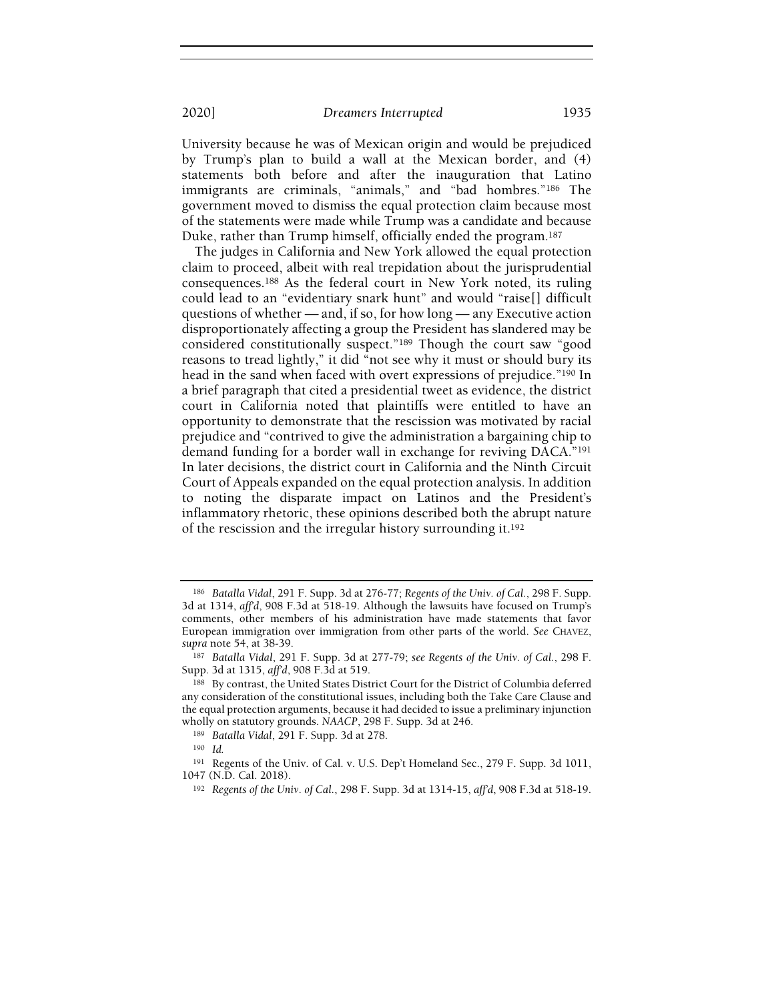University because he was of Mexican origin and would be prejudiced by Trump's plan to build a wall at the Mexican border, and (4) statements both before and after the inauguration that Latino immigrants are criminals, "animals," and "bad hombres."<sup>186</sup> The government moved to dismiss the equal protection claim because most of the statements were made while Trump was a candidate and because Duke, rather than Trump himself, officially ended the program.<sup>187</sup>

The judges in California and New York allowed the equal protection claim to proceed, albeit with real trepidation about the jurisprudential consequences.<sup>188</sup> As the federal court in New York noted, its ruling could lead to an "evidentiary snark hunt" and would "raise[] difficult questions of whether — and, if so, for how long — any Executive action disproportionately affecting a group the President has slandered may be considered constitutionally suspect."<sup>189</sup> Though the court saw "good reasons to tread lightly," it did "not see why it must or should bury its head in the sand when faced with overt expressions of prejudice."<sup>190</sup> In a brief paragraph that cited a presidential tweet as evidence, the district court in California noted that plaintiffs were entitled to have an opportunity to demonstrate that the rescission was motivated by racial prejudice and "contrived to give the administration a bargaining chip to demand funding for a border wall in exchange for reviving DACA."<sup>191</sup> In later decisions, the district court in California and the Ninth Circuit Court of Appeals expanded on the equal protection analysis. In addition to noting the disparate impact on Latinos and the President's inflammatory rhetoric, these opinions described both the abrupt nature of the rescission and the irregular history surrounding it.<sup>192</sup>

<sup>186</sup> Batalla Vidal, 291 F. Supp. 3d at 276-77; Regents of the Univ. of Cal., 298 F. Supp. 3d at 1314, aff'd, 908 F.3d at 518-19. Although the lawsuits have focused on Trump's comments, other members of his administration have made statements that favor European immigration over immigration from other parts of the world. See CHAVEZ, supra note 54, at 38-39.

<sup>187</sup> Batalla Vidal, 291 F. Supp. 3d at 277-79; see Regents of the Univ. of Cal., 298 F. Supp. 3d at 1315, aff'd, 908 F.3d at 519.

<sup>188</sup> By contrast, the United States District Court for the District of Columbia deferred any consideration of the constitutional issues, including both the Take Care Clause and the equal protection arguments, because it had decided to issue a preliminary injunction wholly on statutory grounds. NAACP, 298 F. Supp. 3d at 246.

<sup>189</sup> Batalla Vidal, 291 F. Supp. 3d at 278.

<sup>190</sup> Id.

<sup>191</sup> Regents of the Univ. of Cal. v. U.S. Dep't Homeland Sec., 279 F. Supp. 3d 1011, 1047 (N.D. Cal. 2018).

<sup>&</sup>lt;sup>192</sup> Regents of the Univ. of Cal., 298 F. Supp. 3d at 1314-15, aff'd, 908 F.3d at 518-19.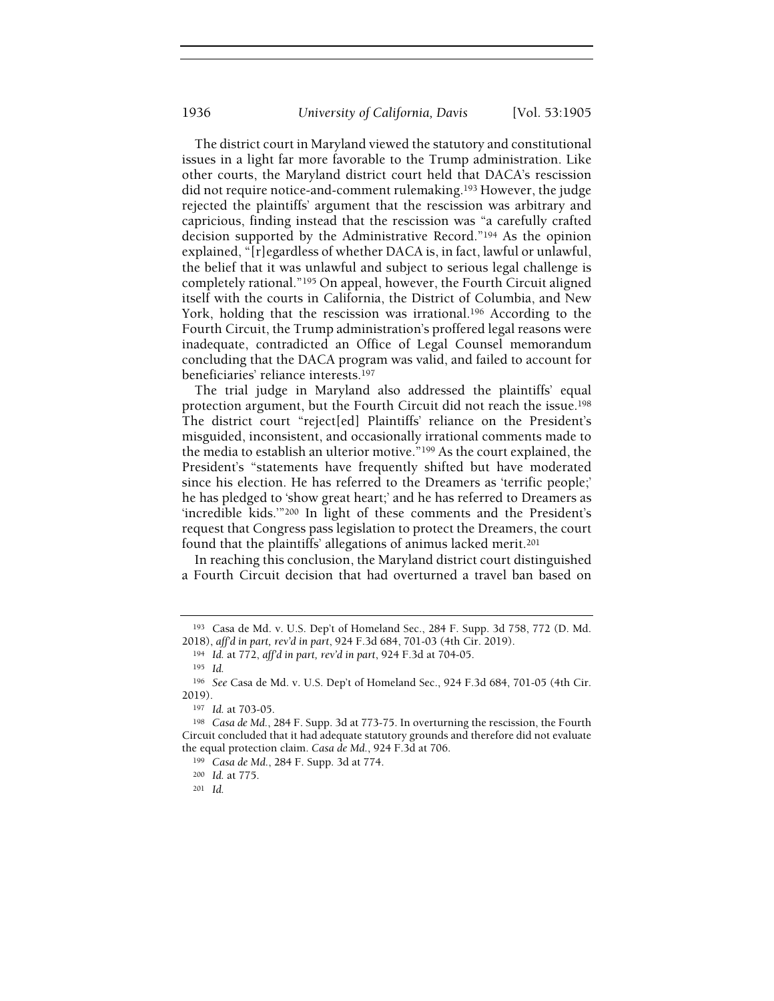The district court in Maryland viewed the statutory and constitutional issues in a light far more favorable to the Trump administration. Like other courts, the Maryland district court held that DACA's rescission did not require notice-and-comment rulemaking.<sup>193</sup> However, the judge rejected the plaintiffs' argument that the rescission was arbitrary and capricious, finding instead that the rescission was "a carefully crafted decision supported by the Administrative Record."<sup>194</sup> As the opinion explained, "[r]egardless of whether DACA is, in fact, lawful or unlawful, the belief that it was unlawful and subject to serious legal challenge is completely rational."<sup>195</sup> On appeal, however, the Fourth Circuit aligned itself with the courts in California, the District of Columbia, and New York, holding that the rescission was irrational.<sup>196</sup> According to the Fourth Circuit, the Trump administration's proffered legal reasons were inadequate, contradicted an Office of Legal Counsel memorandum concluding that the DACA program was valid, and failed to account for beneficiaries' reliance interests.<sup>197</sup>

The trial judge in Maryland also addressed the plaintiffs' equal protection argument, but the Fourth Circuit did not reach the issue.<sup>198</sup> The district court "reject[ed] Plaintiffs' reliance on the President's misguided, inconsistent, and occasionally irrational comments made to the media to establish an ulterior motive."<sup>199</sup> As the court explained, the President's "statements have frequently shifted but have moderated since his election. He has referred to the Dreamers as 'terrific people;' he has pledged to 'show great heart;' and he has referred to Dreamers as 'incredible kids.'"<sup>200</sup> In light of these comments and the President's request that Congress pass legislation to protect the Dreamers, the court found that the plaintiffs' allegations of animus lacked merit.<sup>201</sup>

In reaching this conclusion, the Maryland district court distinguished a Fourth Circuit decision that had overturned a travel ban based on

<sup>193</sup> Casa de Md. v. U.S. Dep't of Homeland Sec., 284 F. Supp. 3d 758, 772 (D. Md. 2018), aff'd in part, rev'd in part, 924 F.3d 684, 701-03 (4th Cir. 2019).

<sup>194</sup> Id. at 772, aff'd in part, rev'd in part, 924 F.3d at 704-05.

<sup>195</sup> Id.

<sup>196</sup> See Casa de Md. v. U.S. Dep't of Homeland Sec., 924 F.3d 684, 701-05 (4th Cir. 2019).

<sup>197</sup> Id. at 703-05.

<sup>198</sup> Casa de Md., 284 F. Supp. 3d at 773-75. In overturning the rescission, the Fourth Circuit concluded that it had adequate statutory grounds and therefore did not evaluate the equal protection claim. Casa de Md., 924 F.3d at 706.

<sup>199</sup> Casa de Md., 284 F. Supp. 3d at 774.

<sup>200</sup> Id. at 775.

<sup>201</sup> Id.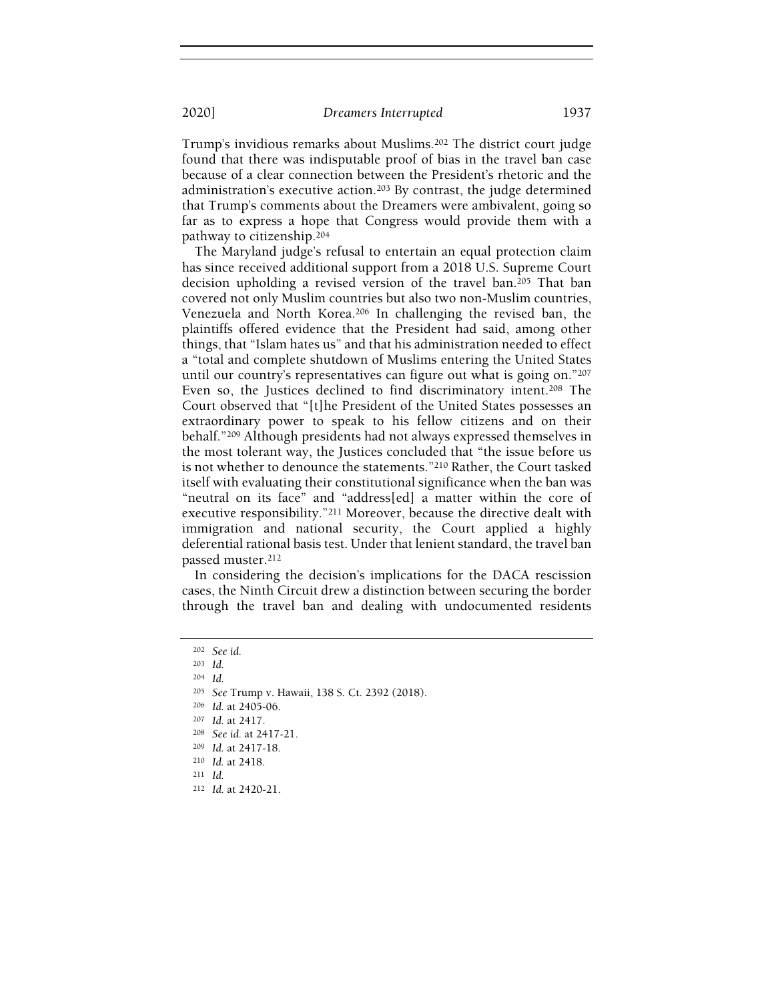Trump's invidious remarks about Muslims.<sup>202</sup> The district court judge found that there was indisputable proof of bias in the travel ban case because of a clear connection between the President's rhetoric and the administration's executive action.<sup>203</sup> By contrast, the judge determined that Trump's comments about the Dreamers were ambivalent, going so far as to express a hope that Congress would provide them with a pathway to citizenship.<sup>204</sup>

The Maryland judge's refusal to entertain an equal protection claim has since received additional support from a 2018 U.S. Supreme Court decision upholding a revised version of the travel ban.<sup>205</sup> That ban covered not only Muslim countries but also two non-Muslim countries, Venezuela and North Korea.<sup>206</sup> In challenging the revised ban, the plaintiffs offered evidence that the President had said, among other things, that "Islam hates us" and that his administration needed to effect a "total and complete shutdown of Muslims entering the United States until our country's representatives can figure out what is going on."<sup>207</sup> Even so, the Justices declined to find discriminatory intent.<sup>208</sup> The Court observed that "[t]he President of the United States possesses an extraordinary power to speak to his fellow citizens and on their behalf."<sup>209</sup> Although presidents had not always expressed themselves in the most tolerant way, the Justices concluded that "the issue before us is not whether to denounce the statements."<sup>210</sup> Rather, the Court tasked itself with evaluating their constitutional significance when the ban was "neutral on its face" and "address[ed] a matter within the core of executive responsibility."<sup>211</sup> Moreover, because the directive dealt with immigration and national security, the Court applied a highly deferential rational basis test. Under that lenient standard, the travel ban passed muster.<sup>212</sup>

In considering the decision's implications for the DACA rescission cases, the Ninth Circuit drew a distinction between securing the border through the travel ban and dealing with undocumented residents

<sup>202</sup> See id.

<sup>203</sup> Id.

<sup>204</sup> Id.

<sup>205</sup> See Trump v. Hawaii, 138 S. Ct. 2392 (2018).

<sup>206</sup> Id. at 2405-06.

<sup>207</sup> Id. at 2417.

<sup>208</sup> See id. at 2417-21.

<sup>209</sup> Id. at 2417-18.

<sup>210</sup> Id. at 2418.

<sup>211</sup> Id.

<sup>212</sup> Id. at 2420-21.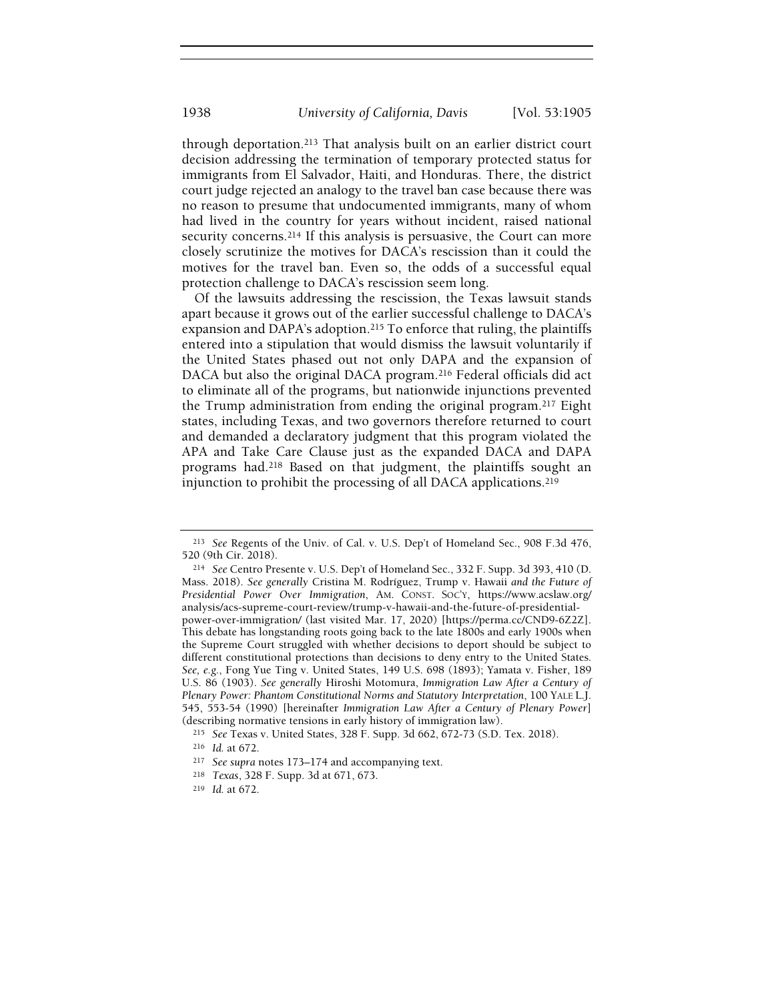through deportation.<sup>213</sup> That analysis built on an earlier district court decision addressing the termination of temporary protected status for immigrants from El Salvador, Haiti, and Honduras. There, the district court judge rejected an analogy to the travel ban case because there was no reason to presume that undocumented immigrants, many of whom had lived in the country for years without incident, raised national security concerns.<sup>214</sup> If this analysis is persuasive, the Court can more closely scrutinize the motives for DACA's rescission than it could the motives for the travel ban. Even so, the odds of a successful equal protection challenge to DACA's rescission seem long.

Of the lawsuits addressing the rescission, the Texas lawsuit stands apart because it grows out of the earlier successful challenge to DACA's expansion and DAPA's adoption.<sup>215</sup> To enforce that ruling, the plaintiffs entered into a stipulation that would dismiss the lawsuit voluntarily if the United States phased out not only DAPA and the expansion of DACA but also the original DACA program.<sup>216</sup> Federal officials did act to eliminate all of the programs, but nationwide injunctions prevented the Trump administration from ending the original program.<sup>217</sup> Eight states, including Texas, and two governors therefore returned to court and demanded a declaratory judgment that this program violated the APA and Take Care Clause just as the expanded DACA and DAPA programs had.<sup>218</sup> Based on that judgment, the plaintiffs sought an injunction to prohibit the processing of all DACA applications.<sup>219</sup>

<sup>214</sup> See Centro Presente v. U.S. Dep't of Homeland Sec., 332 F. Supp. 3d 393, 410 (D. Mass. 2018). See generally Cristina M. Rodríguez, Trump v. Hawaii and the Future of Presidential Power Over Immigration, AM. CONST. SOC'Y, https://www.acslaw.org/ analysis/acs-supreme-court-review/trump-v-hawaii-and-the-future-of-presidentialpower-over-immigration/ (last visited Mar. 17, 2020) [https://perma.cc/CND9-6Z2Z]. This debate has longstanding roots going back to the late 1800s and early 1900s when the Supreme Court struggled with whether decisions to deport should be subject to different constitutional protections than decisions to deny entry to the United States. See, e.g., Fong Yue Ting v. United States, 149 U.S. 698 (1893); Yamata v. Fisher, 189 U.S. 86 (1903). See generally Hiroshi Motomura, Immigration Law After a Century of Plenary Power: Phantom Constitutional Norms and Statutory Interpretation, 100 YALE L.J. 545, 553-54 (1990) [hereinafter Immigration Law After a Century of Plenary Power] (describing normative tensions in early history of immigration law).

<sup>213</sup> See Regents of the Univ. of Cal. v. U.S. Dep't of Homeland Sec., 908 F.3d 476, 520 (9th Cir. 2018).

<sup>215</sup> See Texas v. United States, 328 F. Supp. 3d 662, 672-73 (S.D. Tex. 2018).

<sup>216</sup> Id. at 672.

<sup>217</sup> See supra notes 173–174 and accompanying text.

<sup>218</sup> Texas, 328 F. Supp. 3d at 671, 673.

<sup>219</sup> Id. at 672.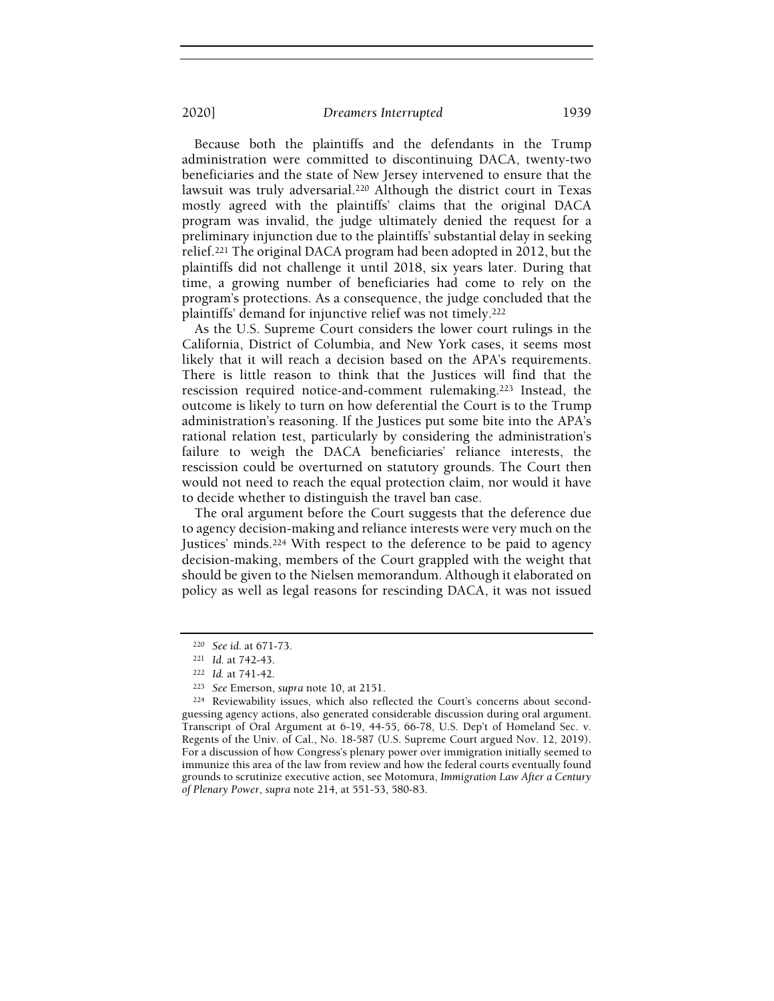Because both the plaintiffs and the defendants in the Trump administration were committed to discontinuing DACA, twenty-two beneficiaries and the state of New Jersey intervened to ensure that the lawsuit was truly adversarial.<sup>220</sup> Although the district court in Texas mostly agreed with the plaintiffs' claims that the original DACA program was invalid, the judge ultimately denied the request for a preliminary injunction due to the plaintiffs' substantial delay in seeking relief.<sup>221</sup> The original DACA program had been adopted in 2012, but the plaintiffs did not challenge it until 2018, six years later. During that time, a growing number of beneficiaries had come to rely on the program's protections. As a consequence, the judge concluded that the plaintiffs' demand for injunctive relief was not timely.<sup>222</sup>

As the U.S. Supreme Court considers the lower court rulings in the California, District of Columbia, and New York cases, it seems most likely that it will reach a decision based on the APA's requirements. There is little reason to think that the Justices will find that the rescission required notice-and-comment rulemaking.<sup>223</sup> Instead, the outcome is likely to turn on how deferential the Court is to the Trump administration's reasoning. If the Justices put some bite into the APA's rational relation test, particularly by considering the administration's failure to weigh the DACA beneficiaries' reliance interests, the rescission could be overturned on statutory grounds. The Court then would not need to reach the equal protection claim, nor would it have to decide whether to distinguish the travel ban case.

The oral argument before the Court suggests that the deference due to agency decision-making and reliance interests were very much on the Justices' minds.<sup>224</sup> With respect to the deference to be paid to agency decision-making, members of the Court grappled with the weight that should be given to the Nielsen memorandum. Although it elaborated on policy as well as legal reasons for rescinding DACA, it was not issued

<sup>220</sup> See id. at 671-73.

<sup>221</sup> Id. at 742-43.

<sup>222</sup> Id. at 741-42.

<sup>223</sup> See Emerson, supra note 10, at 2151.

<sup>224</sup> Reviewability issues, which also reflected the Court's concerns about secondguessing agency actions, also generated considerable discussion during oral argument. Transcript of Oral Argument at 6-19, 44-55, 66-78, U.S. Dep't of Homeland Sec. v. Regents of the Univ. of Cal., No. 18-587 (U.S. Supreme Court argued Nov. 12, 2019). For a discussion of how Congress's plenary power over immigration initially seemed to immunize this area of the law from review and how the federal courts eventually found grounds to scrutinize executive action, see Motomura, Immigration Law After a Century of Plenary Power, supra note 214, at 551-53, 580-83.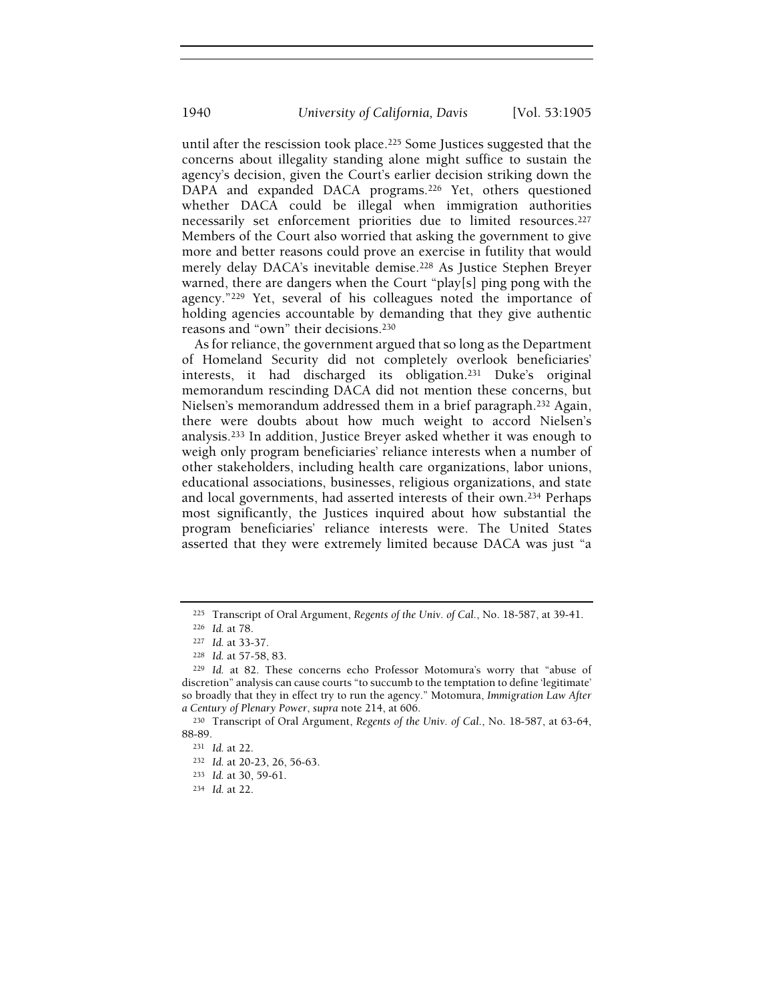until after the rescission took place.<sup>225</sup> Some Justices suggested that the concerns about illegality standing alone might suffice to sustain the agency's decision, given the Court's earlier decision striking down the DAPA and expanded DACA programs.<sup>226</sup> Yet, others questioned whether DACA could be illegal when immigration authorities necessarily set enforcement priorities due to limited resources.<sup>227</sup> Members of the Court also worried that asking the government to give more and better reasons could prove an exercise in futility that would merely delay DACA's inevitable demise.<sup>228</sup> As Justice Stephen Breyer warned, there are dangers when the Court "play[s] ping pong with the agency."<sup>229</sup> Yet, several of his colleagues noted the importance of holding agencies accountable by demanding that they give authentic reasons and "own" their decisions.<sup>230</sup>

As for reliance, the government argued that so long as the Department of Homeland Security did not completely overlook beneficiaries' interests, it had discharged its obligation.<sup>231</sup> Duke's original memorandum rescinding DACA did not mention these concerns, but Nielsen's memorandum addressed them in a brief paragraph.<sup>232</sup> Again, there were doubts about how much weight to accord Nielsen's analysis.<sup>233</sup> In addition, Justice Breyer asked whether it was enough to weigh only program beneficiaries' reliance interests when a number of other stakeholders, including health care organizations, labor unions, educational associations, businesses, religious organizations, and state and local governments, had asserted interests of their own.<sup>234</sup> Perhaps most significantly, the Justices inquired about how substantial the program beneficiaries' reliance interests were. The United States asserted that they were extremely limited because DACA was just "a

<sup>225</sup> Transcript of Oral Argument, Regents of the Univ. of Cal., No. 18-587, at 39-41.

<sup>226</sup> Id. at 78.

<sup>227</sup> Id. at 33-37.

<sup>228</sup> Id. at 57-58, 83.

<sup>229</sup> Id. at 82. These concerns echo Professor Motomura's worry that "abuse of discretion" analysis can cause courts "to succumb to the temptation to define 'legitimate' so broadly that they in effect try to run the agency." Motomura, Immigration Law After a Century of Plenary Power, supra note 214, at 606.

<sup>230</sup> Transcript of Oral Argument, Regents of the Univ. of Cal., No. 18-587, at 63-64, 88-89.

<sup>231</sup> Id. at 22.

<sup>232</sup> Id. at 20-23, 26, 56-63.

<sup>233</sup> Id. at 30, 59-61.

<sup>234</sup> Id. at 22.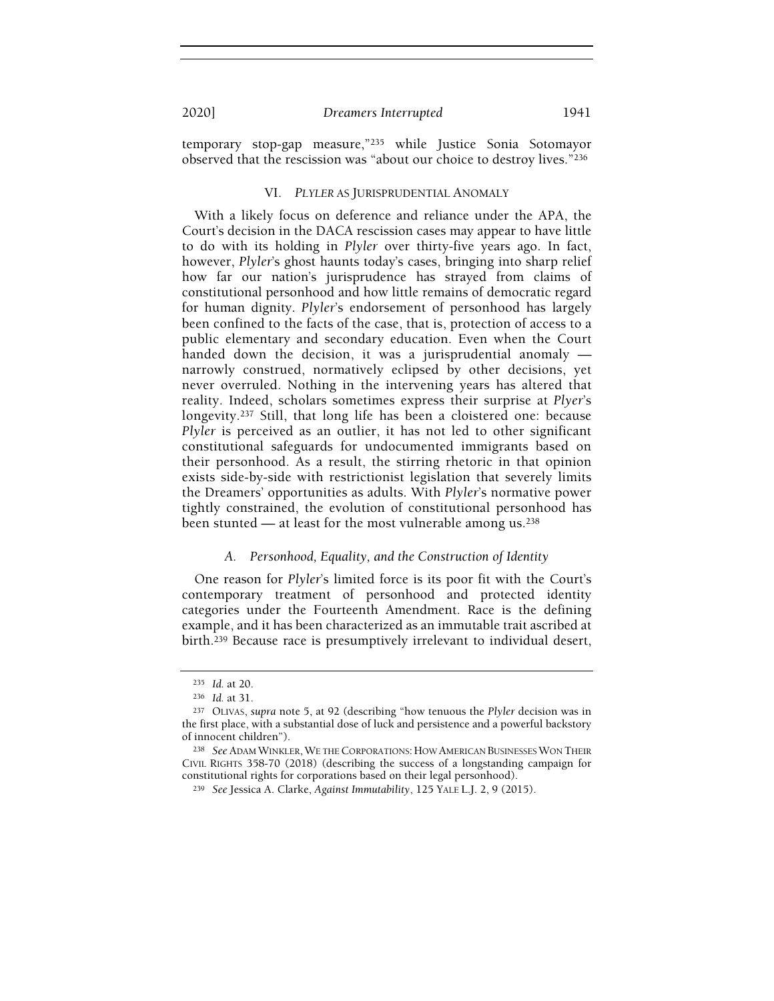temporary stop-gap measure,"<sup>235</sup> while Justice Sonia Sotomayor observed that the rescission was "about our choice to destroy lives."<sup>236</sup>

#### VI. PLYLER AS JURISPRUDENTIAL ANOMALY

With a likely focus on deference and reliance under the APA, the Court's decision in the DACA rescission cases may appear to have little to do with its holding in Plyler over thirty-five years ago. In fact, however, Plyler's ghost haunts today's cases, bringing into sharp relief how far our nation's jurisprudence has strayed from claims of constitutional personhood and how little remains of democratic regard for human dignity. Plyler's endorsement of personhood has largely been confined to the facts of the case, that is, protection of access to a public elementary and secondary education. Even when the Court handed down the decision, it was a jurisprudential anomaly narrowly construed, normatively eclipsed by other decisions, yet never overruled. Nothing in the intervening years has altered that reality. Indeed, scholars sometimes express their surprise at Plyer's longevity.<sup>237</sup> Still, that long life has been a cloistered one: because Plyler is perceived as an outlier, it has not led to other significant constitutional safeguards for undocumented immigrants based on their personhood. As a result, the stirring rhetoric in that opinion exists side-by-side with restrictionist legislation that severely limits the Dreamers' opportunities as adults. With Plyler's normative power tightly constrained, the evolution of constitutional personhood has been stunted — at least for the most vulnerable among us.<sup>238</sup>

## A. Personhood, Equality, and the Construction of Identity

One reason for Plyler's limited force is its poor fit with the Court's contemporary treatment of personhood and protected identity categories under the Fourteenth Amendment. Race is the defining example, and it has been characterized as an immutable trait ascribed at birth.<sup>239</sup> Because race is presumptively irrelevant to individual desert,

<sup>235</sup> Id. at 20.

<sup>236</sup> Id. at 31.

<sup>237</sup> OLIVAS, supra note 5, at 92 (describing "how tenuous the Plyler decision was in the first place, with a substantial dose of luck and persistence and a powerful backstory of innocent children").

<sup>&</sup>lt;sup>238</sup> See ADAM WINKLER, WE THE CORPORATIONS: HOW AMERICAN BUSINESSES WON THEIR CIVIL RIGHTS 358-70 (2018) (describing the success of a longstanding campaign for constitutional rights for corporations based on their legal personhood).

<sup>239</sup> See Jessica A. Clarke, Against Immutability, 125 YALE L.J. 2, 9 (2015).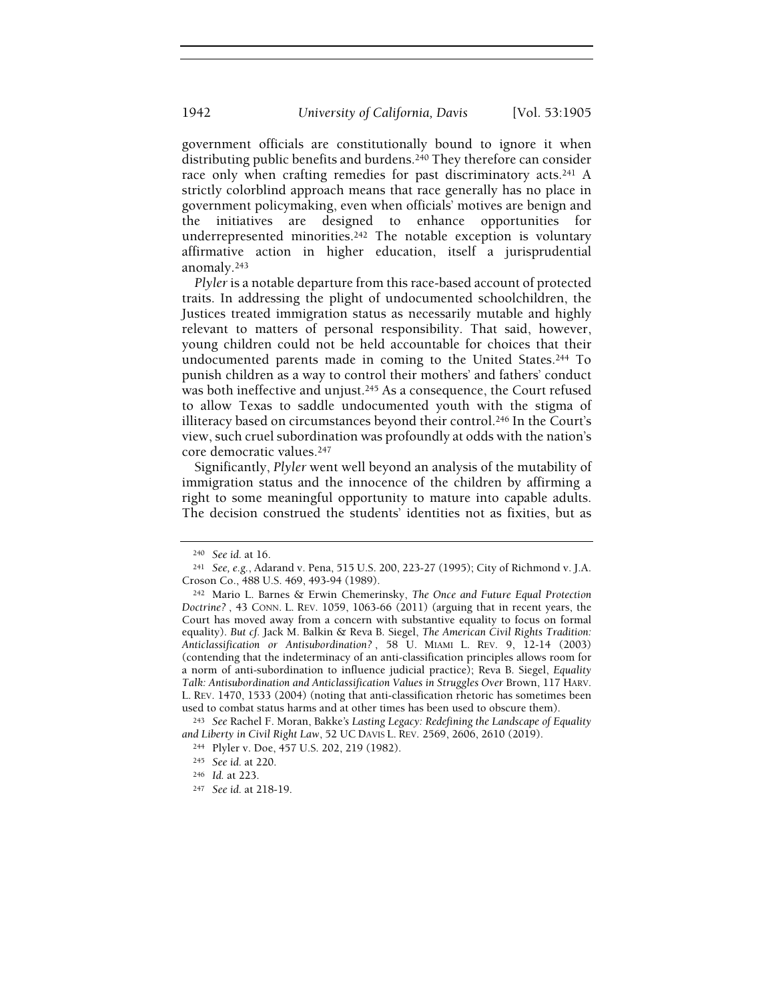government officials are constitutionally bound to ignore it when distributing public benefits and burdens.<sup>240</sup> They therefore can consider race only when crafting remedies for past discriminatory acts.<sup>241</sup> A strictly colorblind approach means that race generally has no place in government policymaking, even when officials' motives are benign and the initiatives are designed to enhance opportunities for underrepresented minorities.<sup>242</sup> The notable exception is voluntary affirmative action in higher education, itself a jurisprudential anomaly.<sup>243</sup>

Plyler is a notable departure from this race-based account of protected traits. In addressing the plight of undocumented schoolchildren, the Justices treated immigration status as necessarily mutable and highly relevant to matters of personal responsibility. That said, however, young children could not be held accountable for choices that their undocumented parents made in coming to the United States.<sup>244</sup> To punish children as a way to control their mothers' and fathers' conduct was both ineffective and unjust.<sup>245</sup> As a consequence, the Court refused to allow Texas to saddle undocumented youth with the stigma of illiteracy based on circumstances beyond their control.<sup>246</sup> In the Court's view, such cruel subordination was profoundly at odds with the nation's core democratic values.<sup>247</sup>

Significantly, Plyler went well beyond an analysis of the mutability of immigration status and the innocence of the children by affirming a right to some meaningful opportunity to mature into capable adults. The decision construed the students' identities not as fixities, but as

<sup>240</sup> See id. at 16.

<sup>241</sup> See, e.g., Adarand v. Pena, 515 U.S. 200, 223-27 (1995); City of Richmond v. J.A. Croson Co., 488 U.S. 469, 493-94 (1989).

<sup>242</sup> Mario L. Barnes & Erwin Chemerinsky, The Once and Future Equal Protection Doctrine? , 43 CONN. L. REV. 1059, 1063-66 (2011) (arguing that in recent years, the Court has moved away from a concern with substantive equality to focus on formal equality). But cf. Jack M. Balkin & Reva B. Siegel, The American Civil Rights Tradition: Anticlassification or Antisubordination? , 58 U. MIAMI L. REV. 9, 12-14 (2003) (contending that the indeterminacy of an anti-classification principles allows room for a norm of anti-subordination to influence judicial practice); Reva B. Siegel, Equality Talk: Antisubordination and Anticlassification Values in Struggles Over Brown, 117 HARV. L. REV. 1470, 1533 (2004) (noting that anti-classification rhetoric has sometimes been used to combat status harms and at other times has been used to obscure them).

<sup>243</sup> See Rachel F. Moran, Bakke's Lasting Legacy: Redefining the Landscape of Equality and Liberty in Civil Right Law, 52 UC DAVIS L. REV. 2569, 2606, 2610 (2019).

<sup>244</sup> Plyler v. Doe, 457 U.S. 202, 219 (1982).

<sup>245</sup> See id. at 220.

<sup>246</sup> Id. at 223.

<sup>247</sup> See id. at 218-19.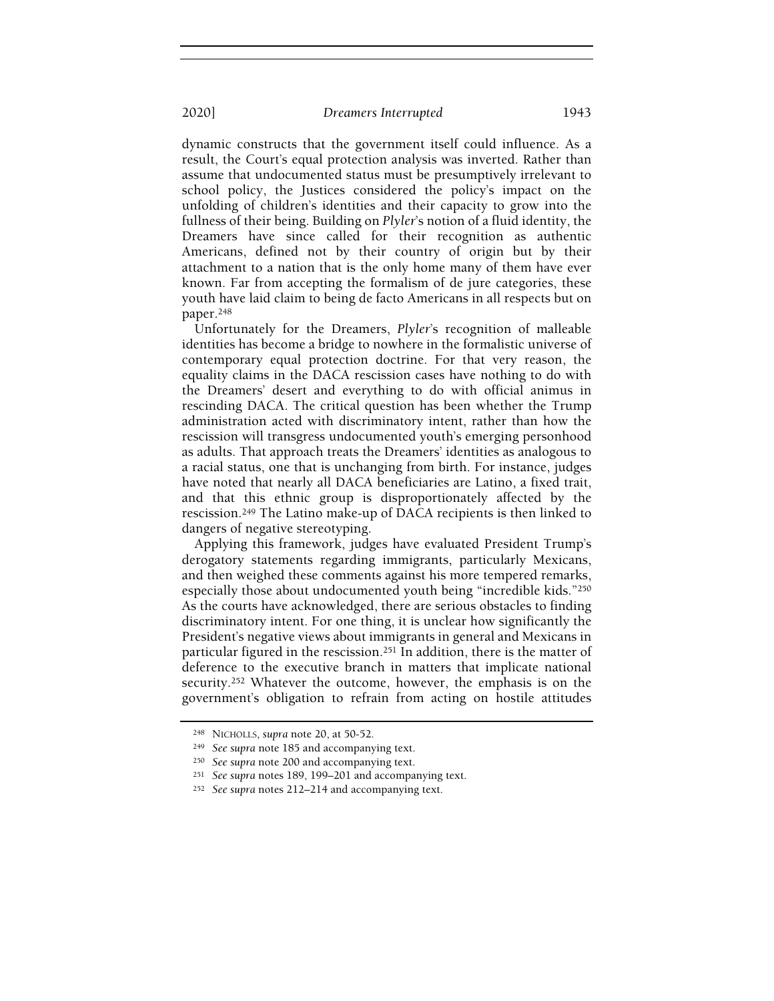dynamic constructs that the government itself could influence. As a result, the Court's equal protection analysis was inverted. Rather than assume that undocumented status must be presumptively irrelevant to school policy, the Justices considered the policy's impact on the unfolding of children's identities and their capacity to grow into the fullness of their being. Building on Plyler's notion of a fluid identity, the Dreamers have since called for their recognition as authentic Americans, defined not by their country of origin but by their attachment to a nation that is the only home many of them have ever known. Far from accepting the formalism of de jure categories, these youth have laid claim to being de facto Americans in all respects but on paper.<sup>248</sup>

Unfortunately for the Dreamers, Plyler's recognition of malleable identities has become a bridge to nowhere in the formalistic universe of contemporary equal protection doctrine. For that very reason, the equality claims in the DACA rescission cases have nothing to do with the Dreamers' desert and everything to do with official animus in rescinding DACA. The critical question has been whether the Trump administration acted with discriminatory intent, rather than how the rescission will transgress undocumented youth's emerging personhood as adults. That approach treats the Dreamers' identities as analogous to a racial status, one that is unchanging from birth. For instance, judges have noted that nearly all DACA beneficiaries are Latino, a fixed trait, and that this ethnic group is disproportionately affected by the rescission.<sup>249</sup> The Latino make-up of DACA recipients is then linked to dangers of negative stereotyping.

Applying this framework, judges have evaluated President Trump's derogatory statements regarding immigrants, particularly Mexicans, and then weighed these comments against his more tempered remarks, especially those about undocumented youth being "incredible kids."<sup>250</sup> As the courts have acknowledged, there are serious obstacles to finding discriminatory intent. For one thing, it is unclear how significantly the President's negative views about immigrants in general and Mexicans in particular figured in the rescission.<sup>251</sup> In addition, there is the matter of deference to the executive branch in matters that implicate national security.<sup>252</sup> Whatever the outcome, however, the emphasis is on the government's obligation to refrain from acting on hostile attitudes

<sup>248</sup> NICHOLLS, supra note 20, at 50-52.

<sup>249</sup> See supra note 185 and accompanying text.

<sup>250</sup> See supra note 200 and accompanying text.

<sup>251</sup> See supra notes 189, 199–201 and accompanying text.

<sup>252</sup> See supra notes 212–214 and accompanying text.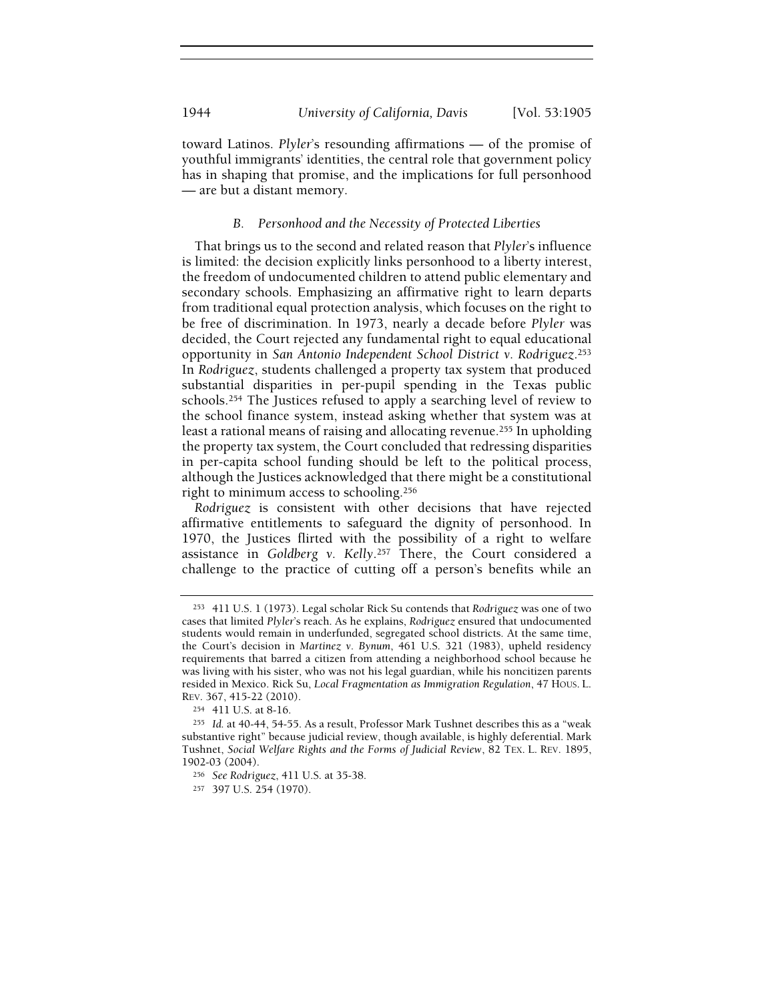toward Latinos. Plyler's resounding affirmations — of the promise of youthful immigrants' identities, the central role that government policy has in shaping that promise, and the implications for full personhood — are but a distant memory.

# B. Personhood and the Necessity of Protected Liberties

That brings us to the second and related reason that Plyler's influence is limited: the decision explicitly links personhood to a liberty interest, the freedom of undocumented children to attend public elementary and secondary schools. Emphasizing an affirmative right to learn departs from traditional equal protection analysis, which focuses on the right to be free of discrimination. In 1973, nearly a decade before Plyler was decided, the Court rejected any fundamental right to equal educational opportunity in San Antonio Independent School District v. Rodriguez.<sup>253</sup> In Rodriguez, students challenged a property tax system that produced substantial disparities in per-pupil spending in the Texas public schools.<sup>254</sup> The Justices refused to apply a searching level of review to the school finance system, instead asking whether that system was at least a rational means of raising and allocating revenue.<sup>255</sup> In upholding the property tax system, the Court concluded that redressing disparities in per-capita school funding should be left to the political process, although the Justices acknowledged that there might be a constitutional right to minimum access to schooling.<sup>256</sup>

Rodriguez is consistent with other decisions that have rejected affirmative entitlements to safeguard the dignity of personhood. In 1970, the Justices flirted with the possibility of a right to welfare assistance in Goldberg v. Kelly.<sup>257</sup> There, the Court considered a challenge to the practice of cutting off a person's benefits while an

<sup>253</sup> 411 U.S. 1 (1973). Legal scholar Rick Su contends that Rodriguez was one of two cases that limited Plyler's reach. As he explains, Rodriguez ensured that undocumented students would remain in underfunded, segregated school districts. At the same time, the Court's decision in Martinez v. Bynum, 461 U.S. 321 (1983), upheld residency requirements that barred a citizen from attending a neighborhood school because he was living with his sister, who was not his legal guardian, while his noncitizen parents resided in Mexico. Rick Su, Local Fragmentation as Immigration Regulation, 47 HOUS. L. REV. 367, 415-22 (2010).

<sup>254</sup> 411 U.S. at 8-16.

<sup>255</sup> Id. at 40-44, 54-55. As a result, Professor Mark Tushnet describes this as a "weak substantive right" because judicial review, though available, is highly deferential. Mark Tushnet, Social Welfare Rights and the Forms of Judicial Review, 82 TEX. L. REV. 1895, 1902-03 (2004).

<sup>256</sup> See Rodriguez, 411 U.S. at 35-38.

<sup>257</sup> 397 U.S. 254 (1970).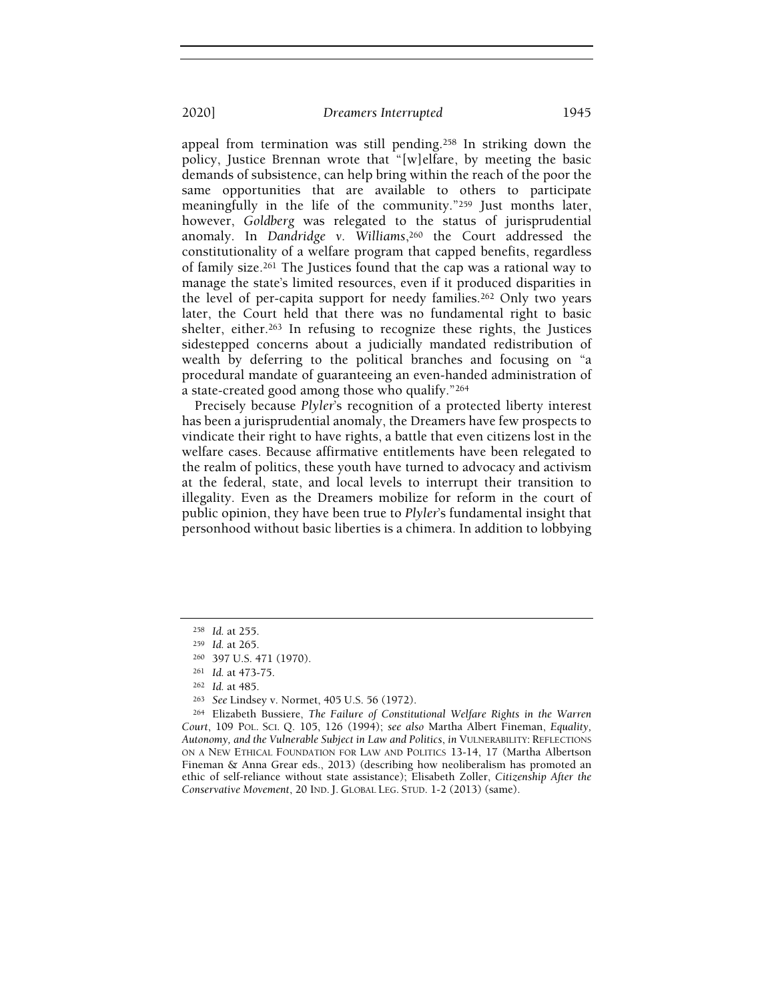appeal from termination was still pending.<sup>258</sup> In striking down the policy, Justice Brennan wrote that "[w]elfare, by meeting the basic demands of subsistence, can help bring within the reach of the poor the same opportunities that are available to others to participate meaningfully in the life of the community."<sup>259</sup> Just months later, however, Goldberg was relegated to the status of jurisprudential anomaly. In Dandridge v. Williams,  $260$  the Court addressed the constitutionality of a welfare program that capped benefits, regardless of family size.<sup>261</sup> The Justices found that the cap was a rational way to manage the state's limited resources, even if it produced disparities in the level of per-capita support for needy families.<sup>262</sup> Only two years later, the Court held that there was no fundamental right to basic shelter, either.<sup>263</sup> In refusing to recognize these rights, the Justices sidestepped concerns about a judicially mandated redistribution of wealth by deferring to the political branches and focusing on "a procedural mandate of guaranteeing an even-handed administration of a state-created good among those who qualify."<sup>264</sup>

Precisely because Plyler's recognition of a protected liberty interest has been a jurisprudential anomaly, the Dreamers have few prospects to vindicate their right to have rights, a battle that even citizens lost in the welfare cases. Because affirmative entitlements have been relegated to the realm of politics, these youth have turned to advocacy and activism at the federal, state, and local levels to interrupt their transition to illegality. Even as the Dreamers mobilize for reform in the court of public opinion, they have been true to Plyler's fundamental insight that personhood without basic liberties is a chimera. In addition to lobbying

<sup>258</sup> Id. at 255.

<sup>259</sup> Id. at 265.

<sup>260</sup> 397 U.S. 471 (1970).

<sup>261</sup> Id. at 473-75.

<sup>262</sup> Id. at 485.

<sup>263</sup> See Lindsey v. Normet, 405 U.S. 56 (1972).

<sup>264</sup> Elizabeth Bussiere, The Failure of Constitutional Welfare Rights in the Warren Court, 109 POL. SCI. Q. 105, 126 (1994); see also Martha Albert Fineman, Equality, Autonomy, and the Vulnerable Subject in Law and Politics, in VULNERABILITY: REFLECTIONS ON A NEW ETHICAL FOUNDATION FOR LAW AND POLITICS 13-14, 17 (Martha Albertson Fineman & Anna Grear eds., 2013) (describing how neoliberalism has promoted an ethic of self-reliance without state assistance); Elisabeth Zoller, Citizenship After the Conservative Movement, 20 IND. J. GLOBAL LEG. STUD. 1-2 (2013) (same).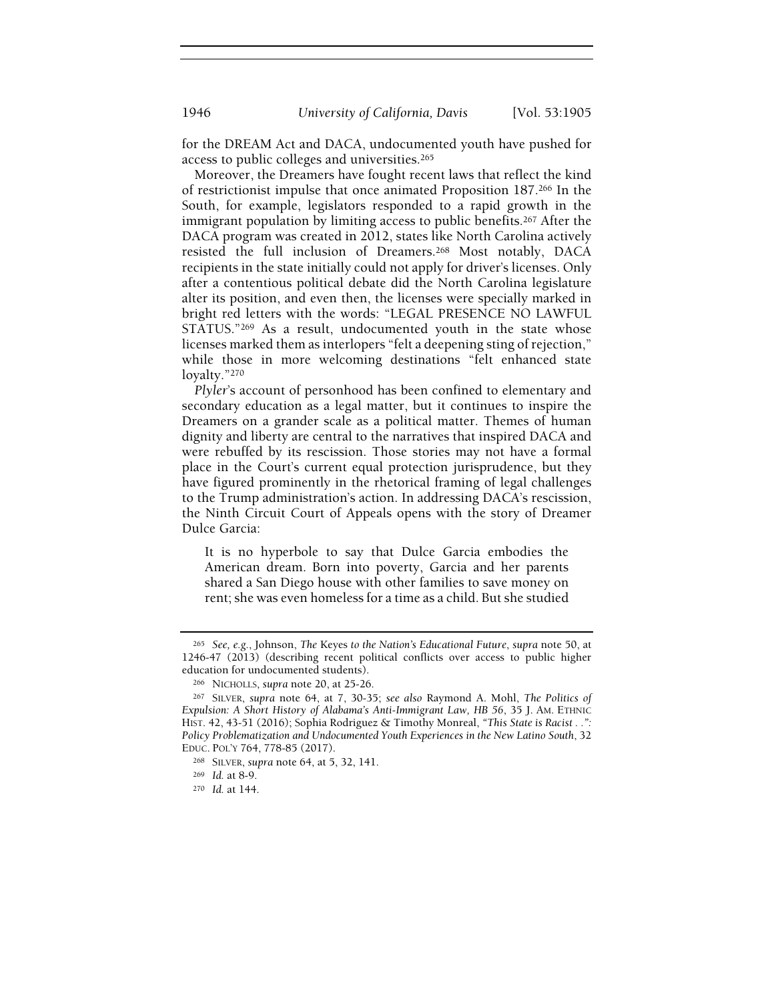for the DREAM Act and DACA, undocumented youth have pushed for access to public colleges and universities.<sup>265</sup>

Moreover, the Dreamers have fought recent laws that reflect the kind of restrictionist impulse that once animated Proposition 187.<sup>266</sup> In the South, for example, legislators responded to a rapid growth in the immigrant population by limiting access to public benefits.<sup>267</sup> After the DACA program was created in 2012, states like North Carolina actively resisted the full inclusion of Dreamers.<sup>268</sup> Most notably, DACA recipients in the state initially could not apply for driver's licenses. Only after a contentious political debate did the North Carolina legislature alter its position, and even then, the licenses were specially marked in bright red letters with the words: "LEGAL PRESENCE NO LAWFUL STATUS."<sup>269</sup> As a result, undocumented youth in the state whose licenses marked them as interlopers "felt a deepening sting of rejection," while those in more welcoming destinations "felt enhanced state loyalty."<sup>270</sup>

Plyler's account of personhood has been confined to elementary and secondary education as a legal matter, but it continues to inspire the Dreamers on a grander scale as a political matter. Themes of human dignity and liberty are central to the narratives that inspired DACA and were rebuffed by its rescission. Those stories may not have a formal place in the Court's current equal protection jurisprudence, but they have figured prominently in the rhetorical framing of legal challenges to the Trump administration's action. In addressing DACA's rescission, the Ninth Circuit Court of Appeals opens with the story of Dreamer Dulce Garcia:

It is no hyperbole to say that Dulce Garcia embodies the American dream. Born into poverty, Garcia and her parents shared a San Diego house with other families to save money on rent; she was even homeless for a time as a child. But she studied

<sup>265</sup> See, e.g., Johnson, The Keyes to the Nation's Educational Future, supra note 50, at 1246-47 (2013) (describing recent political conflicts over access to public higher education for undocumented students).

<sup>266</sup> NICHOLLS, supra note 20, at 25-26.

<sup>267</sup> SILVER, supra note 64, at 7, 30-35; see also Raymond A. Mohl, The Politics of Expulsion: A Short History of Alabama's Anti-Immigrant Law, HB 56, 35 J. AM. ETHNIC HIST. 42, 43-51 (2016); Sophia Rodriguez & Timothy Monreal, "This State is Racist . .": Policy Problematization and Undocumented Youth Experiences in the New Latino South, 32 EDUC. POL'Y 764, 778-85 (2017).

<sup>268</sup> SILVER, supra note 64, at 5, 32, 141.

<sup>269</sup> Id. at 8-9.

<sup>270</sup> Id. at 144.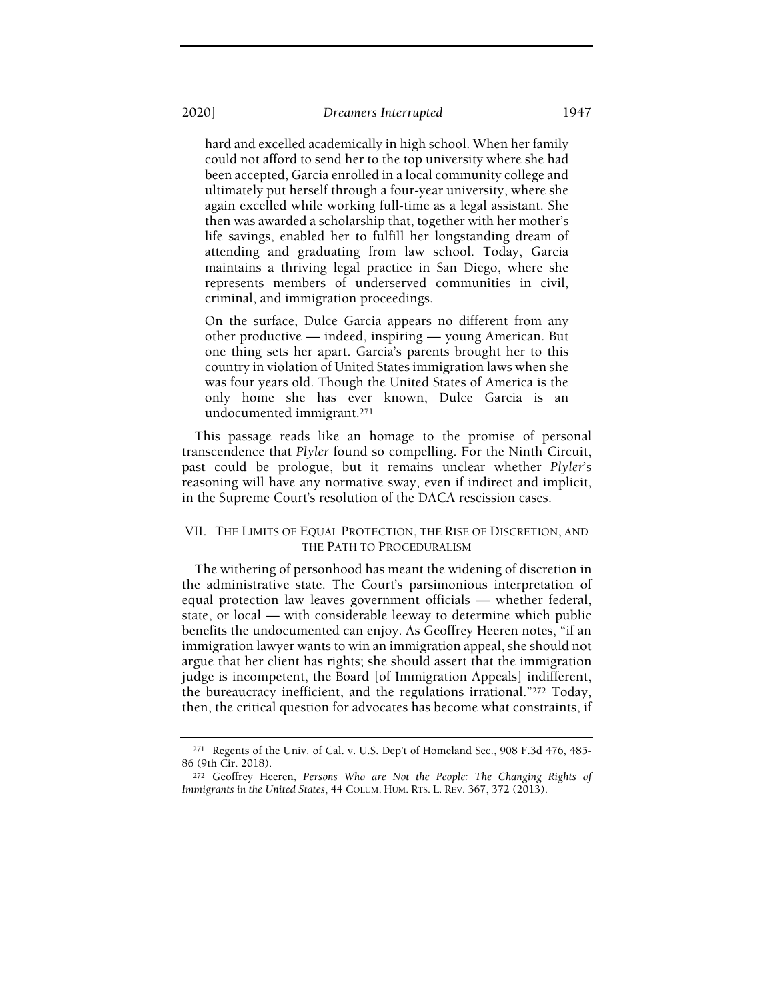hard and excelled academically in high school. When her family could not afford to send her to the top university where she had been accepted, Garcia enrolled in a local community college and ultimately put herself through a four-year university, where she again excelled while working full-time as a legal assistant. She then was awarded a scholarship that, together with her mother's life savings, enabled her to fulfill her longstanding dream of attending and graduating from law school. Today, Garcia maintains a thriving legal practice in San Diego, where she represents members of underserved communities in civil, criminal, and immigration proceedings.

On the surface, Dulce Garcia appears no different from any other productive — indeed, inspiring — young American. But one thing sets her apart. Garcia's parents brought her to this country in violation of United States immigration laws when she was four years old. Though the United States of America is the only home she has ever known, Dulce Garcia is an undocumented immigrant.<sup>271</sup>

This passage reads like an homage to the promise of personal transcendence that Plyler found so compelling. For the Ninth Circuit, past could be prologue, but it remains unclear whether Plyler's reasoning will have any normative sway, even if indirect and implicit, in the Supreme Court's resolution of the DACA rescission cases.

# VII. THE LIMITS OF EQUAL PROTECTION, THE RISE OF DISCRETION, AND THE PATH TO PROCEDURALISM

The withering of personhood has meant the widening of discretion in the administrative state. The Court's parsimonious interpretation of equal protection law leaves government officials — whether federal, state, or local — with considerable leeway to determine which public benefits the undocumented can enjoy. As Geoffrey Heeren notes, "if an immigration lawyer wants to win an immigration appeal, she should not argue that her client has rights; she should assert that the immigration judge is incompetent, the Board [of Immigration Appeals] indifferent, the bureaucracy inefficient, and the regulations irrational."<sup>272</sup> Today, then, the critical question for advocates has become what constraints, if

<sup>271</sup> Regents of the Univ. of Cal. v. U.S. Dep't of Homeland Sec., 908 F.3d 476, 485- 86 (9th Cir. 2018).

<sup>272</sup> Geoffrey Heeren, Persons Who are Not the People: The Changing Rights of Immigrants in the United States, 44 COLUM. HUM. RTS. L. REV. 367, 372 (2013).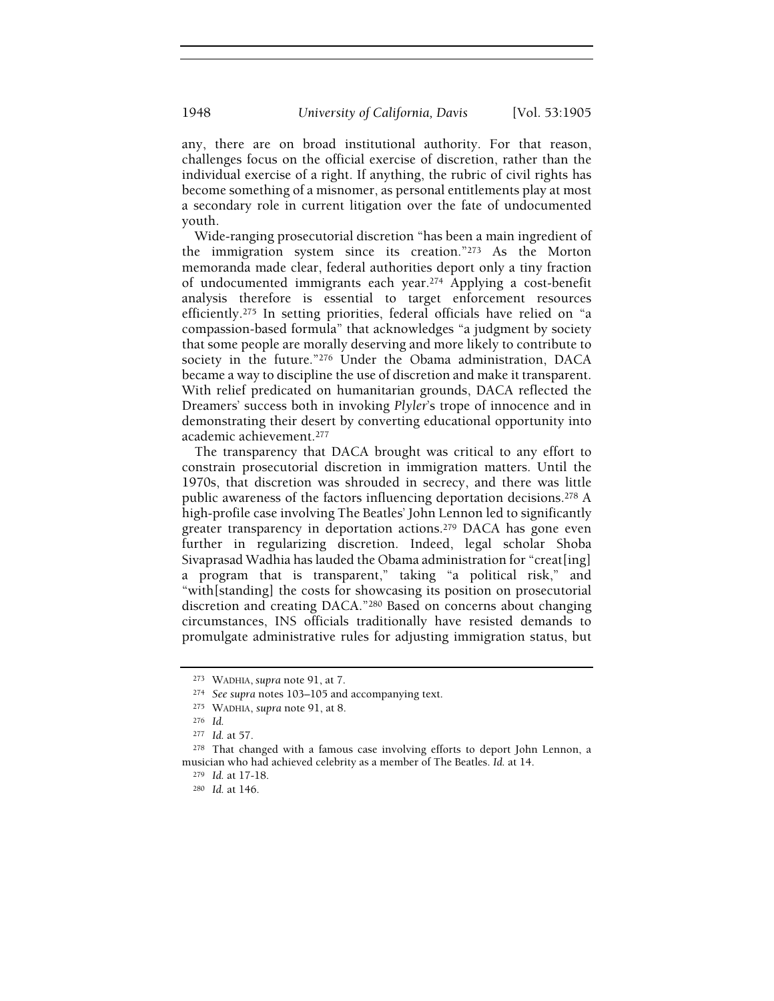any, there are on broad institutional authority. For that reason, challenges focus on the official exercise of discretion, rather than the individual exercise of a right. If anything, the rubric of civil rights has become something of a misnomer, as personal entitlements play at most a secondary role in current litigation over the fate of undocumented youth.

Wide-ranging prosecutorial discretion "has been a main ingredient of the immigration system since its creation."<sup>273</sup> As the Morton memoranda made clear, federal authorities deport only a tiny fraction of undocumented immigrants each year.<sup>274</sup> Applying a cost-benefit analysis therefore is essential to target enforcement resources efficiently.<sup>275</sup> In setting priorities, federal officials have relied on "a compassion-based formula" that acknowledges "a judgment by society that some people are morally deserving and more likely to contribute to society in the future."<sup>276</sup> Under the Obama administration, DACA became a way to discipline the use of discretion and make it transparent. With relief predicated on humanitarian grounds, DACA reflected the Dreamers' success both in invoking Plyler's trope of innocence and in demonstrating their desert by converting educational opportunity into academic achievement.<sup>277</sup>

The transparency that DACA brought was critical to any effort to constrain prosecutorial discretion in immigration matters. Until the 1970s, that discretion was shrouded in secrecy, and there was little public awareness of the factors influencing deportation decisions.<sup>278</sup> A high-profile case involving The Beatles' John Lennon led to significantly greater transparency in deportation actions.<sup>279</sup> DACA has gone even further in regularizing discretion. Indeed, legal scholar Shoba Sivaprasad Wadhia has lauded the Obama administration for "creat[ing] a program that is transparent," taking "a political risk," and "with[standing] the costs for showcasing its position on prosecutorial discretion and creating DACA."<sup>280</sup> Based on concerns about changing circumstances, INS officials traditionally have resisted demands to promulgate administrative rules for adjusting immigration status, but

<sup>273</sup> WADHIA, supra note 91, at 7.

<sup>&</sup>lt;sup>274</sup> See supra notes 103–105 and accompanying text.

<sup>275</sup> WADHIA, supra note 91, at 8.

<sup>276</sup> Id.

<sup>277</sup> Id. at 57.

<sup>278</sup> That changed with a famous case involving efforts to deport John Lennon, a musician who had achieved celebrity as a member of The Beatles. Id. at 14.

<sup>279</sup> Id. at 17-18.

<sup>280</sup> Id. at 146.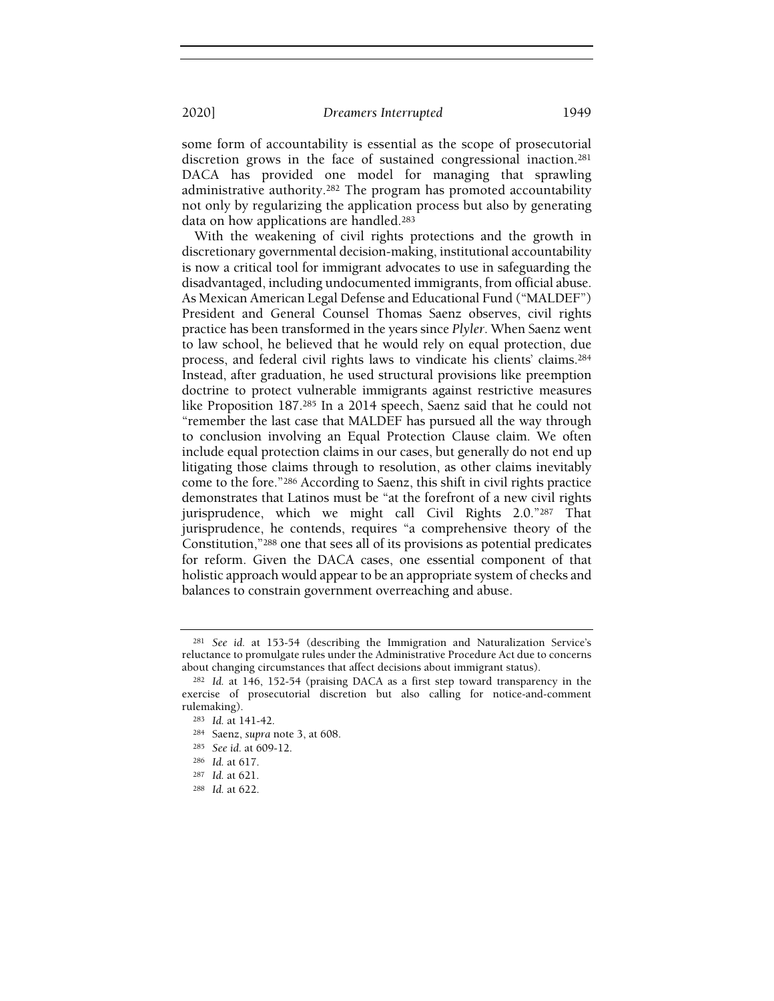some form of accountability is essential as the scope of prosecutorial discretion grows in the face of sustained congressional inaction.<sup>281</sup> DACA has provided one model for managing that sprawling administrative authority.<sup>282</sup> The program has promoted accountability not only by regularizing the application process but also by generating data on how applications are handled.<sup>283</sup>

With the weakening of civil rights protections and the growth in discretionary governmental decision-making, institutional accountability is now a critical tool for immigrant advocates to use in safeguarding the disadvantaged, including undocumented immigrants, from official abuse. As Mexican American Legal Defense and Educational Fund ("MALDEF") President and General Counsel Thomas Saenz observes, civil rights practice has been transformed in the years since Plyler. When Saenz went to law school, he believed that he would rely on equal protection, due process, and federal civil rights laws to vindicate his clients' claims.<sup>284</sup> Instead, after graduation, he used structural provisions like preemption doctrine to protect vulnerable immigrants against restrictive measures like Proposition 187.<sup>285</sup> In a 2014 speech, Saenz said that he could not "remember the last case that MALDEF has pursued all the way through to conclusion involving an Equal Protection Clause claim. We often include equal protection claims in our cases, but generally do not end up litigating those claims through to resolution, as other claims inevitably come to the fore."<sup>286</sup> According to Saenz, this shift in civil rights practice demonstrates that Latinos must be "at the forefront of a new civil rights jurisprudence, which we might call Civil Rights 2.0."<sup>287</sup> That jurisprudence, he contends, requires "a comprehensive theory of the Constitution,"<sup>288</sup> one that sees all of its provisions as potential predicates for reform. Given the DACA cases, one essential component of that holistic approach would appear to be an appropriate system of checks and balances to constrain government overreaching and abuse.

<sup>281</sup> See id. at 153-54 (describing the Immigration and Naturalization Service's reluctance to promulgate rules under the Administrative Procedure Act due to concerns about changing circumstances that affect decisions about immigrant status).

<sup>282</sup> Id. at 146, 152-54 (praising DACA as a first step toward transparency in the exercise of prosecutorial discretion but also calling for notice-and-comment rulemaking).

<sup>283</sup> Id. at 141-42.

<sup>284</sup> Saenz, supra note 3, at 608.

<sup>285</sup> See id. at 609-12.

<sup>286</sup> Id. at 617.

<sup>287</sup> Id. at 621.

<sup>288</sup> Id. at 622.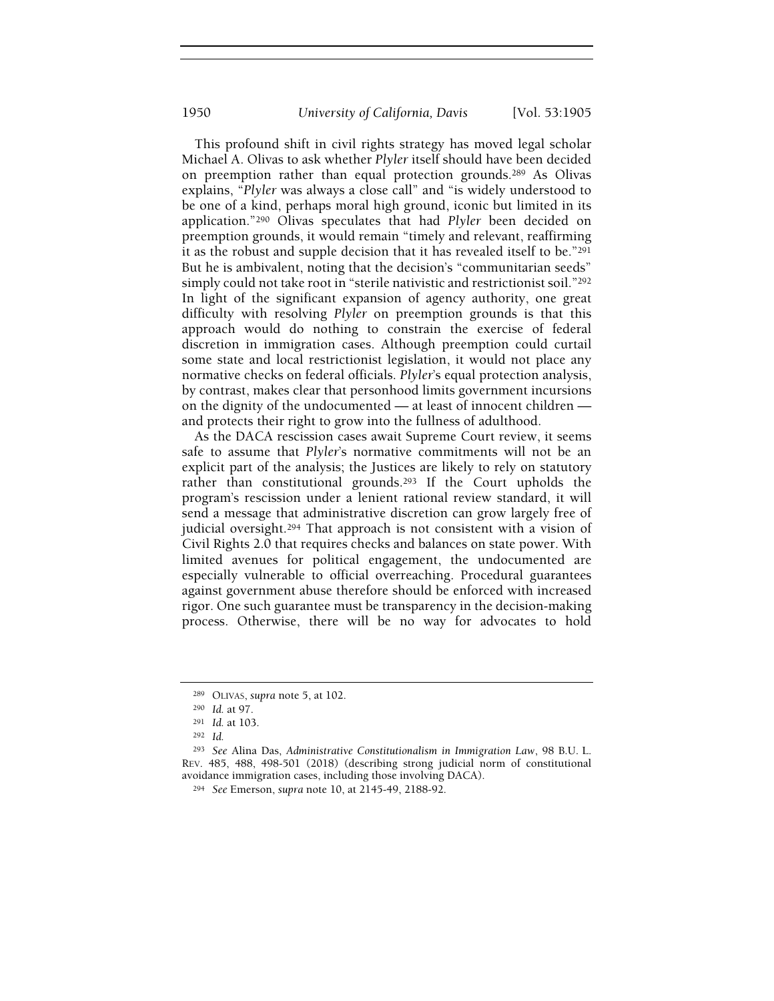This profound shift in civil rights strategy has moved legal scholar Michael A. Olivas to ask whether Plyler itself should have been decided on preemption rather than equal protection grounds.<sup>289</sup> As Olivas explains, "Plyler was always a close call" and "is widely understood to be one of a kind, perhaps moral high ground, iconic but limited in its application."<sup>290</sup> Olivas speculates that had Plyler been decided on preemption grounds, it would remain "timely and relevant, reaffirming it as the robust and supple decision that it has revealed itself to be."<sup>291</sup> But he is ambivalent, noting that the decision's "communitarian seeds" simply could not take root in "sterile nativistic and restrictionist soil."<sup>292</sup> In light of the significant expansion of agency authority, one great difficulty with resolving Plyler on preemption grounds is that this approach would do nothing to constrain the exercise of federal discretion in immigration cases. Although preemption could curtail some state and local restrictionist legislation, it would not place any normative checks on federal officials. Plyler's equal protection analysis, by contrast, makes clear that personhood limits government incursions on the dignity of the undocumented — at least of innocent children and protects their right to grow into the fullness of adulthood.

As the DACA rescission cases await Supreme Court review, it seems safe to assume that Plyler's normative commitments will not be an explicit part of the analysis; the Justices are likely to rely on statutory rather than constitutional grounds.<sup>293</sup> If the Court upholds the program's rescission under a lenient rational review standard, it will send a message that administrative discretion can grow largely free of judicial oversight.<sup>294</sup> That approach is not consistent with a vision of Civil Rights 2.0 that requires checks and balances on state power. With limited avenues for political engagement, the undocumented are especially vulnerable to official overreaching. Procedural guarantees against government abuse therefore should be enforced with increased rigor. One such guarantee must be transparency in the decision-making process. Otherwise, there will be no way for advocates to hold

<sup>289</sup> OLIVAS, supra note 5, at 102.

<sup>290</sup> Id. at 97.

<sup>291</sup> Id. at 103.

<sup>292</sup> Id.

<sup>293</sup> See Alina Das, Administrative Constitutionalism in Immigration Law, 98 B.U. L. REV. 485, 488, 498-501 (2018) (describing strong judicial norm of constitutional avoidance immigration cases, including those involving DACA).

<sup>294</sup> See Emerson, supra note 10, at 2145-49, 2188-92.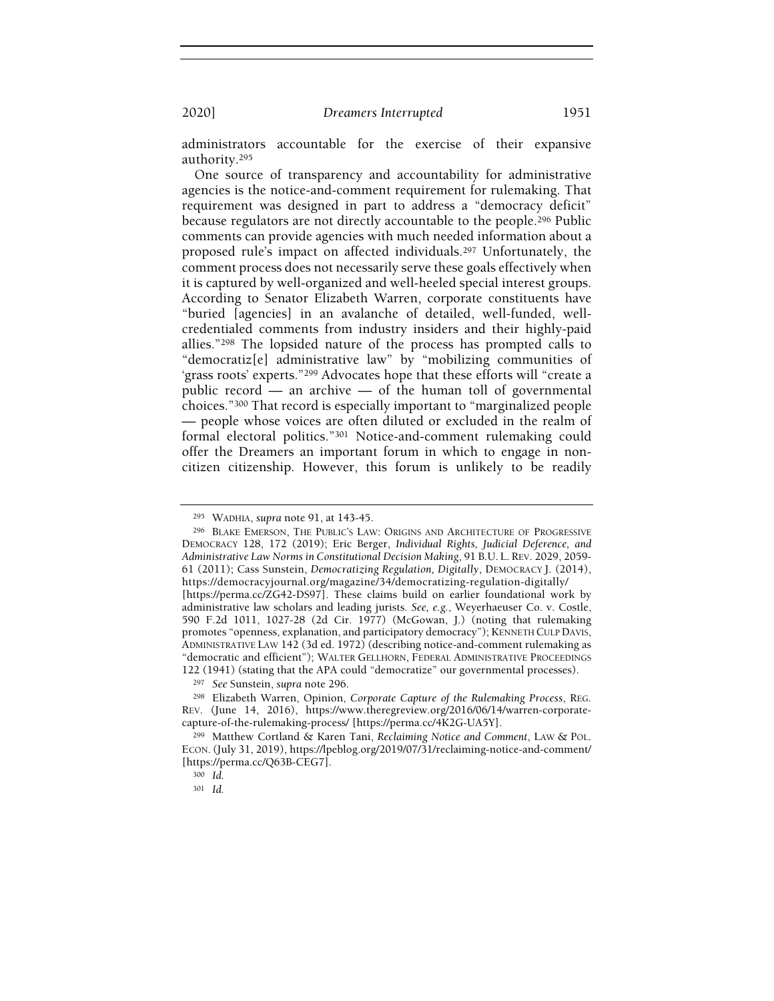administrators accountable for the exercise of their expansive authority.<sup>295</sup>

One source of transparency and accountability for administrative agencies is the notice-and-comment requirement for rulemaking. That requirement was designed in part to address a "democracy deficit" because regulators are not directly accountable to the people.<sup>296</sup> Public comments can provide agencies with much needed information about a proposed rule's impact on affected individuals.<sup>297</sup> Unfortunately, the comment process does not necessarily serve these goals effectively when it is captured by well-organized and well-heeled special interest groups. According to Senator Elizabeth Warren, corporate constituents have "buried [agencies] in an avalanche of detailed, well-funded, wellcredentialed comments from industry insiders and their highly-paid allies."<sup>298</sup> The lopsided nature of the process has prompted calls to "democratiz[e] administrative law" by "mobilizing communities of 'grass roots' experts."<sup>299</sup> Advocates hope that these efforts will "create a public record — an archive — of the human toll of governmental choices."<sup>300</sup> That record is especially important to "marginalized people — people whose voices are often diluted or excluded in the realm of formal electoral politics."<sup>301</sup> Notice-and-comment rulemaking could offer the Dreamers an important forum in which to engage in noncitizen citizenship. However, this forum is unlikely to be readily

<sup>295</sup> WADHIA, supra note 91, at 143-45.

<sup>296</sup> BLAKE EMERSON, THE PUBLIC'S LAW: ORIGINS AND ARCHITECTURE OF PROGRESSIVE DEMOCRACY 128, 172 (2019); Eric Berger, Individual Rights, Judicial Deference, and Administrative Law Norms in Constitutional Decision Making, 91 B.U. L. REV. 2029, 2059- 61 (2011); Cass Sunstein, Democratizing Regulation, Digitally, DEMOCRACY J. (2014), https://democracyjournal.org/magazine/34/democratizing-regulation-digitally/ [https://perma.cc/ZG42-DS97]. These claims build on earlier foundational work by administrative law scholars and leading jurists. See, e.g., Weyerhaeuser Co. v. Costle, 590 F.2d 1011, 1027-28 (2d Cir. 1977) (McGowan, J.) (noting that rulemaking

promotes "openness, explanation, and participatory democracy"); KENNETH CULP DAVIS, ADMINISTRATIVE LAW 142 (3d ed. 1972) (describing notice-and-comment rulemaking as "democratic and efficient"); WALTER GELLHORN, FEDERAL ADMINISTRATIVE PROCEEDINGS 122 (1941) (stating that the APA could "democratize" our governmental processes).

<sup>297</sup> See Sunstein, supra note 296.

<sup>298</sup> Elizabeth Warren, Opinion, Corporate Capture of the Rulemaking Process, REG. REV. (June 14, 2016), https://www.theregreview.org/2016/06/14/warren-corporatecapture-of-the-rulemaking-process/ [https://perma.cc/4K2G-UA5Y].

<sup>299</sup> Matthew Cortland & Karen Tani, Reclaiming Notice and Comment, LAW & POL. ECON.(July 31, 2019), https://lpeblog.org/2019/07/31/reclaiming-notice-and-comment/ [https://perma.cc/Q63B-CEG7].

<sup>300</sup> Id.

<sup>301</sup> Id.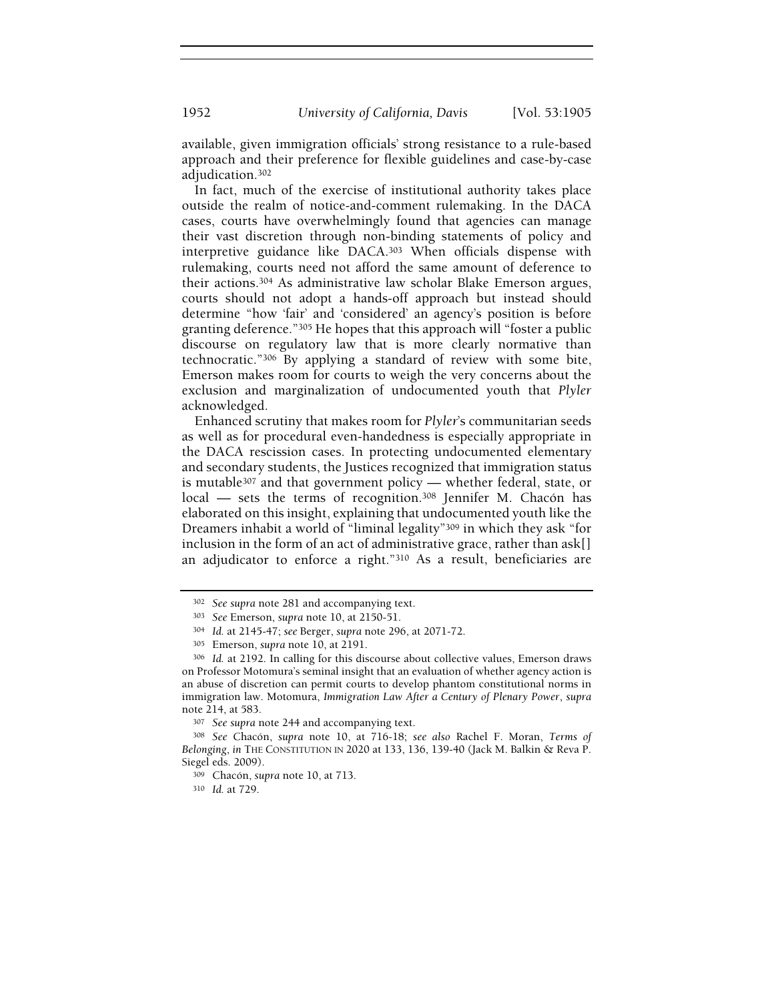available, given immigration officials' strong resistance to a rule-based approach and their preference for flexible guidelines and case-by-case adjudication.<sup>302</sup>

In fact, much of the exercise of institutional authority takes place outside the realm of notice-and-comment rulemaking. In the DACA cases, courts have overwhelmingly found that agencies can manage their vast discretion through non-binding statements of policy and interpretive guidance like DACA.<sup>303</sup> When officials dispense with rulemaking, courts need not afford the same amount of deference to their actions.<sup>304</sup> As administrative law scholar Blake Emerson argues, courts should not adopt a hands-off approach but instead should determine "how 'fair' and 'considered' an agency's position is before granting deference."<sup>305</sup> He hopes that this approach will "foster a public discourse on regulatory law that is more clearly normative than technocratic."<sup>306</sup> By applying a standard of review with some bite, Emerson makes room for courts to weigh the very concerns about the exclusion and marginalization of undocumented youth that Plyler acknowledged.

Enhanced scrutiny that makes room for Plyler's communitarian seeds as well as for procedural even-handedness is especially appropriate in the DACA rescission cases. In protecting undocumented elementary and secondary students, the Justices recognized that immigration status is mutable<sup>307</sup> and that government policy — whether federal, state, or local — sets the terms of recognition.<sup>308</sup> Jennifer M. Chacón has elaborated on this insight, explaining that undocumented youth like the Dreamers inhabit a world of "liminal legality"<sup>309</sup> in which they ask "for inclusion in the form of an act of administrative grace, rather than ask[] an adjudicator to enforce a right."<sup>310</sup> As a result, beneficiaries are

<sup>302</sup> See supra note 281 and accompanying text.

<sup>303</sup> See Emerson, supra note 10, at 2150-51.

<sup>304</sup> Id. at 2145-47; see Berger, supra note 296, at 2071-72.

<sup>305</sup> Emerson, supra note 10, at 2191.

<sup>306</sup> Id. at 2192. In calling for this discourse about collective values, Emerson draws on Professor Motomura's seminal insight that an evaluation of whether agency action is an abuse of discretion can permit courts to develop phantom constitutional norms in immigration law. Motomura, Immigration Law After a Century of Plenary Power, supra note 214, at 583.

<sup>307</sup> See supra note 244 and accompanying text.

<sup>308</sup> See Chacón, supra note 10, at 716-18; see also Rachel F. Moran, Terms of Belonging, in THE CONSTITUTION IN 2020 at 133, 136, 139-40 (Jack M. Balkin & Reva P. Siegel eds. 2009).

<sup>309</sup> Chacón, supra note 10, at 713.

<sup>310</sup> Id. at 729.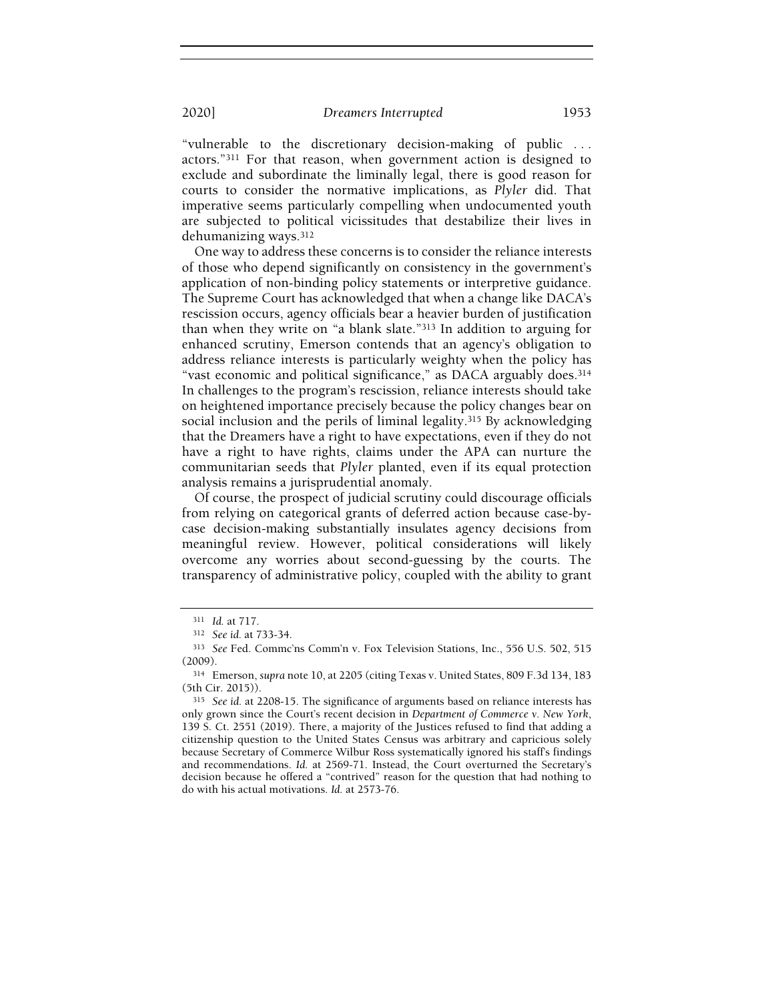"vulnerable to the discretionary decision-making of public . . . actors."<sup>311</sup> For that reason, when government action is designed to exclude and subordinate the liminally legal, there is good reason for courts to consider the normative implications, as Plyler did. That imperative seems particularly compelling when undocumented youth are subjected to political vicissitudes that destabilize their lives in dehumanizing ways.<sup>312</sup>

One way to address these concerns is to consider the reliance interests of those who depend significantly on consistency in the government's application of non-binding policy statements or interpretive guidance. The Supreme Court has acknowledged that when a change like DACA's rescission occurs, agency officials bear a heavier burden of justification than when they write on "a blank slate."<sup>313</sup> In addition to arguing for enhanced scrutiny, Emerson contends that an agency's obligation to address reliance interests is particularly weighty when the policy has "vast economic and political significance," as DACA arguably does.<sup>314</sup> In challenges to the program's rescission, reliance interests should take on heightened importance precisely because the policy changes bear on social inclusion and the perils of liminal legality.<sup>315</sup> By acknowledging that the Dreamers have a right to have expectations, even if they do not have a right to have rights, claims under the APA can nurture the communitarian seeds that Plyler planted, even if its equal protection analysis remains a jurisprudential anomaly.

Of course, the prospect of judicial scrutiny could discourage officials from relying on categorical grants of deferred action because case-bycase decision-making substantially insulates agency decisions from meaningful review. However, political considerations will likely overcome any worries about second-guessing by the courts. The transparency of administrative policy, coupled with the ability to grant

<sup>311</sup> Id. at 717.

<sup>312</sup> See id. at 733-34.

<sup>313</sup> See Fed. Commc'ns Comm'n v. Fox Television Stations, Inc., 556 U.S. 502, 515 (2009).

<sup>314</sup> Emerson, supra note 10, at 2205 (citing Texas v. United States, 809 F.3d 134, 183 (5th Cir. 2015)).

<sup>315</sup> See id. at 2208-15. The significance of arguments based on reliance interests has only grown since the Court's recent decision in Department of Commerce v. New York, 139 S. Ct. 2551 (2019). There, a majority of the Justices refused to find that adding a citizenship question to the United States Census was arbitrary and capricious solely because Secretary of Commerce Wilbur Ross systematically ignored his staff's findings and recommendations. Id. at 2569-71. Instead, the Court overturned the Secretary's decision because he offered a "contrived" reason for the question that had nothing to do with his actual motivations. Id. at 2573-76.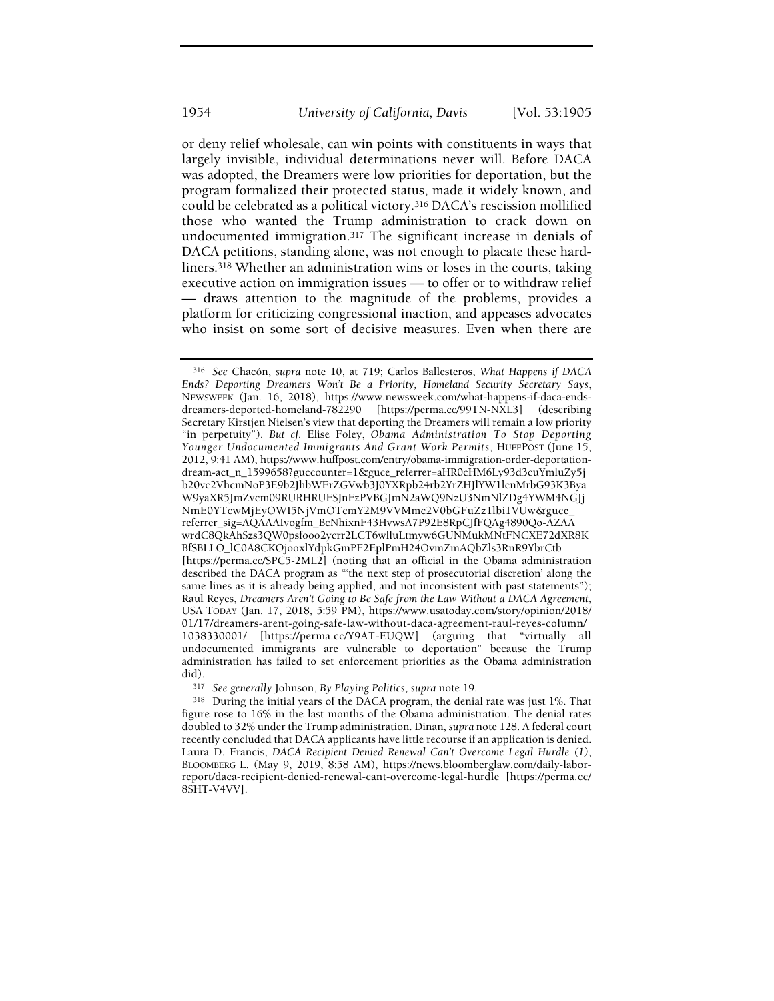or deny relief wholesale, can win points with constituents in ways that largely invisible, individual determinations never will. Before DACA was adopted, the Dreamers were low priorities for deportation, but the program formalized their protected status, made it widely known, and could be celebrated as a political victory.<sup>316</sup> DACA's rescission mollified those who wanted the Trump administration to crack down on undocumented immigration.<sup>317</sup> The significant increase in denials of DACA petitions, standing alone, was not enough to placate these hardliners.<sup>318</sup> Whether an administration wins or loses in the courts, taking executive action on immigration issues — to offer or to withdraw relief — draws attention to the magnitude of the problems, provides a platform for criticizing congressional inaction, and appeases advocates who insist on some sort of decisive measures. Even when there are

<sup>316</sup> See Chacón, supra note 10, at 719; Carlos Ballesteros, What Happens if DACA Ends? Deporting Dreamers Won't Be a Priority, Homeland Security Secretary Says, NEWSWEEK (Jan. 16, 2018), https://www.newsweek.com/what-happens-if-daca-endsdreamers-deported-homeland-782290 [https://perma.cc/99TN-NXL3] (describing Secretary Kirstjen Nielsen's view that deporting the Dreamers will remain a low priority "in perpetuity"). But cf. Elise Foley, Obama Administration To Stop Deporting Younger Undocumented Immigrants And Grant Work Permits, HUFFPOST (June 15, 2012, 9:41 AM), https://www.huffpost.com/entry/obama-immigration-order-deportationdream-act\_n\_1599658?guccounter=1&guce\_referrer=aHR0cHM6Ly93d3cuYmluZy5j b20vc2VhcmNoP3E9b2JhbWErZGVwb3J0YXRpb24rb2YrZHJlYW1lcnMrbG93K3Bya W9yaXR5JmZvcm09RURHRUFSJnFzPVBGJmN2aWQ9NzU3NmNlZDg4YWM4NGJj NmE0YTcwMjEyOWI5NjVmOTcmY2M9VVMmc2V0bGFuZz1lbi1VUw&guce\_ referrer\_sig=AQAAAIvogfm\_BcNhixnF43HvwsA7P92E8RpCJfFQAg4890Qo-AZAA wrdC8QkAhSzs3QW0psfooo2ycrr2LCT6wlluLtmyw6GUNMukMNtFNCXE72dXR8K BfSBLLO\_lC0A8CKOjooxlYdpkGmPF2EplPmH24OvmZmAQbZls3RnR9YbrCtb [https://perma.cc/SPC5-2ML2] (noting that an official in the Obama administration described the DACA program as "'the next step of prosecutorial discretion' along the same lines as it is already being applied, and not inconsistent with past statements"); Raul Reyes, Dreamers Aren't Going to Be Safe from the Law Without a DACA Agreement, USA TODAY (Jan. 17, 2018, 5:59 PM), https://www.usatoday.com/story/opinion/2018/ 01/17/dreamers-arent-going-safe-law-without-daca-agreement-raul-reyes-column/ 1038330001/ [https://perma.cc/Y9AT-EUQW] (arguing that "virtually all undocumented immigrants are vulnerable to deportation" because the Trump administration has failed to set enforcement priorities as the Obama administration did).

<sup>&</sup>lt;sup>317</sup> See generally Johnson, By Playing Politics, supra note 19.

<sup>318</sup> During the initial years of the DACA program, the denial rate was just 1%. That figure rose to 16% in the last months of the Obama administration. The denial rates doubled to 32% under the Trump administration. Dinan, supra note 128. A federal court recently concluded that DACA applicants have little recourse if an application is denied. Laura D. Francis, DACA Recipient Denied Renewal Can't Overcome Legal Hurdle (1), BLOOMBERG L. (May 9, 2019, 8:58 AM), https://news.bloomberglaw.com/daily-laborreport/daca-recipient-denied-renewal-cant-overcome-legal-hurdle [https://perma.cc/ 8SHT-V4VV].